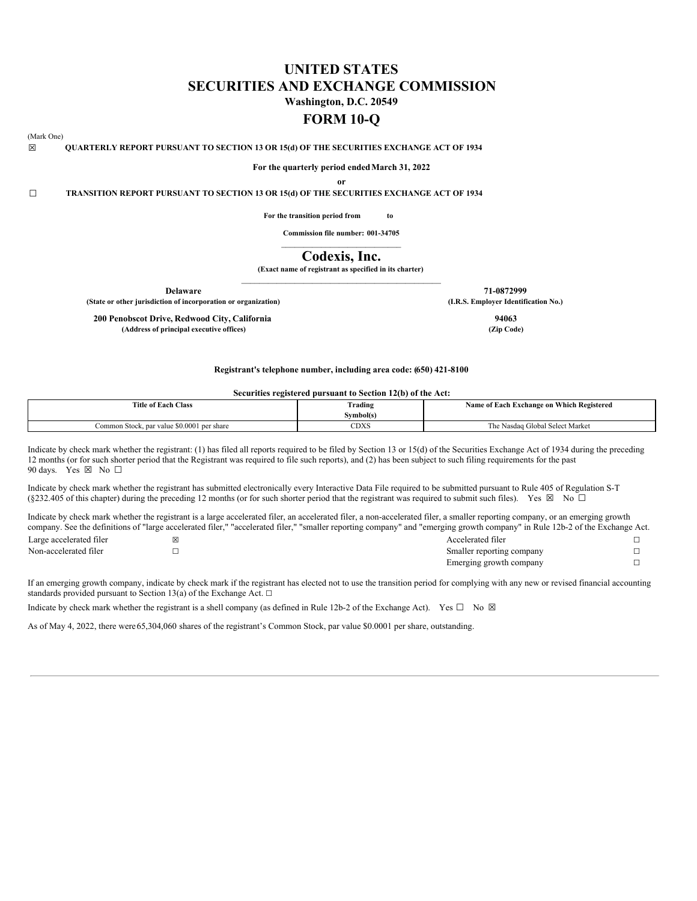# **UNITED STATES SECURITIES AND EXCHANGE COMMISSION**

**Washington, D.C. 20549**

# **FORM 10-Q**

(Mark One)

☒ **QUARTERLY REPORT PURSUANT TO SECTION 13 OR 15(d) OF THE SECURITIES EXCHANGE ACT OF 1934**

**For the quarterly period endedMarch 31, 2022**

**or**

☐ **TRANSITION REPORT PURSUANT TO SECTION 13 OR 15(d) OF THE SECURITIES EXCHANGE ACT OF 1934**

**For the transition period from to**

**Commission file number: 001-34705** \_\_\_\_\_\_\_\_\_\_\_\_\_\_\_\_\_\_\_\_\_\_\_\_\_\_\_

# **Codexis, Inc.**

**(Exact name of registrant as specified in its charter)** \_\_\_\_\_\_\_\_\_\_\_\_\_\_\_\_\_\_\_\_\_\_\_\_\_\_\_\_\_\_\_\_\_\_\_\_\_\_\_\_\_\_\_\_\_

**Delaware 71-0872999**

**(State or other jurisdiction of incorporation or organization) (I.R.S. Employer Identification No.)**

**200 Penobscot Drive, Redwood City, California 94063**

**(Address of principal executive offices) (Zip Code)**

**Registrant's telephone number, including area code: (650) 421-8100**

### **Securities registered pursuant to Section 12(b) of the Act:**

| <b>Class</b><br>Title of Each              | n.<br>`rading | Name of Each Exchange on Which Registered |
|--------------------------------------------|---------------|-------------------------------------------|
|                                            | Svmbol(s      |                                           |
| Common Stock, par value \$0.0001 per share | $\tt{CDXS}$   | : Nasdaɑ Global Select Market<br>1 he     |

Indicate by check mark whether the registrant: (1) has filed all reports required to be filed by Section 13 or 15(d) of the Securities Exchange Act of 1934 during the preceding 12 months (or for such shorter period that the Registrant was required to file such reports), and (2) has been subject to such filing requirements for the past 90 days. Yes  $\boxtimes$  No  $\square$ 

Indicate by check mark whether the registrant has submitted electronically every Interactive Data File required to be submitted pursuant to Rule 405 of Regulation S-T (§232.405 of this chapter) during the preceding 12 months (or for such shorter period that the registrant was required to submit such files). Yes ⊠ No □

Indicate by check mark whether the registrant is a large accelerated filer, an accelerated filer, a non-accelerated filer, a smaller reporting company, or an emerging growth company. See the definitions of "large accelerated filer," "accelerated filer," "smaller reporting company" and "emerging growth company" in Rule 12b-2 of the Exchange Act.

| Large accelerated filer | Accelerated filer         |  |
|-------------------------|---------------------------|--|
| Non-accelerated filer   | Smaller reporting company |  |
|                         | Emerging growth company   |  |

If an emerging growth company, indicate by check mark if the registrant has elected not to use the transition period for complying with any new or revised financial accounting standards provided pursuant to Section 13(a) of the Exchange Act.  $\Box$ 

Indicate by check mark whether the registrant is a shell company (as defined in Rule 12b-2 of the Exchange Act). Yes  $\square$  No  $\boxtimes$ 

As of May 4, 2022, there were65,304,060 shares of the registrant's Common Stock, par value \$0.0001 per share, outstanding.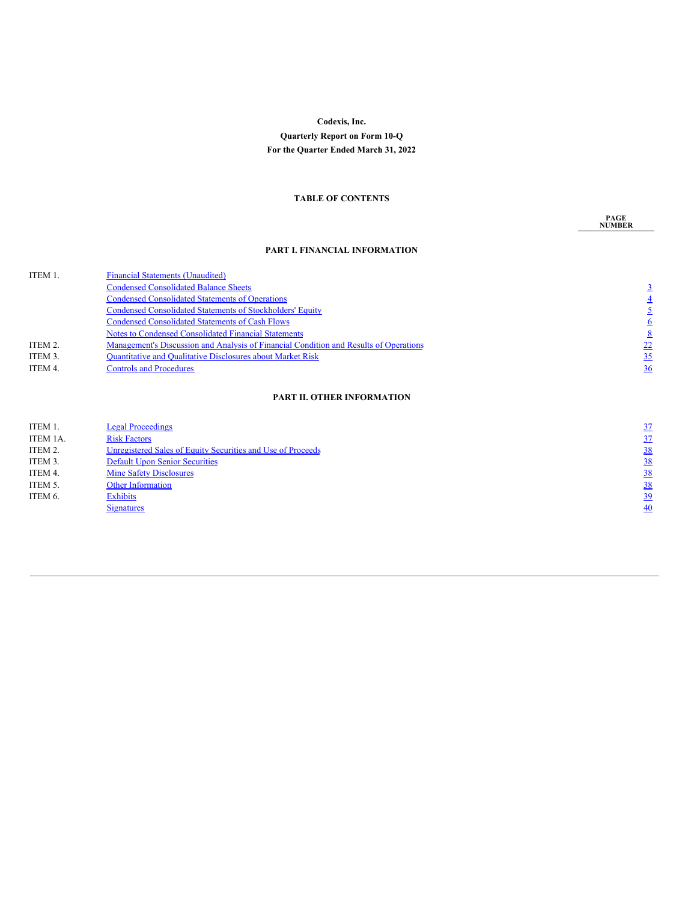# **Codexis, Inc. Quarterly Report on Form 10-Q For the Quarter Ended March 31, 2022**

### **TABLE OF CONTENTS**

**PAGE NUMBER**

# **PART I. FINANCIAL INFORMATION**

| ITEM 1. | <b>Financial Statements (Unaudited)</b>                                               |    |
|---------|---------------------------------------------------------------------------------------|----|
|         | <b>Condensed Consolidated Balance Sheets</b>                                          |    |
|         | <b>Condensed Consolidated Statements of Operations</b>                                |    |
|         | <b>Condensed Consolidated Statements of Stockholders' Equity</b>                      |    |
|         | <b>Condensed Consolidated Statements of Cash Flows</b>                                |    |
|         | Notes to Condensed Consolidated Financial Statements                                  |    |
| ITEM 2. | Management's Discussion and Analysis of Financial Condition and Results of Operations | 22 |
| ITEM 3. | <b>Quantitative and Qualitative Disclosures about Market Risk</b>                     | 35 |
| ITEM 4. | <b>Controls and Procedures</b>                                                        | 36 |
|         |                                                                                       |    |

# **PART II. OTHER [INFORMATION](#page-35-0)**

<span id="page-1-0"></span>

| ITEM 1.  | <b>Legal Proceedings</b>                                    | 37        |
|----------|-------------------------------------------------------------|-----------|
| ITEM 1A. | <b>Risk Factors</b>                                         | 37        |
| ITEM 2.  | Unregistered Sales of Equity Securities and Use of Proceeds | <u>38</u> |
| ITEM 3.  | <b>Default Upon Senior Securities</b>                       | <u>38</u> |
| ITEM 4.  | <b>Mine Safety Disclosures</b>                              | 38        |
| ITEM 5.  | <b>Other Information</b>                                    | <u>38</u> |
| ITEM 6.  | <b>Exhibits</b>                                             | <u>39</u> |
|          | <b>Signatures</b>                                           | 40        |
|          |                                                             |           |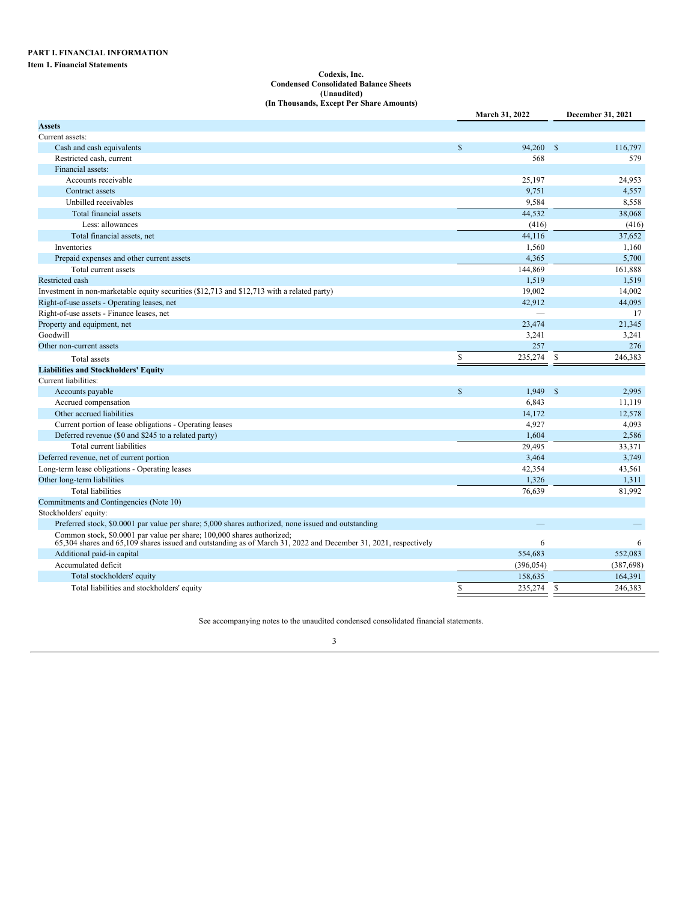# **PART I. FINANCIAL INFORMATION**

# **Item 1. Financial Statements**

#### **Codexis, Inc. Condensed Consolidated Balance Sheets (Unaudited) (In Thousands, Except Per Share Amounts)**

| <b>Assets</b><br>Current assets:<br>$\mathbb{S}$<br>94.260 \$<br>Cash and cash equivalents<br>116,797<br>579<br>Restricted cash, current<br>568<br>Financial assets:<br>Accounts receivable<br>25,197<br>24,953<br>9,751<br>Contract assets<br>4,557<br>Unbilled receivables<br>9,584<br>8,558<br>44,532<br>Total financial assets<br>38,068<br>Less: allowances<br>(416)<br>(416)<br>44,116<br>Total financial assets, net<br>37,652<br>Inventories<br>1,560<br>1.160<br>Prepaid expenses and other current assets<br>4,365<br>5,700<br>Total current assets<br>144,869<br>161,888<br>Restricted cash<br>1,519<br>1,519<br>19,002<br>14,002<br>Investment in non-marketable equity securities (\$12,713 and \$12,713 with a related party)<br>Right-of-use assets - Operating leases, net<br>42,912<br>44,095<br>Right-of-use assets - Finance leases, net<br>17<br>23,474<br>21.345<br>Property and equipment, net<br>Goodwill<br>3,241<br>3,241<br>257<br>276<br>Other non-current assets<br>$\mathsf{\$}$<br>\$<br>235,274<br>246,383<br>Total assets<br><b>Liabilities and Stockholders' Equity</b><br>Current liabilities:<br>$\mathbb{S}$<br>$1,949$ \$<br>2,995<br>Accounts payable<br>Accrued compensation<br>6,843<br>11,119<br>Other accrued liabilities<br>14,172<br>12,578<br>Current portion of lease obligations - Operating leases<br>4,927<br>4,093<br>Deferred revenue (\$0 and \$245 to a related party)<br>1,604<br>2,586<br>Total current liabilities<br>29,495<br>33,371<br>Deferred revenue, net of current portion<br>3,464<br>3,749<br>42,354<br>Long-term lease obligations - Operating leases<br>43,561<br>Other long-term liabilities<br>1,326<br>1,311<br><b>Total liabilities</b><br>76.639<br>81.992<br>Commitments and Contingencies (Note 10) |                       | March 31, 2022 | <b>December 31, 2021</b> |
|--------------------------------------------------------------------------------------------------------------------------------------------------------------------------------------------------------------------------------------------------------------------------------------------------------------------------------------------------------------------------------------------------------------------------------------------------------------------------------------------------------------------------------------------------------------------------------------------------------------------------------------------------------------------------------------------------------------------------------------------------------------------------------------------------------------------------------------------------------------------------------------------------------------------------------------------------------------------------------------------------------------------------------------------------------------------------------------------------------------------------------------------------------------------------------------------------------------------------------------------------------------------------------------------------------------------------------------------------------------------------------------------------------------------------------------------------------------------------------------------------------------------------------------------------------------------------------------------------------------------------------------------------------------------------------------------------------------------------------------------------------------------------------|-----------------------|----------------|--------------------------|
|                                                                                                                                                                                                                                                                                                                                                                                                                                                                                                                                                                                                                                                                                                                                                                                                                                                                                                                                                                                                                                                                                                                                                                                                                                                                                                                                                                                                                                                                                                                                                                                                                                                                                                                                                                                |                       |                |                          |
|                                                                                                                                                                                                                                                                                                                                                                                                                                                                                                                                                                                                                                                                                                                                                                                                                                                                                                                                                                                                                                                                                                                                                                                                                                                                                                                                                                                                                                                                                                                                                                                                                                                                                                                                                                                |                       |                |                          |
|                                                                                                                                                                                                                                                                                                                                                                                                                                                                                                                                                                                                                                                                                                                                                                                                                                                                                                                                                                                                                                                                                                                                                                                                                                                                                                                                                                                                                                                                                                                                                                                                                                                                                                                                                                                |                       |                |                          |
|                                                                                                                                                                                                                                                                                                                                                                                                                                                                                                                                                                                                                                                                                                                                                                                                                                                                                                                                                                                                                                                                                                                                                                                                                                                                                                                                                                                                                                                                                                                                                                                                                                                                                                                                                                                |                       |                |                          |
|                                                                                                                                                                                                                                                                                                                                                                                                                                                                                                                                                                                                                                                                                                                                                                                                                                                                                                                                                                                                                                                                                                                                                                                                                                                                                                                                                                                                                                                                                                                                                                                                                                                                                                                                                                                |                       |                |                          |
|                                                                                                                                                                                                                                                                                                                                                                                                                                                                                                                                                                                                                                                                                                                                                                                                                                                                                                                                                                                                                                                                                                                                                                                                                                                                                                                                                                                                                                                                                                                                                                                                                                                                                                                                                                                |                       |                |                          |
|                                                                                                                                                                                                                                                                                                                                                                                                                                                                                                                                                                                                                                                                                                                                                                                                                                                                                                                                                                                                                                                                                                                                                                                                                                                                                                                                                                                                                                                                                                                                                                                                                                                                                                                                                                                |                       |                |                          |
|                                                                                                                                                                                                                                                                                                                                                                                                                                                                                                                                                                                                                                                                                                                                                                                                                                                                                                                                                                                                                                                                                                                                                                                                                                                                                                                                                                                                                                                                                                                                                                                                                                                                                                                                                                                |                       |                |                          |
|                                                                                                                                                                                                                                                                                                                                                                                                                                                                                                                                                                                                                                                                                                                                                                                                                                                                                                                                                                                                                                                                                                                                                                                                                                                                                                                                                                                                                                                                                                                                                                                                                                                                                                                                                                                |                       |                |                          |
|                                                                                                                                                                                                                                                                                                                                                                                                                                                                                                                                                                                                                                                                                                                                                                                                                                                                                                                                                                                                                                                                                                                                                                                                                                                                                                                                                                                                                                                                                                                                                                                                                                                                                                                                                                                |                       |                |                          |
|                                                                                                                                                                                                                                                                                                                                                                                                                                                                                                                                                                                                                                                                                                                                                                                                                                                                                                                                                                                                                                                                                                                                                                                                                                                                                                                                                                                                                                                                                                                                                                                                                                                                                                                                                                                |                       |                |                          |
|                                                                                                                                                                                                                                                                                                                                                                                                                                                                                                                                                                                                                                                                                                                                                                                                                                                                                                                                                                                                                                                                                                                                                                                                                                                                                                                                                                                                                                                                                                                                                                                                                                                                                                                                                                                |                       |                |                          |
|                                                                                                                                                                                                                                                                                                                                                                                                                                                                                                                                                                                                                                                                                                                                                                                                                                                                                                                                                                                                                                                                                                                                                                                                                                                                                                                                                                                                                                                                                                                                                                                                                                                                                                                                                                                |                       |                |                          |
|                                                                                                                                                                                                                                                                                                                                                                                                                                                                                                                                                                                                                                                                                                                                                                                                                                                                                                                                                                                                                                                                                                                                                                                                                                                                                                                                                                                                                                                                                                                                                                                                                                                                                                                                                                                |                       |                |                          |
|                                                                                                                                                                                                                                                                                                                                                                                                                                                                                                                                                                                                                                                                                                                                                                                                                                                                                                                                                                                                                                                                                                                                                                                                                                                                                                                                                                                                                                                                                                                                                                                                                                                                                                                                                                                |                       |                |                          |
|                                                                                                                                                                                                                                                                                                                                                                                                                                                                                                                                                                                                                                                                                                                                                                                                                                                                                                                                                                                                                                                                                                                                                                                                                                                                                                                                                                                                                                                                                                                                                                                                                                                                                                                                                                                |                       |                |                          |
|                                                                                                                                                                                                                                                                                                                                                                                                                                                                                                                                                                                                                                                                                                                                                                                                                                                                                                                                                                                                                                                                                                                                                                                                                                                                                                                                                                                                                                                                                                                                                                                                                                                                                                                                                                                |                       |                |                          |
|                                                                                                                                                                                                                                                                                                                                                                                                                                                                                                                                                                                                                                                                                                                                                                                                                                                                                                                                                                                                                                                                                                                                                                                                                                                                                                                                                                                                                                                                                                                                                                                                                                                                                                                                                                                |                       |                |                          |
|                                                                                                                                                                                                                                                                                                                                                                                                                                                                                                                                                                                                                                                                                                                                                                                                                                                                                                                                                                                                                                                                                                                                                                                                                                                                                                                                                                                                                                                                                                                                                                                                                                                                                                                                                                                |                       |                |                          |
|                                                                                                                                                                                                                                                                                                                                                                                                                                                                                                                                                                                                                                                                                                                                                                                                                                                                                                                                                                                                                                                                                                                                                                                                                                                                                                                                                                                                                                                                                                                                                                                                                                                                                                                                                                                |                       |                |                          |
|                                                                                                                                                                                                                                                                                                                                                                                                                                                                                                                                                                                                                                                                                                                                                                                                                                                                                                                                                                                                                                                                                                                                                                                                                                                                                                                                                                                                                                                                                                                                                                                                                                                                                                                                                                                |                       |                |                          |
|                                                                                                                                                                                                                                                                                                                                                                                                                                                                                                                                                                                                                                                                                                                                                                                                                                                                                                                                                                                                                                                                                                                                                                                                                                                                                                                                                                                                                                                                                                                                                                                                                                                                                                                                                                                |                       |                |                          |
|                                                                                                                                                                                                                                                                                                                                                                                                                                                                                                                                                                                                                                                                                                                                                                                                                                                                                                                                                                                                                                                                                                                                                                                                                                                                                                                                                                                                                                                                                                                                                                                                                                                                                                                                                                                |                       |                |                          |
|                                                                                                                                                                                                                                                                                                                                                                                                                                                                                                                                                                                                                                                                                                                                                                                                                                                                                                                                                                                                                                                                                                                                                                                                                                                                                                                                                                                                                                                                                                                                                                                                                                                                                                                                                                                |                       |                |                          |
|                                                                                                                                                                                                                                                                                                                                                                                                                                                                                                                                                                                                                                                                                                                                                                                                                                                                                                                                                                                                                                                                                                                                                                                                                                                                                                                                                                                                                                                                                                                                                                                                                                                                                                                                                                                |                       |                |                          |
|                                                                                                                                                                                                                                                                                                                                                                                                                                                                                                                                                                                                                                                                                                                                                                                                                                                                                                                                                                                                                                                                                                                                                                                                                                                                                                                                                                                                                                                                                                                                                                                                                                                                                                                                                                                |                       |                |                          |
|                                                                                                                                                                                                                                                                                                                                                                                                                                                                                                                                                                                                                                                                                                                                                                                                                                                                                                                                                                                                                                                                                                                                                                                                                                                                                                                                                                                                                                                                                                                                                                                                                                                                                                                                                                                |                       |                |                          |
|                                                                                                                                                                                                                                                                                                                                                                                                                                                                                                                                                                                                                                                                                                                                                                                                                                                                                                                                                                                                                                                                                                                                                                                                                                                                                                                                                                                                                                                                                                                                                                                                                                                                                                                                                                                |                       |                |                          |
|                                                                                                                                                                                                                                                                                                                                                                                                                                                                                                                                                                                                                                                                                                                                                                                                                                                                                                                                                                                                                                                                                                                                                                                                                                                                                                                                                                                                                                                                                                                                                                                                                                                                                                                                                                                |                       |                |                          |
|                                                                                                                                                                                                                                                                                                                                                                                                                                                                                                                                                                                                                                                                                                                                                                                                                                                                                                                                                                                                                                                                                                                                                                                                                                                                                                                                                                                                                                                                                                                                                                                                                                                                                                                                                                                |                       |                |                          |
|                                                                                                                                                                                                                                                                                                                                                                                                                                                                                                                                                                                                                                                                                                                                                                                                                                                                                                                                                                                                                                                                                                                                                                                                                                                                                                                                                                                                                                                                                                                                                                                                                                                                                                                                                                                |                       |                |                          |
|                                                                                                                                                                                                                                                                                                                                                                                                                                                                                                                                                                                                                                                                                                                                                                                                                                                                                                                                                                                                                                                                                                                                                                                                                                                                                                                                                                                                                                                                                                                                                                                                                                                                                                                                                                                |                       |                |                          |
|                                                                                                                                                                                                                                                                                                                                                                                                                                                                                                                                                                                                                                                                                                                                                                                                                                                                                                                                                                                                                                                                                                                                                                                                                                                                                                                                                                                                                                                                                                                                                                                                                                                                                                                                                                                |                       |                |                          |
|                                                                                                                                                                                                                                                                                                                                                                                                                                                                                                                                                                                                                                                                                                                                                                                                                                                                                                                                                                                                                                                                                                                                                                                                                                                                                                                                                                                                                                                                                                                                                                                                                                                                                                                                                                                |                       |                |                          |
|                                                                                                                                                                                                                                                                                                                                                                                                                                                                                                                                                                                                                                                                                                                                                                                                                                                                                                                                                                                                                                                                                                                                                                                                                                                                                                                                                                                                                                                                                                                                                                                                                                                                                                                                                                                |                       |                |                          |
|                                                                                                                                                                                                                                                                                                                                                                                                                                                                                                                                                                                                                                                                                                                                                                                                                                                                                                                                                                                                                                                                                                                                                                                                                                                                                                                                                                                                                                                                                                                                                                                                                                                                                                                                                                                | Stockholders' equity: |                |                          |
| Preferred stock, \$0.0001 par value per share; 5,000 shares authorized, none issued and outstanding                                                                                                                                                                                                                                                                                                                                                                                                                                                                                                                                                                                                                                                                                                                                                                                                                                                                                                                                                                                                                                                                                                                                                                                                                                                                                                                                                                                                                                                                                                                                                                                                                                                                            |                       |                |                          |
| Common stock, \$0.0001 par value per share; 100,000 shares authorized;<br>65,304 shares and 65,109 shares issued and outstanding as of March 31, 2022 and December 31, 2021, respectively<br>6<br>6                                                                                                                                                                                                                                                                                                                                                                                                                                                                                                                                                                                                                                                                                                                                                                                                                                                                                                                                                                                                                                                                                                                                                                                                                                                                                                                                                                                                                                                                                                                                                                            |                       |                |                          |
| Additional paid-in capital<br>554,683<br>552,083                                                                                                                                                                                                                                                                                                                                                                                                                                                                                                                                                                                                                                                                                                                                                                                                                                                                                                                                                                                                                                                                                                                                                                                                                                                                                                                                                                                                                                                                                                                                                                                                                                                                                                                               |                       |                |                          |
| Accumulated deficit<br>(396, 054)<br>(387, 698)                                                                                                                                                                                                                                                                                                                                                                                                                                                                                                                                                                                                                                                                                                                                                                                                                                                                                                                                                                                                                                                                                                                                                                                                                                                                                                                                                                                                                                                                                                                                                                                                                                                                                                                                |                       |                |                          |
| Total stockholders' equity<br>158,635<br>164,391                                                                                                                                                                                                                                                                                                                                                                                                                                                                                                                                                                                                                                                                                                                                                                                                                                                                                                                                                                                                                                                                                                                                                                                                                                                                                                                                                                                                                                                                                                                                                                                                                                                                                                                               |                       |                |                          |
| \$<br>235,274<br>$\mathbb{S}$<br>Total liabilities and stockholders' equity<br>246,383                                                                                                                                                                                                                                                                                                                                                                                                                                                                                                                                                                                                                                                                                                                                                                                                                                                                                                                                                                                                                                                                                                                                                                                                                                                                                                                                                                                                                                                                                                                                                                                                                                                                                         |                       |                |                          |

<span id="page-2-0"></span>See accompanying notes to the unaudited condensed consolidated financial statements.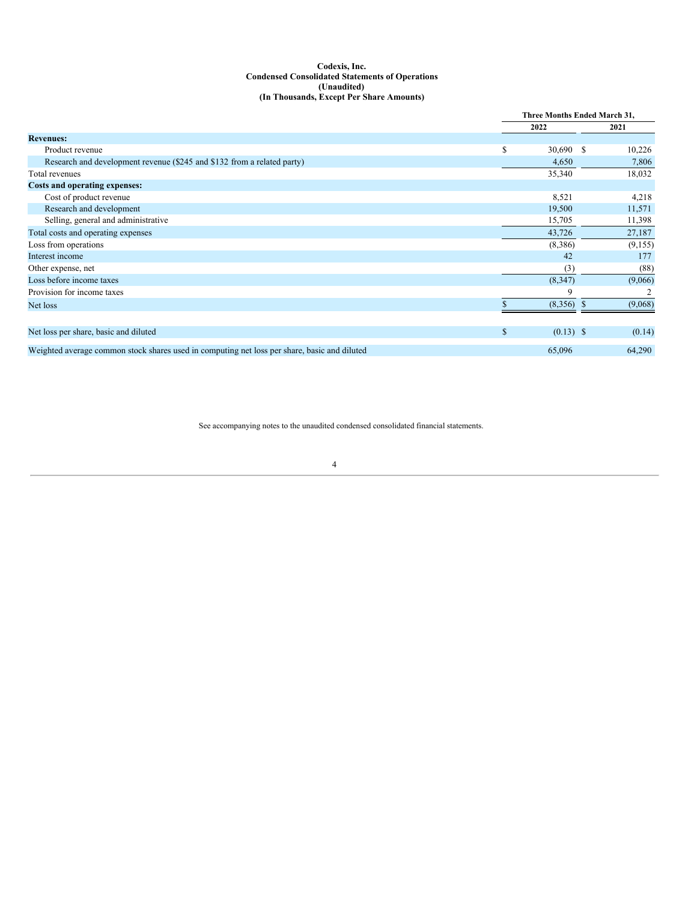### **Codexis, Inc. Condensed Consolidated Statements of Operations (Unaudited) (In Thousands, Except Per Share Amounts)**

|                                                                                              |              | Three Months Ended March 31, |         |  |
|----------------------------------------------------------------------------------------------|--------------|------------------------------|---------|--|
|                                                                                              | 2022         |                              | 2021    |  |
| <b>Revenues:</b>                                                                             |              |                              |         |  |
| Product revenue                                                                              | S            | 30,690 \$                    | 10,226  |  |
| Research and development revenue (\$245 and \$132 from a related party)                      |              | 4,650                        | 7,806   |  |
| Total revenues                                                                               |              | 35,340                       | 18,032  |  |
| <b>Costs and operating expenses:</b>                                                         |              |                              |         |  |
| Cost of product revenue                                                                      |              | 8,521                        | 4,218   |  |
| Research and development                                                                     |              | 19,500                       | 11,571  |  |
| Selling, general and administrative                                                          |              | 15,705                       | 11,398  |  |
| Total costs and operating expenses                                                           |              | 43,726                       | 27,187  |  |
| Loss from operations                                                                         |              | (8,386)                      | (9,155) |  |
| Interest income                                                                              |              | 42                           | 177     |  |
| Other expense, net                                                                           |              | (3)                          | (88)    |  |
| Loss before income taxes                                                                     |              | (8,347)                      | (9,066) |  |
| Provision for income taxes                                                                   |              | 9                            | 2       |  |
| Net loss                                                                                     |              | $(8,356)$ \$                 | (9,068) |  |
|                                                                                              |              |                              |         |  |
| Net loss per share, basic and diluted                                                        | $\mathbb{S}$ | $(0.13)$ \$                  | (0.14)  |  |
| Weighted average common stock shares used in computing net loss per share, basic and diluted |              | 65,096                       | 64,290  |  |

<span id="page-3-0"></span>See accompanying notes to the unaudited condensed consolidated financial statements.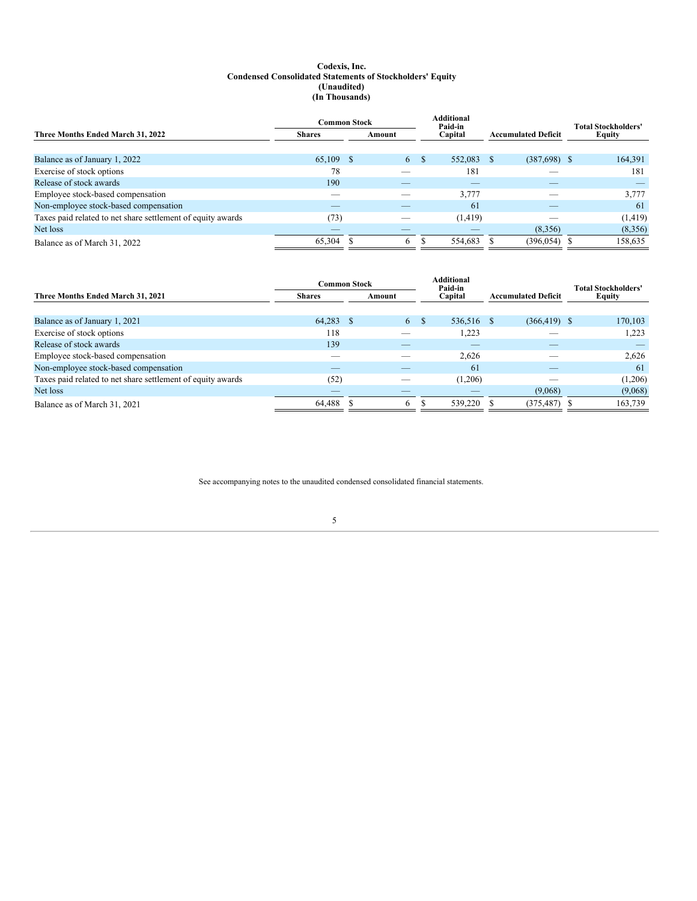### **Codexis, Inc. Condensed Consolidated Statements of Stockholders' Equity (Unaudited) (In Thousands)**

|                                                             | <b>Common Stock</b> |  |        |    | <b>Additional</b><br>Paid-in |      |                            |  | <b>Total Stockholders'</b> |  |
|-------------------------------------------------------------|---------------------|--|--------|----|------------------------------|------|----------------------------|--|----------------------------|--|
| Three Months Ended March 31, 2022                           | <b>Shares</b>       |  | Amount |    | Capital                      |      | <b>Accumulated Deficit</b> |  | Equity                     |  |
|                                                             |                     |  |        |    |                              |      |                            |  |                            |  |
| Balance as of January 1, 2022                               | 65,109 \$           |  | 6      | -S | 552,083                      | - \$ | $(387,698)$ \$             |  | 164,391                    |  |
| Exercise of stock options                                   | 78                  |  |        |    | 181                          |      |                            |  | 181                        |  |
| Release of stock awards                                     | 190                 |  |        |    | _                            |      |                            |  |                            |  |
| Employee stock-based compensation                           |                     |  |        |    | 3,777                        |      |                            |  | 3,777                      |  |
| Non-employee stock-based compensation                       | _                   |  |        |    | 61                           |      |                            |  | 61                         |  |
| Taxes paid related to net share settlement of equity awards | (73)                |  |        |    | (1, 419)                     |      |                            |  | (1, 419)                   |  |
| Net loss                                                    |                     |  |        |    |                              |      | (8,356)                    |  | (8,356)                    |  |
| Balance as of March 31, 2022                                | 65,304              |  | 6      |    | 554,683                      |      | (396, 054)                 |  | 158,635                    |  |

|                                                             | <b>Common Stock</b> |  |        |    | <b>Additional</b><br>Paid-in |                            |                 |  | <b>Total Stockholders'</b> |  |
|-------------------------------------------------------------|---------------------|--|--------|----|------------------------------|----------------------------|-----------------|--|----------------------------|--|
| Three Months Ended March 31, 2021                           | <b>Shares</b>       |  | Amount |    | Capital                      | <b>Accumulated Deficit</b> |                 |  | Equity                     |  |
|                                                             |                     |  |        |    |                              |                            |                 |  |                            |  |
| Balance as of January 1, 2021                               | 64,283 \$           |  | 6      | -S | 536,516 \$                   |                            | $(366, 419)$ \$ |  | 170,103                    |  |
| Exercise of stock options                                   | 118                 |  |        |    | 1,223                        |                            |                 |  | 1,223                      |  |
| Release of stock awards                                     | 139                 |  |        |    | _                            |                            | _               |  |                            |  |
| Employee stock-based compensation                           |                     |  |        |    | 2,626                        |                            |                 |  | 2,626                      |  |
| Non-employee stock-based compensation                       |                     |  |        |    | 61                           |                            |                 |  | 61                         |  |
| Taxes paid related to net share settlement of equity awards | (52)                |  |        |    | (1,206)                      |                            |                 |  | (1,206)                    |  |
| Net loss                                                    |                     |  |        |    | _                            |                            | (9,068)         |  | (9,068)                    |  |
| Balance as of March 31, 2021                                | 64,488              |  | 6.     |    | 539,220                      |                            | $(375, 487)$ \$ |  | 163,739                    |  |

<span id="page-4-0"></span>See accompanying notes to the unaudited condensed consolidated financial statements.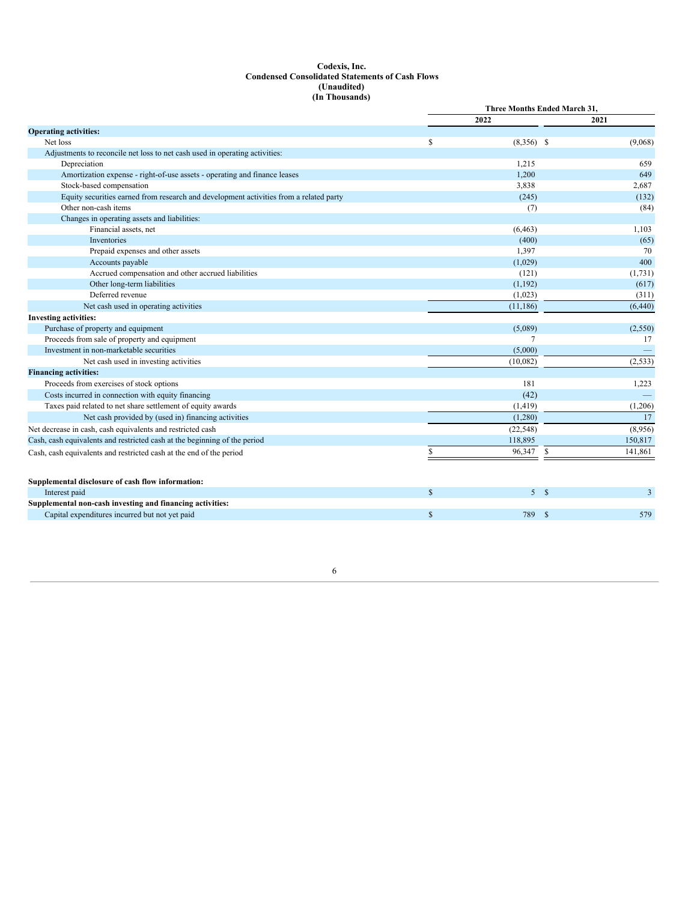### **Codexis, Inc. Condensed Consolidated Statements of Cash Flows (Unaudited) (In Thousands)**

|                                                                                        |              | Three Months Ended March 31, |          |                |  |  |
|----------------------------------------------------------------------------------------|--------------|------------------------------|----------|----------------|--|--|
|                                                                                        |              | 2022                         |          | 2021           |  |  |
| <b>Operating activities:</b>                                                           |              |                              |          |                |  |  |
| Net loss                                                                               | S            | $(8,356)$ \$                 |          | (9,068)        |  |  |
| Adjustments to reconcile net loss to net cash used in operating activities:            |              |                              |          |                |  |  |
| Depreciation                                                                           |              | 1,215                        |          | 659            |  |  |
| Amortization expense - right-of-use assets - operating and finance leases              |              | 1,200                        |          | 649            |  |  |
| Stock-based compensation                                                               |              | 3,838                        |          | 2,687          |  |  |
| Equity securities earned from research and development activities from a related party |              | (245)                        |          | (132)          |  |  |
| Other non-cash items                                                                   |              | (7)                          |          | (84)           |  |  |
| Changes in operating assets and liabilities:                                           |              |                              |          |                |  |  |
| Financial assets, net                                                                  |              | (6, 463)                     |          | 1,103          |  |  |
| Inventories                                                                            |              | (400)                        |          | (65)           |  |  |
| Prepaid expenses and other assets                                                      |              | 1,397                        |          | 70             |  |  |
| Accounts payable                                                                       |              | (1,029)                      |          | 400            |  |  |
| Accrued compensation and other accrued liabilities                                     |              | (121)                        |          | (1,731)        |  |  |
| Other long-term liabilities                                                            |              | (1,192)                      |          | (617)          |  |  |
| Deferred revenue                                                                       |              | (1,023)                      |          | (311)          |  |  |
| Net cash used in operating activities                                                  |              | (11, 186)                    |          | (6,440)        |  |  |
| <b>Investing activities:</b>                                                           |              |                              |          |                |  |  |
| Purchase of property and equipment                                                     |              | (5,089)                      |          | (2,550)        |  |  |
| Proceeds from sale of property and equipment                                           |              | 7                            |          | 17             |  |  |
| Investment in non-marketable securities                                                |              | (5,000)                      |          |                |  |  |
| Net cash used in investing activities                                                  |              | (10,082)                     |          | (2, 533)       |  |  |
| <b>Financing activities:</b>                                                           |              |                              |          |                |  |  |
| Proceeds from exercises of stock options                                               |              | 181                          |          | 1,223          |  |  |
| Costs incurred in connection with equity financing                                     |              | (42)                         |          |                |  |  |
| Taxes paid related to net share settlement of equity awards                            |              | (1, 419)                     |          | (1,206)        |  |  |
| Net cash provided by (used in) financing activities                                    |              | (1,280)                      |          | 17             |  |  |
| Net decrease in cash, cash equivalents and restricted cash                             |              | (22, 548)                    |          | (8,956)        |  |  |
| Cash, cash equivalents and restricted cash at the beginning of the period              |              | 118,895                      |          | 150,817        |  |  |
| Cash, cash equivalents and restricted cash at the end of the period                    | S            | 96,347                       | \$       | 141,861        |  |  |
|                                                                                        |              |                              |          |                |  |  |
| Supplemental disclosure of cash flow information:                                      |              |                              |          |                |  |  |
| Interest paid                                                                          | $\mathbf{s}$ | 5S                           |          | $\overline{3}$ |  |  |
| Supplemental non-cash investing and financing activities:                              |              |                              |          |                |  |  |
| Capital expenditures incurred but not yet paid                                         | $\mathbb{S}$ | 789                          | <b>S</b> | 579            |  |  |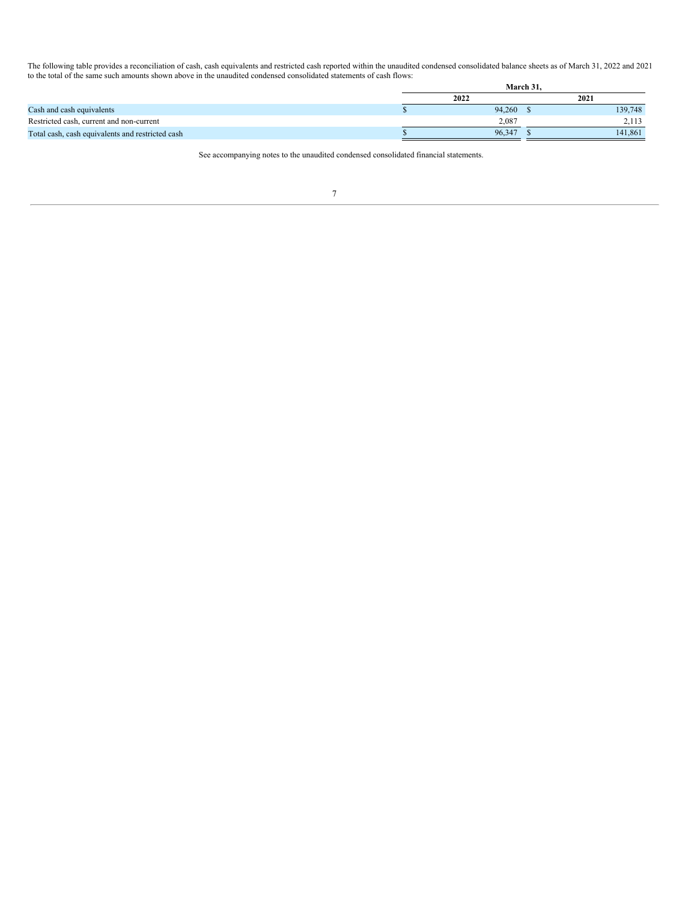The following table provides a reconciliation of cash, cash equivalents and restricted cash reported within the unaudited condensed consolidated balance sheets as of March 31, 2022 and 2021 to the total of the same such amounts shown above in the unaudited condensed consolidated statements of cash flows: **March 31,**

<span id="page-6-0"></span>

|                                                  | March 31. |        |         |  |  |  |
|--------------------------------------------------|-----------|--------|---------|--|--|--|
|                                                  | 2022      |        | 2021    |  |  |  |
| Cash and cash equivalents                        |           | 94,260 | 139,748 |  |  |  |
| Restricted cash, current and non-current         |           | 2.087  | 2,113   |  |  |  |
| Total cash, cash equivalents and restricted cash |           | 96.347 | 141,861 |  |  |  |

See accompanying notes to the unaudited condensed consolidated financial statements.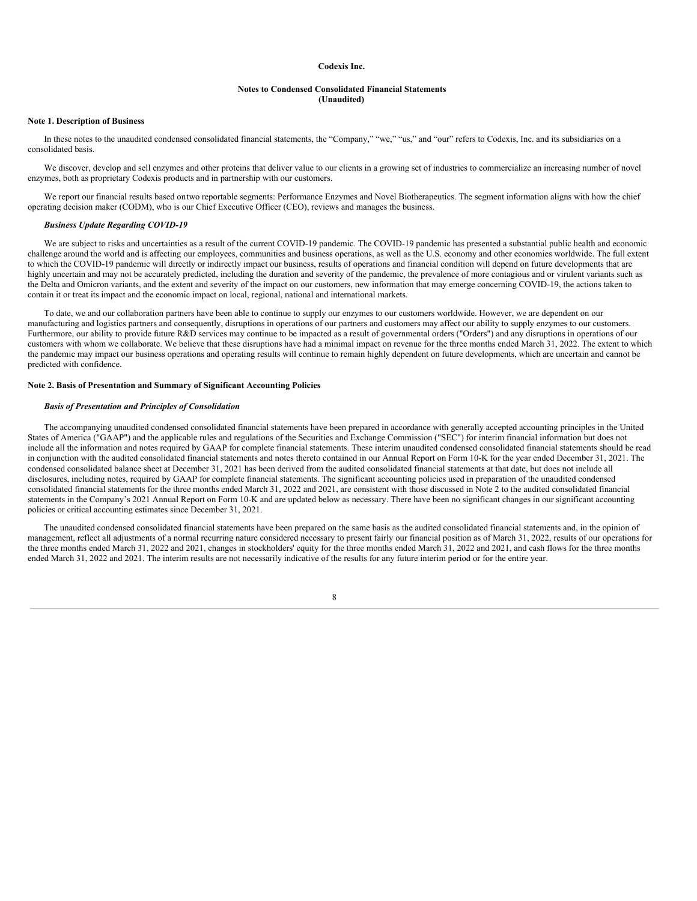### **Codexis Inc.**

### **Notes to Condensed Consolidated Financial Statements (Unaudited)**

### **Note 1. Description of Business**

In these notes to the unaudited condensed consolidated financial statements, the "Company," "we," "us," and "our" refers to Codexis, Inc. and its subsidiaries on a consolidated basis.

We discover, develop and sell enzymes and other proteins that deliver value to our clients in a growing set of industries to commercialize an increasing number of novel enzymes, both as proprietary Codexis products and in partnership with our customers.

We report our financial results based ontwo reportable segments: Performance Enzymes and Novel Biotherapeutics. The segment information aligns with how the chief operating decision maker (CODM), who is our Chief Executive Officer (CEO), reviews and manages the business.

#### *Business Update Regarding COVID-19*

We are subject to risks and uncertainties as a result of the current COVID-19 pandemic. The COVID-19 pandemic has presented a substantial public health and economic challenge around the world and is affecting our employees, communities and business operations, as well as the U.S. economy and other economies worldwide. The full extent to which the COVID-19 pandemic will directly or indirectly impact our business, results of operations and financial condition will depend on future developments that are highly uncertain and may not be accurately predicted, including the duration and severity of the pandemic, the prevalence of more contagious and or virulent variants such as the Delta and Omicron variants, and the extent and severity of the impact on our customers, new information that may emerge concerning COVID-19, the actions taken to contain it or treat its impact and the economic impact on local, regional, national and international markets.

To date, we and our collaboration partners have been able to continue to supply our enzymes to our customers worldwide. However, we are dependent on our manufacturing and logistics partners and consequently, disruptions in operations of our partners and customers may affect our ability to supply enzymes to our customers. Furthermore, our ability to provide future R&D services may continue to be impacted as a result of governmental orders ("Orders") and any disruptions in operations of our customers with whom we collaborate. We believe that these disruptions have had a minimal impact on revenue for the three months ended March 31, 2022. The extent to which the pandemic may impact our business operations and operating results will continue to remain highly dependent on future developments, which are uncertain and cannot be predicted with confidence.

### **Note 2. Basis of Presentation and Summary of Significant Accounting Policies**

### *Basis of Presentation and Principles of Consolidation*

The accompanying unaudited condensed consolidated financial statements have been prepared in accordance with generally accepted accounting principles in the United States of America ("GAAP") and the applicable rules and regulations of the Securities and Exchange Commission ("SEC") for interim financial information but does not include all the information and notes required by GAAP for complete financial statements. These interim unaudited condensed consolidated financial statements should be read in conjunction with the audited consolidated financial statements and notes thereto contained in our Annual Report on Form 10-K for the year ended December 31, 2021. The condensed consolidated balance sheet at December 31, 2021 has been derived from the audited consolidated financial statements at that date, but does not include all disclosures, including notes, required by GAAP for complete financial statements. The significant accounting policies used in preparation of the unaudited condensed consolidated financial statements for the three months ended March 31, 2022 and 2021, are consistent with those discussed in Note 2 to the audited consolidated financial statements in the Company's 2021 Annual Report on Form 10-K and are updated below as necessary. There have been no significant changes in our significant accounting policies or critical accounting estimates since December 31, 2021.

The unaudited condensed consolidated financial statements have been prepared on the same basis as the audited consolidated financial statements and, in the opinion of management, reflect all adjustments of a normal recurring nature considered necessary to present fairly our financial position as of March 31, 2022, results of our operations for the three months ended March 31, 2022 and 2021, changes in stockholders' equity for the three months ended March 31, 2022 and 2021, and cash flows for the three months ended March 31, 2022 and 2021. The interim results are not necessarily indicative of the results for any future interim period or for the entire year.

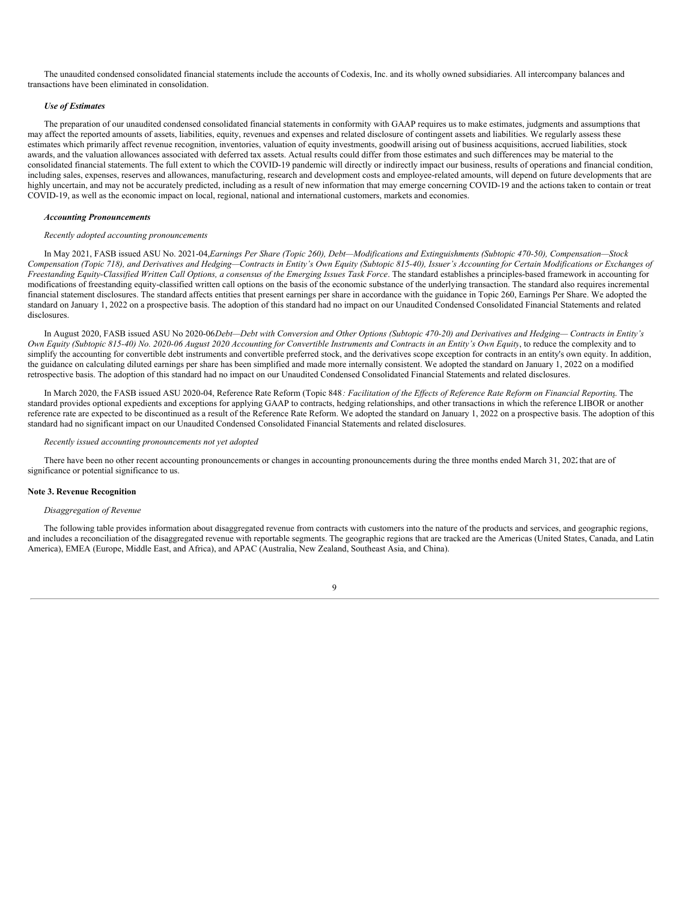The unaudited condensed consolidated financial statements include the accounts of Codexis, Inc. and its wholly owned subsidiaries. All intercompany balances and transactions have been eliminated in consolidation.

### *Use of Estimates*

The preparation of our unaudited condensed consolidated financial statements in conformity with GAAP requires us to make estimates, judgments and assumptions that may affect the reported amounts of assets, liabilities, equity, revenues and expenses and related disclosure of contingent assets and liabilities. We regularly assess these estimates which primarily affect revenue recognition, inventories, valuation of equity investments, goodwill arising out of business acquisitions, accrued liabilities, stock awards, and the valuation allowances associated with deferred tax assets. Actual results could differ from those estimates and such differences may be material to the consolidated financial statements. The full extent to which the COVID-19 pandemic will directly or indirectly impact our business, results of operations and financial condition, including sales, expenses, reserves and allowances, manufacturing, research and development costs and employee-related amounts, will depend on future developments that are highly uncertain, and may not be accurately predicted, including as a result of new information that may emerge concerning COVID-19 and the actions taken to contain or treat COVID-19, as well as the economic impact on local, regional, national and international customers, markets and economies.

#### *Accounting Pronouncements*

#### *Recently adopted accounting pronouncements*

In May 2021, FASB issued ASU No. 2021-04, Earnings Per Share (Topic 260), Debt-Modifications and Extinguishments (Subtopic 470-50), Compensation-Stock Compensation (Topic 718), and Derivatives and Hedging-Contracts in Entity's Own Equity (Subtopic 815-40), Issuer's Accounting for Certain Modifications or Exchanges of Freestanding Equity-Classified Written Call Options, a consensus of the Emerging Issues Task Force. The standard establishes a principles-based framework in accounting for modifications of freestanding equity-classified written call options on the basis of the economic substance of the underlying transaction. The standard also requires incremental financial statement disclosures. The standard affects entities that present earnings per share in accordance with the guidance in Topic 260, Earnings Per Share. We adopted the standard on January 1, 2022 on a prospective basis. The adoption of this standard had no impact on our Unaudited Condensed Consolidated Financial Statements and related disclosures.

In August 2020, FASB issued ASU No 2020-06Debt-Debt with Conversion and Other Options (Subtopic 470-20) and Derivatives and Hedging-Contracts in Entity's Own Equity (Subtopic 815-40) No. 2020-06 August 2020 Accounting for Convertible Instruments and Contracts in an Entity's Own Equity, to reduce the complexity and to simplify the accounting for convertible debt instruments and convertible preferred stock, and the derivatives scope exception for contracts in an entity's own equity. In addition, the guidance on calculating diluted earnings per share has been simplified and made more internally consistent. We adopted the standard on January 1, 2022 on a modified retrospective basis. The adoption of this standard had no impact on our Unaudited Condensed Consolidated Financial Statements and related disclosures.

In March 2020, the FASB issued ASU 2020-04, Reference Rate Reform (Topic 848: Facilitation of the Effects of Reference Rate Reform on Financial Reporting. The standard provides optional expedients and exceptions for applying GAAP to contracts, hedging relationships, and other transactions in which the reference LIBOR or another reference rate are expected to be discontinued as a result of the Reference Rate Reform. We adopted the standard on January 1, 2022 on a prospective basis. The adoption of this standard had no significant impact on our Unaudited Condensed Consolidated Financial Statements and related disclosures.

#### *Recently issued accounting pronouncements not yet adopted*

There have been no other recent accounting pronouncements or changes in accounting pronouncements during the three months ended March 31, 2022 that are of significance or potential significance to us.

#### **Note 3. Revenue Recognition**

#### *Disaggregation of Revenue*

The following table provides information about disaggregated revenue from contracts with customers into the nature of the products and services, and geographic regions, and includes a reconciliation of the disaggregated revenue with reportable segments. The geographic regions that are tracked are the Americas (United States, Canada, and Latin America), EMEA (Europe, Middle East, and Africa), and APAC (Australia, New Zealand, Southeast Asia, and China).

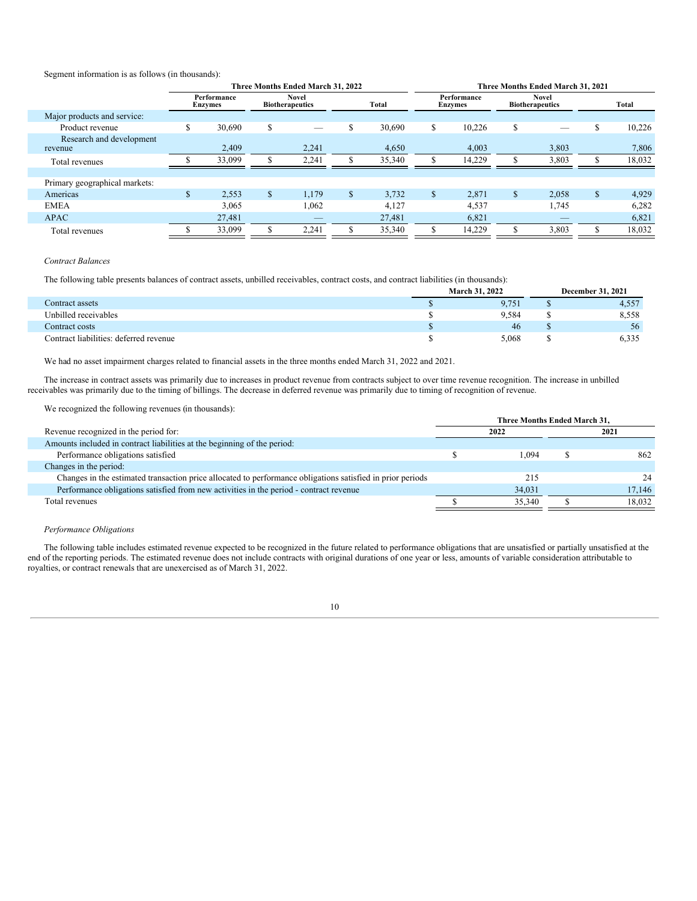Segment information is as follows (in thousands):

|                                     | Three Months Ended March 31, 2022 |                        |              |                                        |              |        |              |                        | Three Months Ended March 31, 2021 |                                        |              |        |
|-------------------------------------|-----------------------------------|------------------------|--------------|----------------------------------------|--------------|--------|--------------|------------------------|-----------------------------------|----------------------------------------|--------------|--------|
|                                     |                                   | Performance<br>Enzymes |              | <b>Novel</b><br><b>Biotherapeutics</b> |              | Total  |              | Performance<br>Enzymes |                                   | <b>Novel</b><br><b>Biotherapeutics</b> |              | Total  |
| Major products and service:         |                                   |                        |              |                                        |              |        |              |                        |                                   |                                        |              |        |
| Product revenue                     | ж                                 | 30.690                 | S.           | -                                      | \$           | 30,690 | \$           | 10,226                 | \$                                |                                        | S            | 10,226 |
| Research and development<br>revenue |                                   | 2,409                  |              | 2,241                                  |              | 4,650  |              | 4,003                  |                                   | 3,803                                  |              | 7,806  |
| Total revenues                      |                                   | 33,099                 |              | 2,241                                  |              | 35,340 |              | 14,229                 |                                   | 3,803                                  |              | 18,032 |
|                                     |                                   |                        |              |                                        |              |        |              |                        |                                   |                                        |              |        |
| Primary geographical markets:       |                                   |                        |              |                                        |              |        |              |                        |                                   |                                        |              |        |
| Americas                            | \$.                               | 2,553                  | $\mathbb{S}$ | 1.179                                  | $\mathbb{S}$ | 3.732  | $\mathbb{S}$ | 2,871                  | $\mathbb{S}$                      | 2,058                                  | $\mathbb{S}$ | 4,929  |
| <b>EMEA</b>                         |                                   | 3,065                  |              | 1,062                                  |              | 4,127  |              | 4,537                  |                                   | 1,745                                  |              | 6,282  |
| <b>APAC</b>                         |                                   | 27,481                 |              | $\hspace{0.1mm}-\hspace{0.1mm}$        |              | 27,481 |              | 6,821                  |                                   | __                                     |              | 6,821  |
| Total revenues                      |                                   | 33,099                 |              | 2,241                                  | \$           | 35,340 | ¢<br>D       | 14,229                 |                                   | 3,803                                  | ø            | 18,032 |

### *Contract Balances*

The following table presents balances of contract assets, unbilled receivables, contract costs, and contract liabilities (in thousands):

|                                        | March 31, 2022 |  | December 31, 2021 |  |
|----------------------------------------|----------------|--|-------------------|--|
| Contract assets                        | 9.751          |  | 4,557             |  |
| Unbilled receivables                   | 9.584          |  | 8,558             |  |
| Contract costs                         | 46             |  | 56                |  |
| Contract liabilities: deferred revenue | 5,068          |  | 6,335             |  |

We had no asset impairment charges related to financial assets in the three months ended March 31, 2022 and 2021.

The increase in contract assets was primarily due to increases in product revenue from contracts subject to over time revenue recognition. The increase in unbilled receivables was primarily due to the timing of billings. The decrease in deferred revenue was primarily due to timing of recognition of revenue.

We recognized the following revenues (in thousands):

|                                                                                                            | Three Months Ended March 31, |        |  |        |  |  |
|------------------------------------------------------------------------------------------------------------|------------------------------|--------|--|--------|--|--|
| Revenue recognized in the period for:                                                                      |                              | 2022   |  | 2021   |  |  |
| Amounts included in contract liabilities at the beginning of the period:                                   |                              |        |  |        |  |  |
| Performance obligations satisfied                                                                          |                              | .094   |  | 862    |  |  |
| Changes in the period:                                                                                     |                              |        |  |        |  |  |
| Changes in the estimated transaction price allocated to performance obligations satisfied in prior periods |                              | 215    |  | 24     |  |  |
| Performance obligations satisfied from new activities in the period - contract revenue                     |                              | 34.031 |  | 17.146 |  |  |
| Total revenues                                                                                             |                              | 35.340 |  | 18.032 |  |  |

### *Performance Obligations*

The following table includes estimated revenue expected to be recognized in the future related to performance obligations that are unsatisfied or partially unsatisfied at the end of the reporting periods. The estimated revenue does not include contracts with original durations of one year or less, amounts of variable consideration attributable to royalties, or contract renewals that are unexercised as of March 31, 2022.

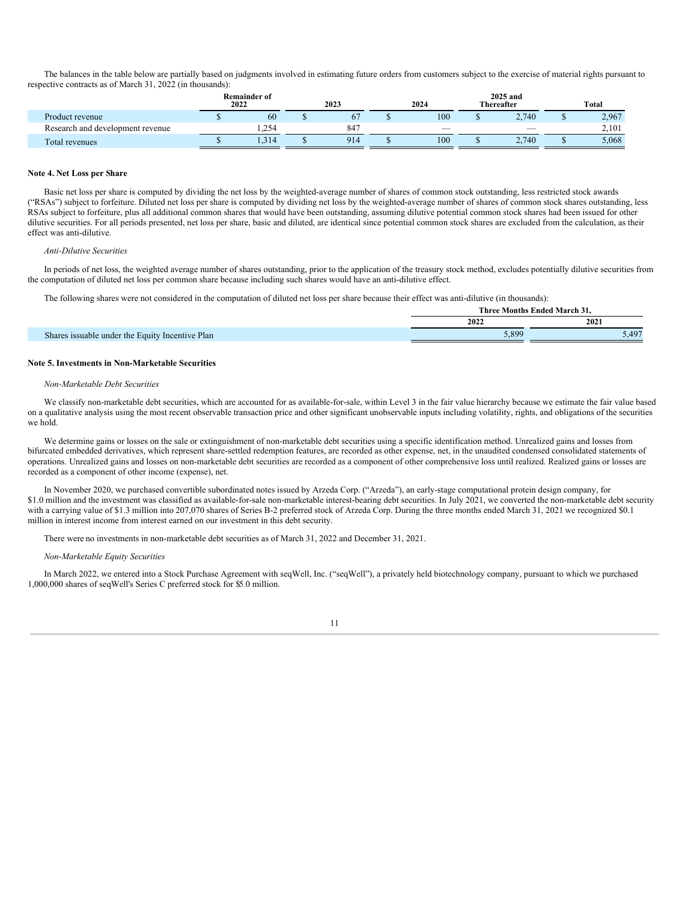The balances in the table below are partially based on judgments involved in estimating future orders from customers subject to the exercise of material rights pursuant to respective contracts as of March 31, 2022 (in thousands):

|                                  | 2025 and<br><b>Remainder of</b><br>2022<br>2024<br>2023<br><b>Thereafter</b> |  |     |  |     | Total |       |
|----------------------------------|------------------------------------------------------------------------------|--|-----|--|-----|-------|-------|
| Product revenue                  | 60                                                                           |  |     |  | 100 | 2.740 | 2,967 |
| Research and development revenue | . 254                                                                        |  | 847 |  | --  |       | 2.101 |
| Total revenues                   | .314                                                                         |  | 914 |  | 100 | 2.740 | 5.068 |

### **Note 4. Net Loss per Share**

Basic net loss per share is computed by dividing the net loss by the weighted-average number of shares of common stock outstanding, less restricted stock awards ("RSAs") subject to forfeiture. Diluted net loss per share is computed by dividing net loss by the weighted-average number of shares of common stock shares outstanding, less RSAs subject to forfeiture, plus all additional common shares that would have been outstanding, assuming dilutive potential common stock shares had been issued for other dilutive securities. For all periods presented, net loss per share, basic and diluted, are identical since potential common stock shares are excluded from the calculation, as their effect was anti-dilutive.

#### *Anti-Dilutive Securities*

In periods of net loss, the weighted average number of shares outstanding, prior to the application of the treasury stock method, excludes potentially dilutive securities from the computation of diluted net loss per common share because including such shares would have an anti-dilutive effect.

The following shares were not considered in the computation of diluted net loss per share because their effect was anti-dilutive (in thousands):

|                                                            | - Ended March 3<br>l'hree Months |                 |  |  |  |
|------------------------------------------------------------|----------------------------------|-----------------|--|--|--|
|                                                            | 2022                             | 2021            |  |  |  |
| s issuable under the Equity Incentive Plan<br><b>Share</b> | 5.899                            | A <sub>07</sub> |  |  |  |

### **Note 5. Investments in Non-Marketable Securities**

#### *Non-Marketable Debt Securities*

We classify non-marketable debt securities, which are accounted for as available-for-sale, within Level 3 in the fair value hierarchy because we estimate the fair value based on a qualitative analysis using the most recent observable transaction price and other significant unobservable inputs including volatility, rights, and obligations of the securities we hold.

We determine gains or losses on the sale or extinguishment of non-marketable debt securities using a specific identification method. Unrealized gains and losses from bifurcated embedded derivatives, which represent share-settled redemption features, are recorded as other expense, net, in the unaudited condensed consolidated statements of operations. Unrealized gains and losses on non-marketable debt securities are recorded as a component of other comprehensive loss until realized. Realized gains or losses are recorded as a component of other income (expense), net.

In November 2020, we purchased convertible subordinated notes issued by Arzeda Corp. ("Arzeda"), an early-stage computational protein design company, for \$1.0 million and the investment was classified as available-for-sale non-marketable interest-bearing debt securities. In July 2021, we converted the non-marketable debt security with a carrying value of \$1.3 million into 207,070 shares of Series B-2 preferred stock of Arzeda Corp. During the three months ended March 31, 2021 we recognized \$0.1 million in interest income from interest earned on our investment in this debt security.

There were no investments in non-marketable debt securities as of March 31, 2022 and December 31, 2021.

#### *Non-Marketable Equity Securities*

In March 2022, we entered into a Stock Purchase Agreement with seqWell, Inc. ("seqWell"), a privately held biotechnology company, pursuant to which we purchased 1,000,000 shares of seqWell's Series C preferred stock for \$5.0 million.

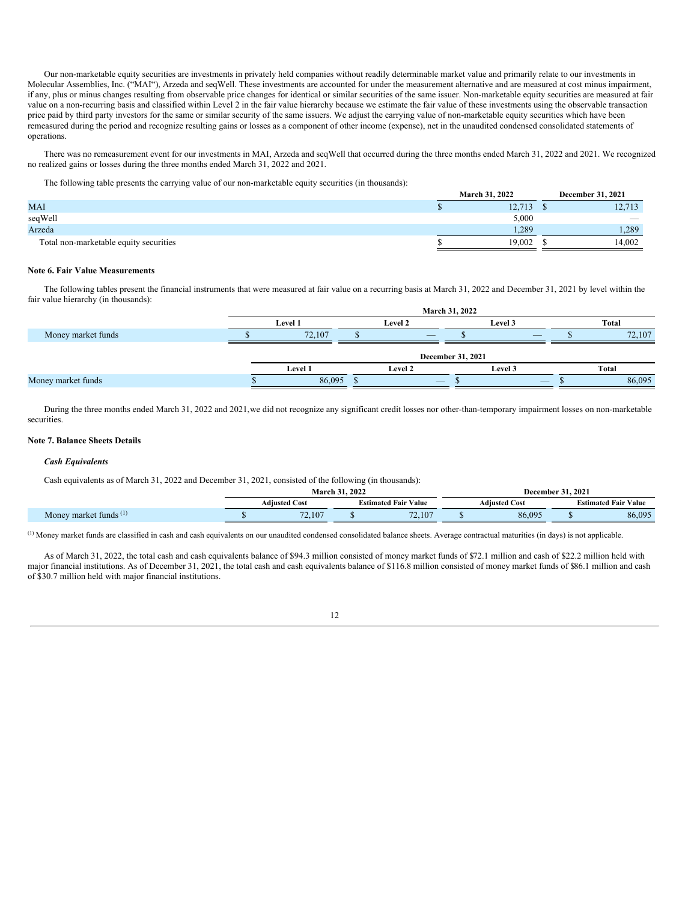Our non-marketable equity securities are investments in privately held companies without readily determinable market value and primarily relate to our investments in Molecular Assemblies, Inc. ("MAI"), Arzeda and seqWell. These investments are accounted for under the measurement alternative and are measured at cost minus impairment, if any, plus or minus changes resulting from observable price changes for identical or similar securities of the same issuer. Non-marketable equity securities are measured at fair value on a non-recurring basis and classified within Level 2 in the fair value hierarchy because we estimate the fair value of these investments using the observable transaction price paid by third party investors for the same or similar security of the same issuers. We adjust the carrying value of non-marketable equity securities which have been remeasured during the period and recognize resulting gains or losses as a component of other income (expense), net in the unaudited condensed consolidated statements of operations.

There was no remeasurement event for our investments in MAI, Arzeda and seqWell that occurred during the three months ended March 31, 2022 and 2021. We recognized no realized gains or losses during the three months ended March 31, 2022 and 2021.

The following table presents the carrying value of our non-marketable equity securities (in thousands):

|                                        | <b>March 31, 2022</b> |  | <b>December 31, 2021</b> |
|----------------------------------------|-----------------------|--|--------------------------|
| <b>MAI</b>                             | 12.713                |  | 12,713                   |
| seqWell                                | 5,000                 |  | $\overline{\phantom{a}}$ |
| Arzeda                                 | 1,289                 |  | 1,289                    |
| Total non-marketable equity securities | 19.002                |  | 14.002                   |

### **Note 6. Fair Value Measurements**

The following tables present the financial instruments that were measured at fair value on a recurring basis at March 31, 2022 and December 31, 2021 by level within the fair value hierarchy (in thousands):

|                    |                          |         |  | March 31, 2022                  |  |                          |  |        |  |
|--------------------|--------------------------|---------|--|---------------------------------|--|--------------------------|--|--------|--|
|                    |                          | Level 1 |  | Level 2                         |  | Level 3                  |  | Total  |  |
| Money market funds |                          | 72.107  |  | $\qquad \qquad - \qquad$        |  | $\overline{\phantom{m}}$ |  | 72,107 |  |
|                    | <b>December 31, 2021</b> |         |  |                                 |  |                          |  |        |  |
|                    |                          | Level 1 |  | Level 2                         |  | Level 3                  |  | Total  |  |
| Money market funds |                          | 86.095  |  | $\hspace{0.1mm}-\hspace{0.1mm}$ |  | $\overline{\phantom{a}}$ |  | 86,095 |  |
|                    |                          |         |  |                                 |  |                          |  |        |  |

During the three months ended March 31, 2022 and 2021,we did not recognize any significant credit losses nor other-than-temporary impairment losses on non-marketable securities.

#### **Note 7. Balance Sheets Details**

### *Cash Equivalents*

Cash equivalents as of March 31, 2022 and December 31, 2021, consisted of the following (in thousands):

|                    | 31, 2022<br>March |                                    |  | December                    | 31, 2021             |  |                      |
|--------------------|-------------------|------------------------------------|--|-----------------------------|----------------------|--|----------------------|
|                    |                   | <b>Adiusted Cost</b>               |  | <b>Estimated Fair Value</b> | <b>Adiusted Cost</b> |  | Estimated Fair Value |
| Money market funds |                   | $\overline{\phantom{a}}$<br>/2,107 |  | 2.107<br>$\sim$             | 86,095               |  | 86,095               |

Money market funds are classified in cash and cash equivalents on our unaudited condensed consolidated balance sheets. Average contractual maturities (in days) is not applicable. (1)

As of March 31, 2022, the total cash and cash equivalents balance of \$94.3 million consisted of money market funds of \$72.1 million and cash of \$22.2 million held with major financial institutions. As of December 31, 2021, the total cash and cash equivalents balance of \$116.8 million consisted of money market funds of \$86.1 million and cash of \$30.7 million held with major financial institutions.

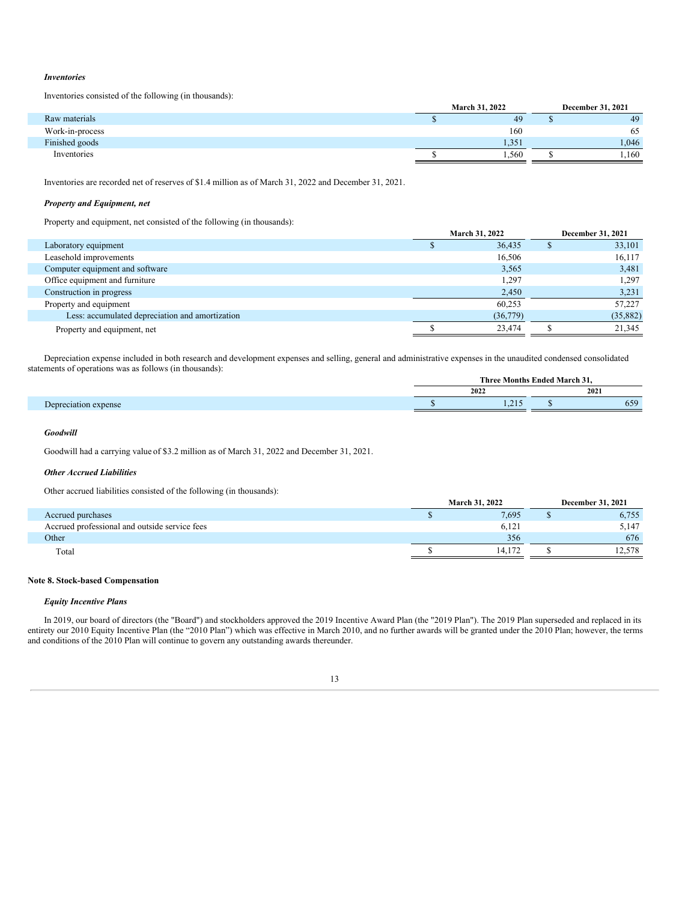#### *Inventories*

Inventories consisted of the following (in thousands):

|                 |  | <b>March 31, 2022</b> | <b>December 31, 2021</b> |       |  |
|-----------------|--|-----------------------|--------------------------|-------|--|
| Raw materials   |  | 49                    |                          | 49    |  |
| Work-in-process |  | 160                   |                          | 65    |  |
| Finished goods  |  | 1.351                 |                          | .046  |  |
| Inventories     |  | 1.560                 |                          | . 160 |  |

Inventories are recorded net of reserves of \$1.4 million as of March 31, 2022 and December 31, 2021.

### *Property and Equipment, net*

Property and equipment, net consisted of the following (in thousands):

|                                                 | March 31, 2022 | December 31, 2021 |          |  |
|-------------------------------------------------|----------------|-------------------|----------|--|
| Laboratory equipment                            | 36,435         |                   | 33,101   |  |
| Leasehold improvements                          | 16,506         |                   | 16,117   |  |
| Computer equipment and software                 | 3,565          |                   | 3,481    |  |
| Office equipment and furniture                  | 1,297          |                   | 1,297    |  |
| Construction in progress                        | 2.450          |                   | 3,231    |  |
| Property and equipment                          | 60.253         |                   | 57.227   |  |
| Less: accumulated depreciation and amortization | (36,779)       |                   | (35,882) |  |
| Property and equipment, net                     | 23,474         |                   | 21.345   |  |

Depreciation expense included in both research and development expenses and selling, general and administrative expenses in the unaudited condensed consolidated statements of operations was as follows (in thousands):

|  | Three .<br>: Months Ended March . |  |                                    |  |  |  |
|--|-----------------------------------|--|------------------------------------|--|--|--|
|  | 2022                              |  | 2021                               |  |  |  |
|  | $\bigcap$ 1.1<br>$\cdots$         |  | $\epsilon$ = $\alpha$<br><b>UJ</b> |  |  |  |

### *Goodwill*

Goodwill had a carrying value of \$3.2 million as of March 31, 2022 and December 31, 2021.

### *Other Accrued Liabilities*

Other accrued liabilities consisted of the following (in thousands):

|                                               | <b>March 31, 2022</b> |        |  | <b>December 31, 2021</b> |  |  |
|-----------------------------------------------|-----------------------|--------|--|--------------------------|--|--|
| Accrued purchases                             |                       | 7,695  |  | 6,755                    |  |  |
| Accrued professional and outside service fees |                       | 6,121  |  | 5,147                    |  |  |
| Other                                         |                       | 356    |  | 676                      |  |  |
| Total                                         |                       | 14.172 |  | 12.578                   |  |  |

# **Note 8. Stock-based Compensation**

### *Equity Incentive Plans*

In 2019, our board of directors (the "Board") and stockholders approved the 2019 Incentive Award Plan (the "2019 Plan"). The 2019 Plan superseded and replaced in its entirety our 2010 Equity Incentive Plan (the "2010 Plan") which was effective in March 2010, and no further awards will be granted under the 2010 Plan; however, the terms and conditions of the 2010 Plan will continue to govern any outstanding awards thereunder.

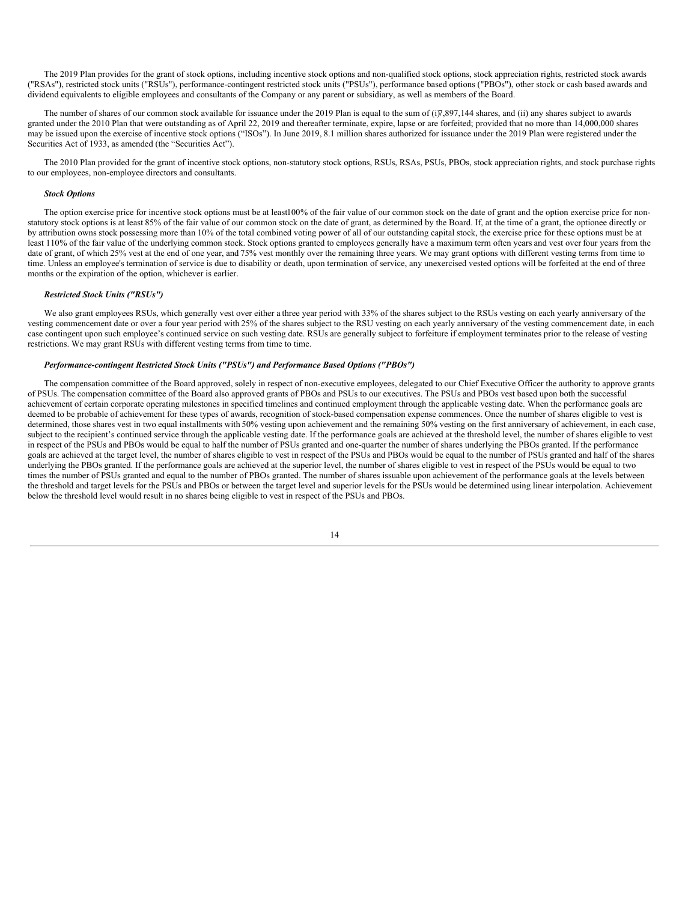The 2019 Plan provides for the grant of stock options, including incentive stock options and non-qualified stock options, stock appreciation rights, restricted stock awards ("RSAs"), restricted stock units ("RSUs"), performance-contingent restricted stock units ("PSUs"), performance based options ("PBOs"), other stock or cash based awards and dividend equivalents to eligible employees and consultants of the Company or any parent or subsidiary, as well as members of the Board.

The number of shares of our common stock available for issuance under the 2019 Plan is equal to the sum of (i)7,897,144 shares, and (ii) any shares subject to awards granted under the 2010 Plan that were outstanding as of April 22, 2019 and thereafter terminate, expire, lapse or are forfeited; provided that no more than 14,000,000 shares may be issued upon the exercise of incentive stock options ("ISOs"). In June 2019, 8.1 million shares authorized for issuance under the 2019 Plan were registered under the Securities Act of 1933, as amended (the "Securities Act").

The 2010 Plan provided for the grant of incentive stock options, non-statutory stock options, RSUs, RSAs, PSUs, PBOs, stock appreciation rights, and stock purchase rights to our employees, non-employee directors and consultants.

#### *Stock Options*

The option exercise price for incentive stock options must be at least100% of the fair value of our common stock on the date of grant and the option exercise price for nonstatutory stock options is at least 85% of the fair value of our common stock on the date of grant, as determined by the Board. If, at the time of a grant, the optionee directly or by attribution owns stock possessing more than 10% of the total combined voting power of all of our outstanding capital stock, the exercise price for these options must be at least 110% of the fair value of the underlying common stock. Stock options granted to employees generally have a maximum term often years and vest over four years from the date of grant, of which 25% vest at the end of one year, and 75% vest monthly over the remaining three years. We may grant options with different vesting terms from time to time. Unless an employee's termination of service is due to disability or death, upon termination of service, any unexercised vested options will be forfeited at the end of three months or the expiration of the option, whichever is earlier.

### *Restricted Stock Units ("RSUs")*

We also grant employees RSUs, which generally vest over either a three year period with 33% of the shares subject to the RSUs vesting on each yearly anniversary of the vesting commencement date or over a four year period with 25% of the shares subject to the RSU vesting on each yearly anniversary of the vesting commencement date, in each case contingent upon such employee's continued service on such vesting date. RSUs are generally subject to forfeiture if employment terminates prior to the release of vesting restrictions. We may grant RSUs with different vesting terms from time to time.

### *Performance-contingent Restricted Stock Units ("PSUs") and Performance Based Options ("PBOs")*

The compensation committee of the Board approved, solely in respect of non-executive employees, delegated to our Chief Executive Officer the authority to approve grants of PSUs. The compensation committee of the Board also approved grants of PBOs and PSUs to our executives. The PSUs and PBOs vest based upon both the successful achievement of certain corporate operating milestones in specified timelines and continued employment through the applicable vesting date. When the performance goals are deemed to be probable of achievement for these types of awards, recognition of stock-based compensation expense commences. Once the number of shares eligible to vest is determined, those shares vest in two equal installments with 50% vesting upon achievement and the remaining 50% vesting on the first anniversary of achievement, in each case, subject to the recipient's continued service through the applicable vesting date. If the performance goals are achieved at the threshold level, the number of shares eligible to vest in respect of the PSUs and PBOs would be equal to half the number of PSUs granted and one-quarter the number of shares underlying the PBOs granted. If the performance goals are achieved at the target level, the number of shares eligible to vest in respect of the PSUs and PBOs would be equal to the number of PSUs granted and half of the shares underlying the PBOs granted. If the performance goals are achieved at the superior level, the number of shares eligible to vest in respect of the PSUs would be equal to two times the number of PSUs granted and equal to the number of PBOs granted. The number of shares issuable upon achievement of the performance goals at the levels between the threshold and target levels for the PSUs and PBOs or between the target level and superior levels for the PSUs would be determined using linear interpolation. Achievement below the threshold level would result in no shares being eligible to vest in respect of the PSUs and PBOs.

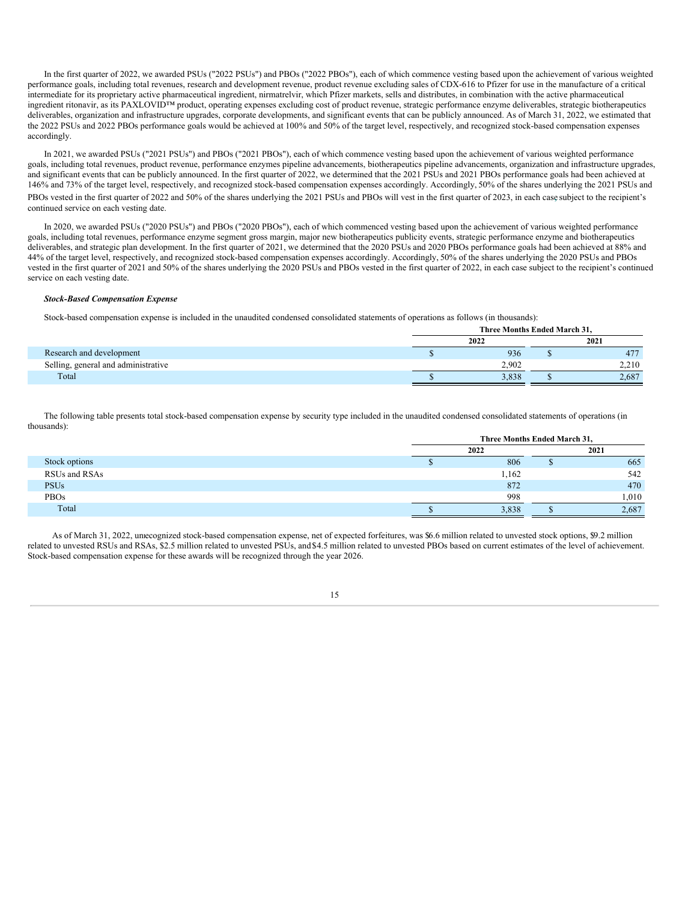In the first quarter of 2022, we awarded PSUs ("2022 PSUs") and PBOs ("2022 PBOs"), each of which commence vesting based upon the achievement of various weighted performance goals, including total revenues, research and development revenue, product revenue excluding sales of CDX-616 to Pfizer for use in the manufacture of a critical intermediate for its proprietary active pharmaceutical ingredient, nirmatrelvir, which Pfizer markets, sells and distributes, in combination with the active pharmaceutical ingredient ritonavir, as its PAXLOVID™ product, operating expenses excluding cost of product revenue, strategic performance enzyme deliverables, strategic biotherapeutics deliverables, organization and infrastructure upgrades, corporate developments, and significant events that can be publicly announced. As of March 31, 2022, we estimated that the 2022 PSUs and 2022 PBOs performance goals would be achieved at 100% and 50% of the target level, respectively, and recognized stock-based compensation expenses accordingly.

In 2021, we awarded PSUs ("2021 PSUs") and PBOs ("2021 PBOs"), each of which commence vesting based upon the achievement of various weighted performance goals, including total revenues, product revenue, performance enzymes pipeline advancements, biotherapeutics pipeline advancements, organization and infrastructure upgrades, and significant events that can be publicly announced. In the first quarter of 2022, we determined that the 2021 PSUs and 2021 PBOs performance goals had been achieved at 146% and 73% of the target level, respectively, and recognized stock-based compensation expenses accordingly. Accordingly, 50% of the shares underlying the 2021 PSUs and PBOs vested in the first quarter of 2022 and 50% of the shares underlying the 2021 PSUs and PBOs will vest in the first quarter of 2023, in each case subject to the recipient's continued service on each vesting date.

In 2020, we awarded PSUs ("2020 PSUs") and PBOs ("2020 PBOs"), each of which commenced vesting based upon the achievement of various weighted performance goals, including total revenues, performance enzyme segment gross margin, major new biotherapeutics publicity events, strategic performance enzyme and biotherapeutics deliverables, and strategic plan development. In the first quarter of 2021, we determined that the 2020 PSUs and 2020 PBOs performance goals had been achieved at 88% and 44% of the target level, respectively, and recognized stock-based compensation expenses accordingly. Accordingly, 50% of the shares underlying the 2020 PSUs and PBOs vested in the first quarter of 2021 and 50% of the shares underlying the 2020 PSUs and PBOs vested in the first quarter of 2022, in each case subject to the recipient's continued service on each vesting date.

#### *Stock-Based Compensation Expense*

Stock-based compensation expense is included in the unaudited condensed consolidated statements of operations as follows (in thousands):

|                                     |      | Three Months Ended March 31. |  |       |  |
|-------------------------------------|------|------------------------------|--|-------|--|
|                                     | 2022 |                              |  | 2021  |  |
| Research and development            |      | 936                          |  | 477   |  |
| Selling, general and administrative |      | 2,902                        |  | 2,210 |  |
| Total                               |      | 3,838                        |  | 2.687 |  |

The following table presents total stock-based compensation expense by security type included in the unaudited condensed consolidated statements of operations (in thousands):

|               | Three Months Ended March 31, |       |      |       |  |
|---------------|------------------------------|-------|------|-------|--|
|               |                              | 2022  | 2021 |       |  |
| Stock options |                              | 806   |      | 665   |  |
| RSUs and RSAs |                              | 1,162 |      | 542   |  |
| <b>PSUs</b>   |                              | 872   |      | 470   |  |
| PBOs          |                              | 998   |      | 1,010 |  |
| Total         |                              | 3,838 |      | 2,687 |  |
|               |                              |       |      |       |  |

As of March 31, 2022, unrecognized stock-based compensation expense, net of expected forfeitures, was \$6.6 million related to unvested stock options, \$9.2 million related to unvested RSUs and RSAs, \$2.5 million related to unvested PSUs, and\$4.5 million related to unvested PBOs based on current estimates of the level of achievement. Stock-based compensation expense for these awards will be recognized through the year 2026.

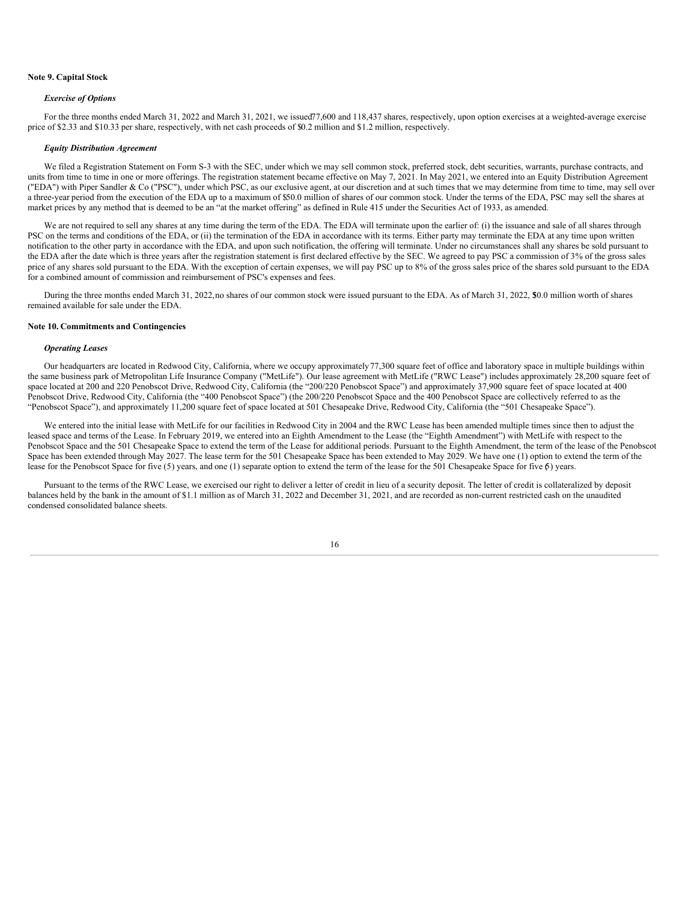### **Note 9. Capital Stock**

### *Exercise of Options*

For the three months ended March 31, 2022 and March 31, 2021, we issued77,600 and 118,437 shares, respectively, upon option exercises at a weighted-average exercise price of \$2.33 and \$10.33 per share, respectively, with net cash proceeds of \$0.2 million and \$1.2 million, respectively.

#### *Equity Distribution Agreement*

We filed a Registration Statement on Form S-3 with the SEC, under which we may sell common stock, preferred stock, debt securities, warrants, purchase contracts, and units from time to time in one or more offerings. The registration statement became effective on May 7, 2021. In May 2021, we entered into an Equity Distribution Agreement ("EDA") with Piper Sandler & Co ("PSC"), under which PSC, as our exclusive agent, at our discretion and at such times that we may determine from time to time, may sell over a three-year period from the execution of the EDA up to a maximum of \$50.0 million of shares of our common stock. Under the terms of the EDA, PSC may sell the shares at market prices by any method that is deemed to be an "at the market offering" as defined in Rule 415 under the Securities Act of 1933, as amended.

We are not required to sell any shares at any time during the term of the EDA. The EDA will terminate upon the earlier of: (i) the issuance and sale of all shares through PSC on the terms and conditions of the EDA, or (ii) the termination of the EDA in accordance with its terms. Either party may terminate the EDA at any time upon written notification to the other party in accordance with the EDA, and upon such notification, the offering will terminate. Under no circumstances shall any shares be sold pursuant to the EDA after the date which is three years after the registration statement is first declared effective by the SEC. We agreed to pay PSC a commission of 3% of the gross sales price of any shares sold pursuant to the EDA. With the exception of certain expenses, we will pay PSC up to 8% of the gross sales price of the shares sold pursuant to the EDA for a combined amount of commission and reimbursement of PSC's expenses and fees.

During the three months ended March 31, 2022,no shares of our common stock were issued pursuant to the EDA. As of March 31, 2022, \$50.0 million worth of shares remained available for sale under the EDA.

#### **Note 10. Commitments and Contingencies**

#### *Operating Leases*

Our headquarters are located in Redwood City, California, where we occupy approximately77,300 square feet of office and laboratory space in multiple buildings within the same business park of Metropolitan Life Insurance Company ("MetLife"). Our lease agreement with MetLife ("RWC Lease") includes approximately 28,200 square feet of space located at 200 and 220 Penobscot Drive, Redwood City, California (the "200/220 Penobscot Space") and approximately 37,900 square feet of space located at 400 Penobscot Drive, Redwood City, California (the "400 Penobscot Space") (the 200/220 Penobscot Space and the 400 Penobscot Space are collectively referred to as the "Penobscot Space"), and approximately 11,200 square feet of space located at 501 Chesapeake Drive, Redwood City, California (the "501 Chesapeake Space").

We entered into the initial lease with MetLife for our facilities in Redwood City in 2004 and the RWC Lease has been amended multiple times since then to adjust the leased space and terms of the Lease. In February 2019, we entered into an Eighth Amendment to the Lease (the "Eighth Amendment") with MetLife with respect to the Penobscot Space and the 501 Chesapeake Space to extend the term of the Lease for additional periods. Pursuant to the Eighth Amendment, the term of the lease of the Penobscot Space has been extended through May 2027. The lease term for the 501 Chesapeake Space has been extended to May 2029. We have one (1) option to extend the term of the lease for the Penobscot Space for five (5) years, and one (1) separate option to extend the term of the lease for the 501 Chesapeake Space for five (5) years.

Pursuant to the terms of the RWC Lease, we exercised our right to deliver a letter of credit in lieu of a security deposit. The letter of credit is collateralized by deposit balances held by the bank in the amount of \$1.1 million as of March 31, 2022 and December 31, 2021, and are recorded as non-current restricted cash on the unaudited condensed consolidated balance sheets.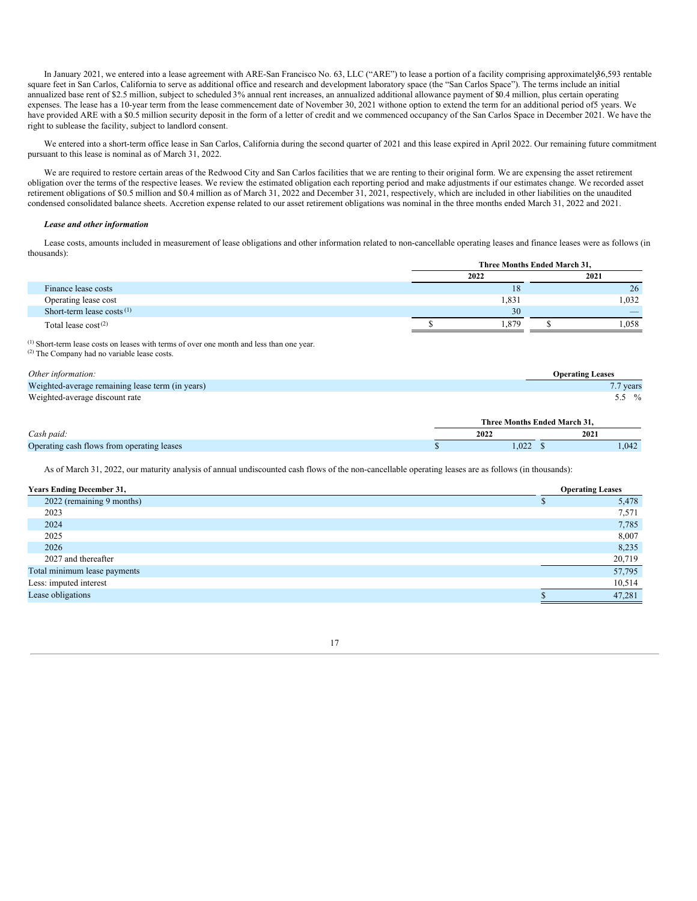In January 2021, we entered into a lease agreement with ARE-San Francisco No. 63, LLC ("ARE") to lease a portion of a facility comprising approximately36,593 rentable square feet in San Carlos, California to serve as additional office and research and development laboratory space (the "San Carlos Space"). The terms include an initial annualized base rent of \$2.5 million, subject to scheduled 3% annual rent increases, an annualized additional allowance payment of \$0.4 million, plus certain operating expenses. The lease has a 10-year term from the lease commencement date of November 30, 2021 withone option to extend the term for an additional period of5 years. We have provided ARE with a \$0.5 million security deposit in the form of a letter of credit and we commenced occupancy of the San Carlos Space in December 2021. We have the right to sublease the facility, subject to landlord consent.

We entered into a short-term office lease in San Carlos, California during the second quarter of 2021 and this lease expired in April 2022. Our remaining future commitment pursuant to this lease is nominal as of March 31, 2022.

We are required to restore certain areas of the Redwood City and San Carlos facilities that we are renting to their original form. We are expensing the asset retirement obligation over the terms of the respective leases. We review the estimated obligation each reporting period and make adjustments if our estimates change. We recorded asset retirement obligations of \$0.5 million and \$0.4 million as of March 31, 2022 and December 31, 2021, respectively, which are included in other liabilities on the unaudited condensed consolidated balance sheets. Accretion expense related to our asset retirement obligations was nominal in the three months ended March 31, 2022 and 2021.

### *Lease and other information*

<sup>(2)</sup> The Company had no variable lease costs.

Lease costs, amounts included in measurement of lease obligations and other information related to non-cancellable operating leases and finance leases were as follows (in thousands):

|                              | Three Months Ended March 31, |  |                          |  |  |  |
|------------------------------|------------------------------|--|--------------------------|--|--|--|
|                              | 2022                         |  | 2021                     |  |  |  |
| Finance lease costs          | 18                           |  | 26                       |  |  |  |
| Operating lease cost         | 1,831                        |  | 1,032                    |  |  |  |
| Short-term lease costs $(1)$ | 30                           |  | $\overline{\phantom{a}}$ |  |  |  |
| Total lease $cost^{(2)}$     | 1.879                        |  | 1.058                    |  |  |  |

 $<sup>(1)</sup>$  Short-term lease costs on leases with terms of over one month and less than one year.</sup>

| Other information:                               |      | <b>Operating Leases</b>      |
|--------------------------------------------------|------|------------------------------|
| Weighted-average remaining lease term (in years) |      | 7.7 years                    |
| Weighted-average discount rate                   |      | 5.5 $\%$                     |
|                                                  |      | Three Months Ended March 31, |
| Cash paid:                                       | 2022 | 2021                         |

| .                                          | ----- |      | ----- |      |
|--------------------------------------------|-------|------|-------|------|
| Operating cash flows from operating leases |       | .027 |       | .042 |
|                                            |       |      |       |      |

As of March 31, 2022, our maturity analysis of annual undiscounted cash flows of the non-cancellable operating leases are as follows (in thousands):

| <b>Years Ending December 31,</b> | <b>Operating Leases</b> |
|----------------------------------|-------------------------|
| 2022 (remaining 9 months)        | 5,478                   |
| 2023                             | 7,571                   |
| 2024                             | 7,785                   |
| 2025                             | 8,007                   |
| 2026                             | 8,235                   |
| 2027 and thereafter              | 20,719                  |
| Total minimum lease payments     | 57,795                  |
| Less: imputed interest           | 10,514                  |
| Lease obligations                | 47,281                  |

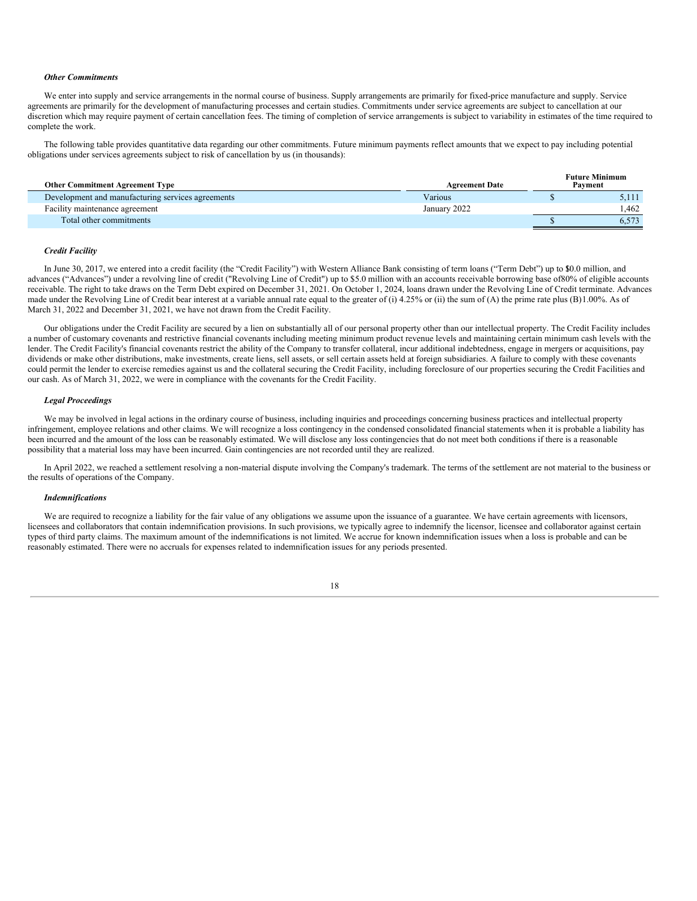#### *Other Commitments*

We enter into supply and service arrangements in the normal course of business. Supply arrangements are primarily for fixed-price manufacture and supply. Service agreements are primarily for the development of manufacturing processes and certain studies. Commitments under service agreements are subject to cancellation at our discretion which may require payment of certain cancellation fees. The timing of completion of service arrangements is subject to variability in estimates of the time required to complete the work.

The following table provides quantitative data regarding our other commitments. Future minimum payments reflect amounts that we expect to pay including potential obligations under services agreements subject to risk of cancellation by us (in thousands):

| <b>Other Commitment Agreement Type</b>            | <b>Agreement Date</b> | <b>Future Minimum</b><br>Payment |
|---------------------------------------------------|-----------------------|----------------------------------|
| Development and manufacturing services agreements | Various               | 5,111                            |
| Facility maintenance agreement                    | January 2022          | .462                             |
| Total other commitments                           |                       | 6,573                            |

#### *Credit Facility*

In June 30, 2017, we entered into a credit facility (the "Credit Facility") with Western Alliance Bank consisting of term loans ("Term Debt") up to 1\$0.0 million, and advances ("Advances") under a revolving line of credit ("Revolving Line of Credit") up to \$5.0 million with an accounts receivable borrowing base of80% of eligible accounts receivable. The right to take draws on the Term Debt expired on December 31, 2021. On October 1, 2024, loans drawn under the Revolving Line of Credit terminate. Advances made under the Revolving Line of Credit bear interest at a variable annual rate equal to the greater of (i) 4.25% or (ii) the sum of (A) the prime rate plus (B)1.00%. As of March 31, 2022 and December 31, 2021, we have not drawn from the Credit Facility.

Our obligations under the Credit Facility are secured by a lien on substantially all of our personal property other than our intellectual property. The Credit Facility includes a number of customary covenants and restrictive financial covenants including meeting minimum product revenue levels and maintaining certain minimum cash levels with the lender. The Credit Facility's financial covenants restrict the ability of the Company to transfer collateral, incur additional indebtedness, engage in mergers or acquisitions, pay dividends or make other distributions, make investments, create liens, sell assets, or sell certain assets held at foreign subsidiaries. A failure to comply with these covenants could permit the lender to exercise remedies against us and the collateral securing the Credit Facility, including foreclosure of our properties securing the Credit Facilities and our cash. As of March 31, 2022, we were in compliance with the covenants for the Credit Facility.

#### *Legal Proceedings*

We may be involved in legal actions in the ordinary course of business, including inquiries and proceedings concerning business practices and intellectual property infringement, employee relations and other claims. We will recognize a loss contingency in the condensed consolidated financial statements when it is probable a liability has been incurred and the amount of the loss can be reasonably estimated. We will disclose any loss contingencies that do not meet both conditions if there is a reasonable possibility that a material loss may have been incurred. Gain contingencies are not recorded until they are realized.

In April 2022, we reached a settlement resolving a non-material dispute involving the Company's trademark. The terms of the settlement are not material to the business or the results of operations of the Company.

#### *Indemnifications*

We are required to recognize a liability for the fair value of any obligations we assume upon the issuance of a guarantee. We have certain agreements with licensors, licensees and collaborators that contain indemnification provisions. In such provisions, we typically agree to indemnify the licensor, licensee and collaborator against certain types of third party claims. The maximum amount of the indemnifications is not limited. We accrue for known indemnification issues when a loss is probable and can be reasonably estimated. There were no accruals for expenses related to indemnification issues for any periods presented.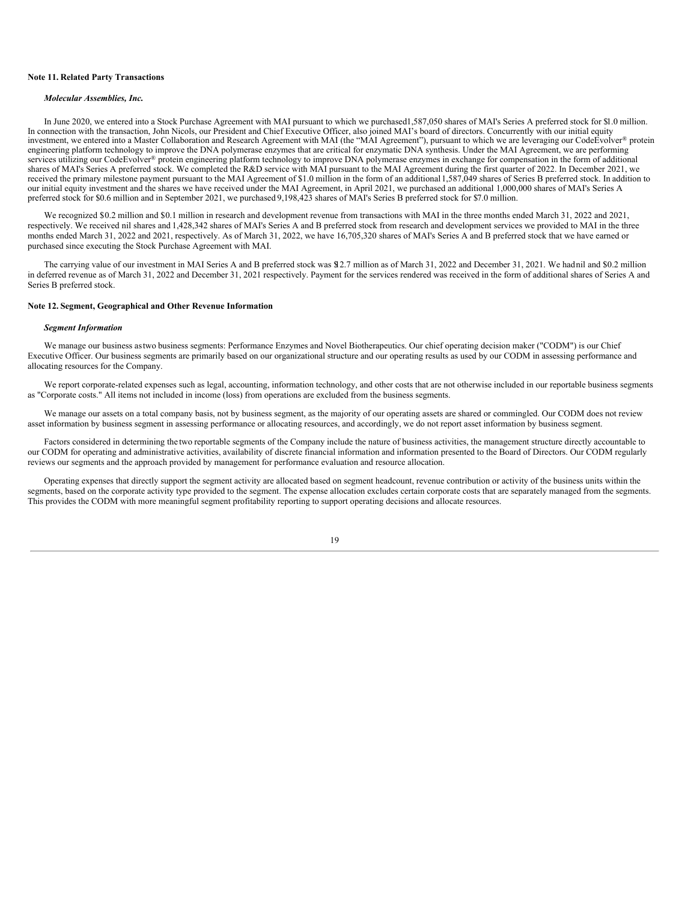### **Note 11. Related Party Transactions**

### *Molecular Assemblies, Inc.*

In June 2020, we entered into a Stock Purchase Agreement with MAI pursuant to which we purchased1,587,050 shares of MAI's Series A preferred stock for \$1.0 million. In connection with the transaction, John Nicols, our President and Chief Executive Officer, also joined MAI's board of directors. Concurrently with our initial equity investment, we entered into a Master Collaboration and Research Agreement with MAI (the "MAI Agreement"), pursuant to which we are leveraging our CodeEvolver® protein engineering platform technology to improve the DNA polymerase enzymes that are critical for enzymatic DNA synthesis. Under the MAI Agreement, we are performing services utilizing our CodeEvolver® protein engineering platform technology to improve DNA polymerase enzymes in exchange for compensation in the form of additional shares of MAI's Series A preferred stock. We completed the R&D service with MAI pursuant to the MAI Agreement during the first quarter of 2022. In December 2021, we received the primary milestone payment pursuant to the MAI Agreement of \$1.0 million in the form of an additional 1,587,049 shares of Series B preferred stock. In addition to our initial equity investment and the shares we have received under the MAI Agreement, in April 2021, we purchased an additional 1,000,000 shares of MAI's Series A preferred stock for \$0.6 million and in September 2021, we purchased 9,198,423 shares of MAI's Series B preferred stock for \$7.0 million.

We recognized \$0.2 million and \$0.1 million in research and development revenue from transactions with MAI in the three months ended March 31, 2022 and 2021, respectively. We received nil shares and 1,428,342 shares of MAI's Series A and B preferred stock from research and development services we provided to MAI in the three months ended March 31, 2022 and 2021, respectively. As of March 31, 2022, we have 16,705,320 shares of MAI's Series A and B preferred stock that we have earned or purchased since executing the Stock Purchase Agreement with MAI.

The carrying value of our investment in MAI Series A and B preferred stock was \$12.7 million as of March 31, 2022 and December 31, 2021. We hadnil and \$0.2 million in deferred revenue as of March 31, 2022 and December 31, 2021 respectively. Payment for the services rendered was received in the form of additional shares of Series A and Series B preferred stock.

### **Note 12. Segment, Geographical and Other Revenue Information**

#### *Segment Information*

We manage our business astwo business segments: Performance Enzymes and Novel Biotherapeutics. Our chief operating decision maker ("CODM") is our Chief Executive Officer. Our business segments are primarily based on our organizational structure and our operating results as used by our CODM in assessing performance and allocating resources for the Company.

We report corporate-related expenses such as legal, accounting, information technology, and other costs that are not otherwise included in our reportable business segments as "Corporate costs." All items not included in income (loss) from operations are excluded from the business segments.

We manage our assets on a total company basis, not by business segment, as the majority of our operating assets are shared or commingled. Our CODM does not review asset information by business segment in assessing performance or allocating resources, and accordingly, we do not report asset information by business segment.

Factors considered in determining the two reportable segments of the Company include the nature of business activities, the management structure directly accountable to our CODM for operating and administrative activities, availability of discrete financial information and information presented to the Board of Directors. Our CODM regularly reviews our segments and the approach provided by management for performance evaluation and resource allocation.

Operating expenses that directly support the segment activity are allocated based on segment headcount, revenue contribution or activity of the business units within the segments, based on the corporate activity type provided to the segment. The expense allocation excludes certain corporate costs that are separately managed from the segments. This provides the CODM with more meaningful segment profitability reporting to support operating decisions and allocate resources.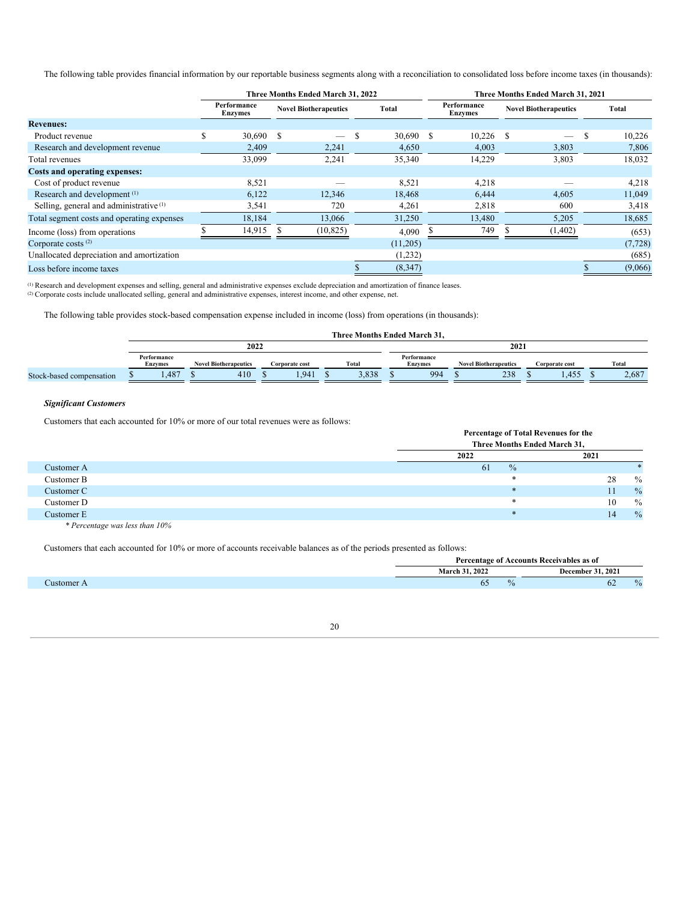The following table provides financial information by our reportable business segments along with a reconciliation to consolidated loss before income taxes (in thousands):

|                                                    | Three Months Ended March 31, 2022 |        |                              |                          |       |          | Three Months Ended March 31, 2021 |                               |                              |                          |   |          |  |
|----------------------------------------------------|-----------------------------------|--------|------------------------------|--------------------------|-------|----------|-----------------------------------|-------------------------------|------------------------------|--------------------------|---|----------|--|
|                                                    | Performance<br>Enzymes            |        | <b>Novel Biotherapeutics</b> |                          | Total |          |                                   | Performance<br><b>Enzymes</b> | <b>Novel Biotherapeutics</b> |                          |   | Total    |  |
| <b>Revenues:</b>                                   |                                   |        |                              |                          |       |          |                                   |                               |                              |                          |   |          |  |
| Product revenue                                    |                                   | 30,690 | -S                           | $\overline{\phantom{m}}$ | S     | 30,690   | -S                                | 10,226                        | S.                           | $\overline{\phantom{a}}$ | S | 10,226   |  |
| Research and development revenue                   |                                   | 2,409  |                              | 2,241                    |       | 4,650    |                                   | 4,003                         |                              | 3,803                    |   | 7,806    |  |
| Total revenues                                     |                                   | 33,099 |                              | 2,241                    |       | 35,340   |                                   | 14,229                        |                              | 3,803                    |   | 18,032   |  |
| Costs and operating expenses:                      |                                   |        |                              |                          |       |          |                                   |                               |                              |                          |   |          |  |
| Cost of product revenue                            |                                   | 8,521  |                              |                          |       | 8,521    |                                   | 4,218                         |                              |                          |   | 4,218    |  |
| Research and development <sup>(1)</sup>            |                                   | 6,122  |                              | 12,346                   |       | 18,468   |                                   | 6,444                         |                              | 4,605                    |   | 11,049   |  |
| Selling, general and administrative <sup>(1)</sup> |                                   | 3,541  |                              | 720                      |       | 4,261    |                                   | 2,818                         |                              | 600                      |   | 3,418    |  |
| Total segment costs and operating expenses         |                                   | 18,184 |                              | 13,066                   |       | 31,250   |                                   | 13,480                        |                              | 5,205                    |   | 18,685   |  |
| Income (loss) from operations                      |                                   | 14,915 |                              | (10, 825)                |       | 4,090    |                                   | 749                           |                              | (1, 402)                 |   | (653)    |  |
| Corporate costs $(2)$                              |                                   |        |                              |                          |       | (11,205) |                                   |                               |                              |                          |   | (7, 728) |  |
| Unallocated depreciation and amortization          |                                   |        |                              |                          |       | (1,232)  |                                   |                               |                              |                          |   | (685)    |  |
| Loss before income taxes                           |                                   |        |                              |                          |       | (8, 347) |                                   |                               |                              |                          |   | (9,066)  |  |

<sup>(1)</sup> Research and development expenses and selling, general and administrative expenses exclude depreciation and amortization of finance leases.<br><sup>(2)</sup> Corporate costs include unallocated selling, general and administrativ

The following table provides stock-based compensation expense included in income (loss) from operations (in thousands):

|                          | Three Months Ended March 31. |                               |  |                              |  |                |  |       |  |                               |  |                              |  |                |  |       |
|--------------------------|------------------------------|-------------------------------|--|------------------------------|--|----------------|--|-------|--|-------------------------------|--|------------------------------|--|----------------|--|-------|
|                          | 2022                         |                               |  |                              |  |                |  |       |  |                               |  | 2021                         |  |                |  |       |
|                          |                              | Performance<br><b>Enzymes</b> |  | <b>Novel Biotherapeutics</b> |  | Corporate cost |  | Total |  | Performance<br><b>Enzymes</b> |  | <b>Novel Biotherapeutics</b> |  | Corporate cost |  | Total |
| Stock-based compensation |                              | .487                          |  | 410                          |  | 1.941          |  | 3,838 |  | 994                           |  | 238                          |  | .455           |  | 2,687 |

### *Significant Customers*

Customers that each accounted for 10% or more of our total revenues were as follows:

|            | Percentage of Total Revenues for the<br>Three Months Ended March 31, |      |               |  |  |  |  |  |
|------------|----------------------------------------------------------------------|------|---------------|--|--|--|--|--|
|            | 2022                                                                 | 2021 |               |  |  |  |  |  |
| Customer A | $\frac{0}{0}$<br>61                                                  |      |               |  |  |  |  |  |
| Customer B | $\ast$                                                               | 28   | $\%$          |  |  |  |  |  |
| Customer C | $\ast$                                                               | 11   | $\frac{0}{0}$ |  |  |  |  |  |
| Customer D | $\ast$                                                               | 10   | $\frac{0}{0}$ |  |  |  |  |  |
| Customer E | $\star$                                                              | 14   | $\frac{0}{0}$ |  |  |  |  |  |

*\* Percentage was less than 10%*

Customers that each accounted for 10% or more of accounts receivable balances as of the periods presented as follows:

| Percentage of Accounts Receivables as of |               |  |  |  |
|------------------------------------------|---------------|--|--|--|
| December 31, 2021                        |               |  |  |  |
| 02                                       | $\frac{0}{0}$ |  |  |  |
|                                          |               |  |  |  |

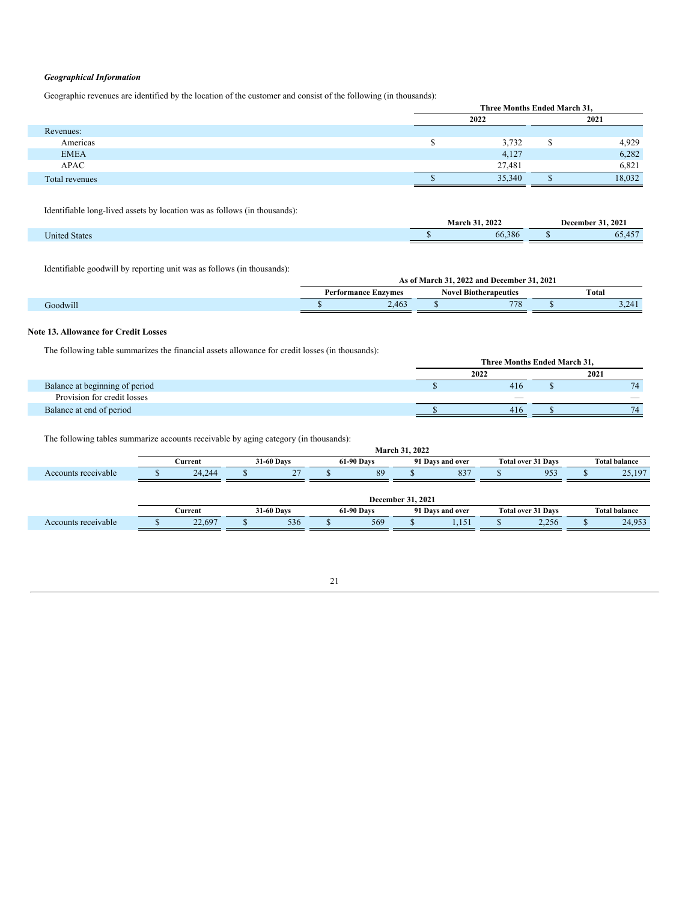### *Geographical Information*

Geographic revenues are identified by the location of the customer and consist of the following (in thousands):

|                | Three Months Ended March 31, |  |        |  |  |  |
|----------------|------------------------------|--|--------|--|--|--|
|                | 2022                         |  | 2021   |  |  |  |
| Revenues:      |                              |  |        |  |  |  |
| Americas       | 3,732                        |  | 4,929  |  |  |  |
| <b>EMEA</b>    | 4,127                        |  | 6,282  |  |  |  |
| <b>APAC</b>    | 27.481                       |  | 6.821  |  |  |  |
| Total revenues | 35,340                       |  | 18,032 |  |  |  |

Identifiable long-lived assets by location was as follows (in thousands):

|                          | <b>March 31, 2022</b> | 31, 2021<br>$\overline{\phantom{a}}$<br>December : |
|--------------------------|-----------------------|----------------------------------------------------|
| $T$ $T$<br>United States | 66.386                | $-157$<br>65,45                                    |

Identifiable goodwill by reporting unit was as follows (in thousands):

|                          |                             | 2021<br>2022<br>--<br>$\sim$<br>. .<br>and<br>December<br>∍√larch ` |                   |  |                                                  |  |  |  |  |
|--------------------------|-----------------------------|---------------------------------------------------------------------|-------------------|--|--------------------------------------------------|--|--|--|--|
|                          | Performance<br>$\pm$ nzvmes | Nove                                                                |                   |  | Total                                            |  |  |  |  |
| <br>oodwill <sup>*</sup> | 2,463                       |                                                                     | 770<br>$\sqrt{6}$ |  | $\bigcap$ $\bigcap$ $\bigcap$ $\bigcap$<br>7.771 |  |  |  |  |

# **Note 13. Allowance for Credit Losses**

The following table summarizes the financial assets allowance for credit losses (in thousands):

|                                |  |                          | Three Months Ended March 31. |        |  |  |  |
|--------------------------------|--|--------------------------|------------------------------|--------|--|--|--|
|                                |  | 2022                     |                              | 2021   |  |  |  |
| Balance at beginning of period |  | 416                      |                              | 74     |  |  |  |
| Provision for credit losses    |  | $\overline{\phantom{a}}$ |                              | $\sim$ |  |  |  |
| Balance at end of period       |  | 416                      |                              | 74     |  |  |  |
|                                |  |                          |                              |        |  |  |  |

The following tables summarize accounts receivable by aging category (in thousands):

| $\overline{\phantom{0}}$ |                          |                       | .                 | --- |  |                   |  |                  |  |                           |                      |                      |  |
|--------------------------|--------------------------|-----------------------|-------------------|-----|--|-------------------|--|------------------|--|---------------------------|----------------------|----------------------|--|
|                          |                          | <b>March 31, 2022</b> |                   |     |  |                   |  |                  |  |                           |                      |                      |  |
|                          |                          | Current               | 31-60 Days        |     |  | <b>61-90 Days</b> |  | 91 Davs and over |  | <b>Total over 31 Days</b> | <b>Total balance</b> |                      |  |
| Accounts receivable      |                          | 24.244                |                   | 27  |  | 89                |  | 837              |  | 953                       |                      | 25.197               |  |
|                          |                          |                       |                   |     |  |                   |  |                  |  |                           |                      |                      |  |
|                          | <b>December 31, 2021</b> |                       |                   |     |  |                   |  |                  |  |                           |                      |                      |  |
|                          |                          | Current               | <b>31-60 Days</b> |     |  | <b>61-90 Days</b> |  | 91 Days and over |  | <b>Total over 31 Days</b> |                      | <b>Total balance</b> |  |

<span id="page-20-0"></span>Accounts receivable \$ 22,697 \$ 536 \$ 569 \$ 1,151 \$ 2,256 \$ 24,953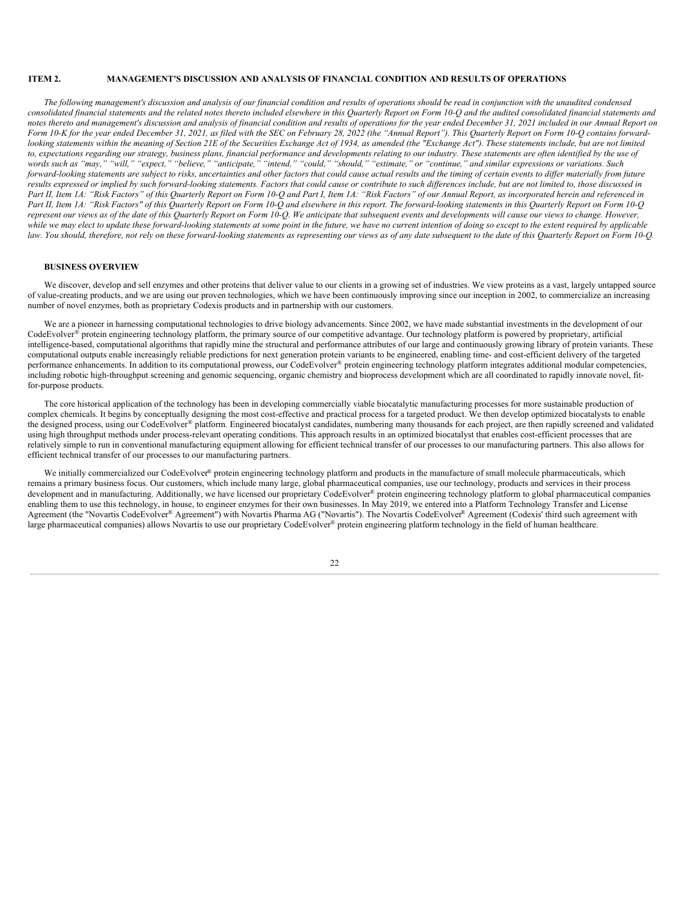### **ITEM 2. MANAGEMENT'S DISCUSSION AND ANALYSIS OF FINANCIAL CONDITION AND RESULTS OF OPERATIONS**

The following management's discussion and analysis of our financial condition and results of operations should be read in conjunction with the unaudited condensed consolidated financial statements and the related notes thereto included elsewhere in this Quarterly Report on Form 10-Q and the audited consolidated financial statements and notes thereto and management's discussion and analysis of financial condition and results of operations for the year ended December 31, 2021 included in our Annual Report on Form 10-K for the vear ended December 31, 2021, as filed with the SEC on February 28, 2022 (the "Annual Report"). This Ouarterly Report on Form 10-O contains forwardlooking statements within the meaning of Section 21E of the Securities Exchange Act of 1934, as amended (the "Exchange Act"). These statements include, but are not limited to, expectations regarding our strategy, business plans, financial performance and developments relating to our industry. These statements are often identified by the use of words such as "may," "will," "expect," "believe," "anticipate," "intend," "could," "should," "estimate," or "continue," and similar expressions or variations. Such forward-looking statements are subject to risks, uncertainties and other factors that could cause actual results and the timing of certain events to differ materially from future results expressed or implied by such forward-looking statements. Factors that could cause or contribute to such differences include, but are not limited to, those discussed in Part II, Item 1A: "Risk Factors" of this Quarterly Report on Form 10-Q and Part I, Item 1A: "Risk Factors" of our Annual Report, as incorporated herein and referenced in Part II, Item 1A: "Risk Factors" of this Quarterly Report on Form 10-O and elsewhere in this report. The forward-looking statements in this Quarterly Report on Form 10-O represent our views as of the date of this Quarterly Report on Form 10-O. We anticipate that subsequent events and developments will cause our views to change. However, while we may elect to update these forward-looking statements at some point in the future, we have no current intention of doing so except to the extent required by applicable law. You should, therefore, not rely on these forward-looking statements as representing our views as of any date subsequent to the date of this Quarterly Report on Form 10-Q.

#### **BUSINESS OVERVIEW**

We discover, develop and sell enzymes and other proteins that deliver value to our clients in a growing set of industries. We view proteins as a vast, largely untapped source of value-creating products, and we are using our proven technologies, which we have been continuously improving since our inception in 2002, to commercialize an increasing number of novel enzymes, both as proprietary Codexis products and in partnership with our customers.

We are a pioneer in harnessing computational technologies to drive biology advancements. Since 2002, we have made substantial investments in the development of our CodeEvolver® protein engineering technology platform, the primary source of our competitive advantage. Our technology platform is powered by proprietary, artificial intelligence-based, computational algorithms that rapidly mine the structural and performance attributes of our large and continuously growing library of protein variants. These computational outputs enable increasingly reliable predictions for next generation protein variants to be engineered, enabling time- and cost-efficient delivery of the targeted performance enhancements. In addition to its computational prowess, our CodeEvolver® protein engineering technology platform integrates additional modular competencies, including robotic high-throughput screening and genomic sequencing, organic chemistry and bioprocess development which are all coordinated to rapidly innovate novel, fitfor-purpose products.

The core historical application of the technology has been in developing commercially viable biocatalytic manufacturing processes for more sustainable production of complex chemicals. It begins by conceptually designing the most cost-effective and practical process for a targeted product. We then develop optimized biocatalysts to enable the designed process, using our CodeEvolver® platform. Engineered biocatalyst candidates, numbering many thousands for each project, are then rapidly screened and validated using high throughput methods under process-relevant operating conditions. This approach results in an optimized biocatalyst that enables cost-efficient processes that are relatively simple to run in conventional manufacturing equipment allowing for efficient technical transfer of our processes to our manufacturing partners. This also allows for efficient technical transfer of our processes to our manufacturing partners.

We initially commercialized our CodeEvolver® protein engineering technology platform and products in the manufacture of small molecule pharmaceuticals, which remains a primary business focus. Our customers, which include many large, global pharmaceutical companies, use our technology, products and services in their process development and in manufacturing. Additionally, we have licensed our proprietary CodeEvolver® protein engineering technology platform to global pharmaceutical companies enabling them to use this technology, in house, to engineer enzymes for their own businesses. In May 2019, we entered into a Platform Technology Transfer and License Agreement (the "Novartis CodeEvolver® Agreement") with Novartis Pharma AG ("Novartis"). The Novartis CodeEvolver® Agreement (Codexis' third such agreement with large pharmaceutical companies) allows Novartis to use our proprietary CodeEvolver® protein engineering platform technology in the field of human healthcare.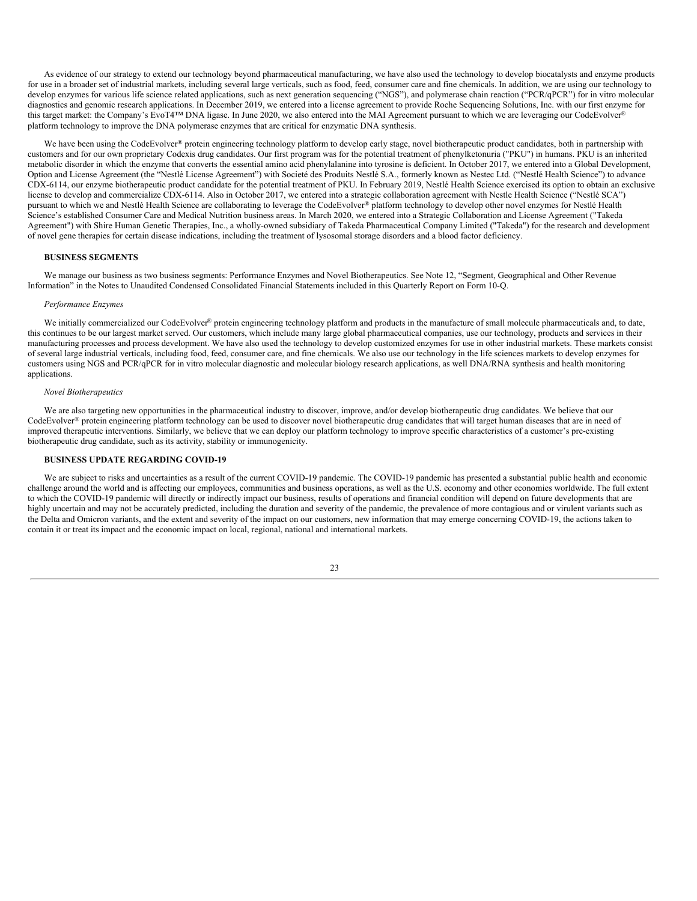As evidence of our strategy to extend our technology beyond pharmaceutical manufacturing, we have also used the technology to develop biocatalysts and enzyme products for use in a broader set of industrial markets, including several large verticals, such as food, feed, consumer care and fine chemicals. In addition, we are using our technology to develop enzymes for various life science related applications, such as next generation sequencing ("NGS"), and polymerase chain reaction ("PCR/qPCR") for in vitro molecular diagnostics and genomic research applications. In December 2019, we entered into a license agreement to provide Roche Sequencing Solutions, Inc. with our first enzyme for this target market: the Company's EvoT4™ DNA ligase. In June 2020, we also entered into the MAI Agreement pursuant to which we are leveraging our CodeEvolver® platform technology to improve the DNA polymerase enzymes that are critical for enzymatic DNA synthesis.

We have been using the CodeEvolver® protein engineering technology platform to develop early stage, novel biotherapeutic product candidates, both in partnership with customers and for our own proprietary Codexis drug candidates. Our first program was for the potential treatment of phenylketonuria ("PKU") in humans. PKU is an inherited metabolic disorder in which the enzyme that converts the essential amino acid phenylalanine into tyrosine is deficient. In October 2017, we entered into a Global Development, Option and License Agreement (the "Nestlé License Agreement") with Societé des Produits Nestlé S.A., formerly known as Nestec Ltd. ("Nestlé Health Science") to advance CDX-6114, our enzyme biotherapeutic product candidate for the potential treatment of PKU. In February 2019, Nestlé Health Science exercised its option to obtain an exclusive license to develop and commercialize CDX-6114. Also in October 2017, we entered into a strategic collaboration agreement with Nestle Health Science ("Nestlé SCA") pursuant to which we and Nestlé Health Science are collaborating to leverage the CodeEvolver® platform technology to develop other novel enzymes for Nestlé Health Science's established Consumer Care and Medical Nutrition business areas. In March 2020, we entered into a Strategic Collaboration and License Agreement ("Takeda Agreement") with Shire Human Genetic Therapies, Inc., a wholly-owned subsidiary of Takeda Pharmaceutical Company Limited ("Takeda") for the research and development of novel gene therapies for certain disease indications, including the treatment of lysosomal storage disorders and a blood factor deficiency.

### **BUSINESS SEGMENTS**

We manage our business as two business segments: Performance Enzymes and Novel Biotherapeutics. See Note 12, "Segment, Geographical and Other Revenue Information" in the Notes to Unaudited Condensed Consolidated Financial Statements included in this Quarterly Report on Form 10-Q.

#### *Performance Enzymes*

We initially commercialized our CodeEvolver® protein engineering technology platform and products in the manufacture of small molecule pharmaceuticals and, to date, this continues to be our largest market served. Our customers, which include many large global pharmaceutical companies, use our technology, products and services in their manufacturing processes and process development. We have also used the technology to develop customized enzymes for use in other industrial markets. These markets consist of several large industrial verticals, including food, feed, consumer care, and fine chemicals. We also use our technology in the life sciences markets to develop enzymes for customers using NGS and PCR/qPCR for in vitro molecular diagnostic and molecular biology research applications, as well DNA/RNA synthesis and health monitoring applications.

### *Novel Biotherapeutics*

We are also targeting new opportunities in the pharmaceutical industry to discover, improve, and/or develop biotherapeutic drug candidates. We believe that our CodeEvolver® protein engineering platform technology can be used to discover novel biotherapeutic drug candidates that will target human diseases that are in need of improved therapeutic interventions. Similarly, we believe that we can deploy our platform technology to improve specific characteristics of a customer's pre-existing biotherapeutic drug candidate, such as its activity, stability or immunogenicity.

#### **BUSINESS UPDATE REGARDING COVID-19**

We are subject to risks and uncertainties as a result of the current COVID-19 pandemic. The COVID-19 pandemic has presented a substantial public health and economic challenge around the world and is affecting our employees, communities and business operations, as well as the U.S. economy and other economies worldwide. The full extent to which the COVID-19 pandemic will directly or indirectly impact our business, results of operations and financial condition will depend on future developments that are highly uncertain and may not be accurately predicted, including the duration and severity of the pandemic, the prevalence of more contagious and or virulent variants such as the Delta and Omicron variants, and the extent and severity of the impact on our customers, new information that may emerge concerning COVID-19, the actions taken to contain it or treat its impact and the economic impact on local, regional, national and international markets.

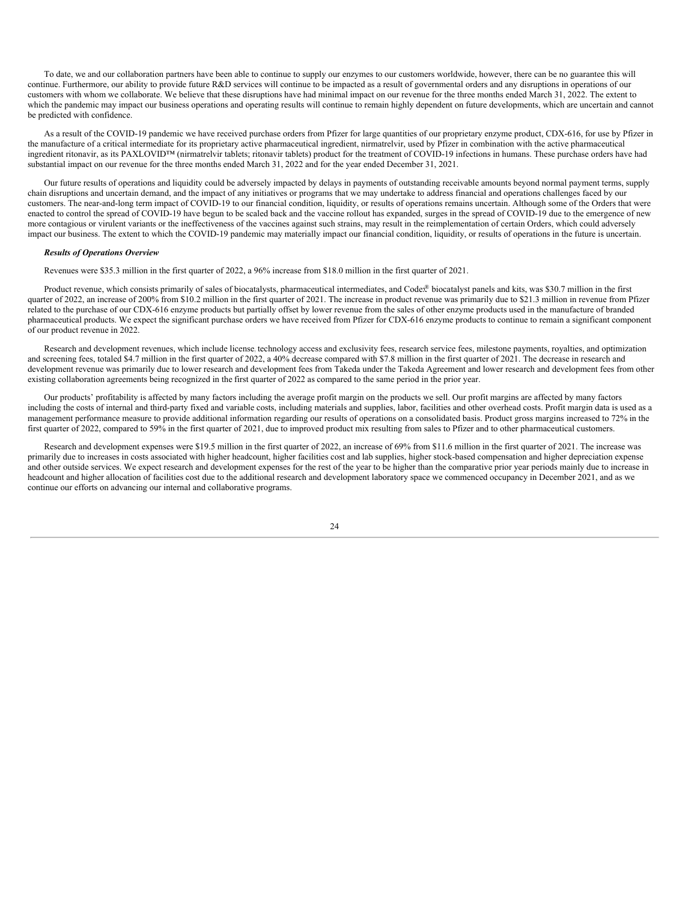To date, we and our collaboration partners have been able to continue to supply our enzymes to our customers worldwide, however, there can be no guarantee this will continue. Furthermore, our ability to provide future R&D services will continue to be impacted as a result of governmental orders and any disruptions in operations of our customers with whom we collaborate. We believe that these disruptions have had minimal impact on our revenue for the three months ended March 31, 2022. The extent to which the pandemic may impact our business operations and operating results will continue to remain highly dependent on future developments, which are uncertain and cannot be predicted with confidence.

As a result of the COVID-19 pandemic we have received purchase orders from Pfizer for large quantities of our proprietary enzyme product, CDX-616, for use by Pfizer in the manufacture of a critical intermediate for its proprietary active pharmaceutical ingredient, nirmatrelvir, used by Pfizer in combination with the active pharmaceutical ingredient ritonavir, as its PAXLOVID™ (nirmatrelvir tablets; ritonavir tablets) product for the treatment of COVID-19 infections in humans. These purchase orders have had substantial impact on our revenue for the three months ended March 31, 2022 and for the year ended December 31, 2021.

Our future results of operations and liquidity could be adversely impacted by delays in payments of outstanding receivable amounts beyond normal payment terms, supply chain disruptions and uncertain demand, and the impact of any initiatives or programs that we may undertake to address financial and operations challenges faced by our customers. The near-and-long term impact of COVID-19 to our financial condition, liquidity, or results of operations remains uncertain. Although some of the Orders that were enacted to control the spread of COVID-19 have begun to be scaled back and the vaccine rollout has expanded, surges in the spread of COVID-19 due to the emergence of new more contagious or virulent variants or the ineffectiveness of the vaccines against such strains, may result in the reimplementation of certain Orders, which could adversely impact our business. The extent to which the COVID-19 pandemic may materially impact our financial condition, liquidity, or results of operations in the future is uncertain.

#### *Results of Operations Overview*

Revenues were \$35.3 million in the first quarter of 2022, a 96% increase from \$18.0 million in the first quarter of 2021.

Product revenue, which consists primarily of sales of biocatalysts, pharmaceutical intermediates, and Codex® biocatalyst panels and kits, was \$30.7 million in the first quarter of 2022, an increase of 200% from \$10.2 million in the first quarter of 2021. The increase in product revenue was primarily due to \$21.3 million in revenue from Pfizer related to the purchase of our CDX-616 enzyme products but partially offset by lower revenue from the sales of other enzyme products used in the manufacture of branded pharmaceutical products. We expect the significant purchase orders we have received from Pfizer for CDX-616 enzyme products to continue to remain a significant component of our product revenue in 2022.

Research and development revenues, which include license, technology access and exclusivity fees, research service fees, milestone payments, royalties, and optimization and screening fees, totaled \$4.7 million in the first quarter of 2022, a 40% decrease compared with \$7.8 million in the first quarter of 2021. The decrease in research and development revenue was primarily due to lower research and development fees from Takeda under the Takeda Agreement and lower research and development fees from other existing collaboration agreements being recognized in the first quarter of 2022 as compared to the same period in the prior year.

Our products' profitability is affected by many factors including the average profit margin on the products we sell. Our profit margins are affected by many factors including the costs of internal and third-party fixed and variable costs, including materials and supplies, labor, facilities and other overhead costs. Profit margin data is used as a management performance measure to provide additional information regarding our results of operations on a consolidated basis. Product gross margins increased to 72% in the first quarter of 2022, compared to 59% in the first quarter of 2021, due to improved product mix resulting from sales to Pfizer and to other pharmaceutical customers.

Research and development expenses were \$19.5 million in the first quarter of 2022, an increase of 69% from \$11.6 million in the first quarter of 2021. The increase was primarily due to increases in costs associated with higher headcount, higher facilities cost and lab supplies, higher stock-based compensation and higher depreciation expense and other outside services. We expect research and development expenses for the rest of the year to be higher than the comparative prior year periods mainly due to increase in headcount and higher allocation of facilities cost due to the additional research and development laboratory space we commenced occupancy in December 2021, and as we continue our efforts on advancing our internal and collaborative programs.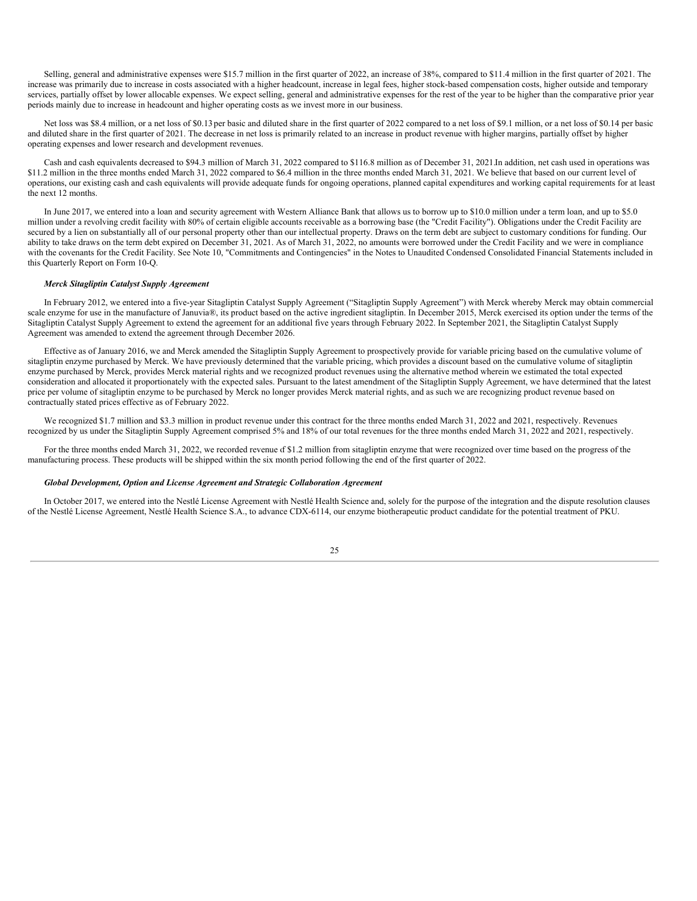Selling, general and administrative expenses were \$15.7 million in the first quarter of 2022, an increase of 38%, compared to \$11.4 million in the first quarter of 2021. The increase was primarily due to increase in costs associated with a higher headcount, increase in legal fees, higher stock-based compensation costs, higher outside and temporary services, partially offset by lower allocable expenses. We expect selling, general and administrative expenses for the rest of the year to be higher than the comparative prior year periods mainly due to increase in headcount and higher operating costs as we invest more in our business.

Net loss was \$8.4 million, or a net loss of \$0.13 per basic and diluted share in the first quarter of 2022 compared to a net loss of \$9.1 million, or a net loss of \$0.14 per basic and diluted share in the first quarter of 2021. The decrease in net loss is primarily related to an increase in product revenue with higher margins, partially offset by higher operating expenses and lower research and development revenues.

Cash and cash equivalents decreased to \$94.3 million of March 31, 2022 compared to \$116.8 million as of December 31, 2021.In addition, net cash used in operations was \$11.2 million in the three months ended March 31, 2022 compared to \$6.4 million in the three months ended March 31, 2021. We believe that based on our current level of operations, our existing cash and cash equivalents will provide adequate funds for ongoing operations, planned capital expenditures and working capital requirements for at least the next 12 months.

In June 2017, we entered into a loan and security agreement with Western Alliance Bank that allows us to borrow up to \$10.0 million under a term loan, and up to \$5.0 million under a revolving credit facility with 80% of certain eligible accounts receivable as a borrowing base (the "Credit Facility"). Obligations under the Credit Facility are secured by a lien on substantially all of our personal property other than our intellectual property. Draws on the term debt are subject to customary conditions for funding. Our ability to take draws on the term debt expired on December 31, 2021. As of March 31, 2022, no amounts were borrowed under the Credit Facility and we were in compliance with the covenants for the Credit Facility. See Note 10, "Commitments and Contingencies" in the Notes to Unaudited Condensed Consolidated Financial Statements included in this Quarterly Report on Form 10-Q.

#### *Merck Sitagliptin Catalyst Supply Agreement*

In February 2012, we entered into a five-year Sitagliptin Catalyst Supply Agreement ("Sitagliptin Supply Agreement") with Merck whereby Merck may obtain commercial scale enzyme for use in the manufacture of Januvia®, its product based on the active ingredient sitagliptin. In December 2015, Merck exercised its option under the terms of the Sitagliptin Catalyst Supply Agreement to extend the agreement for an additional five years through February 2022. In September 2021, the Sitagliptin Catalyst Supply Agreement was amended to extend the agreement through December 2026.

Effective as of January 2016, we and Merck amended the Sitagliptin Supply Agreement to prospectively provide for variable pricing based on the cumulative volume of sitagliptin enzyme purchased by Merck. We have previously determined that the variable pricing, which provides a discount based on the cumulative volume of sitagliptin enzyme purchased by Merck, provides Merck material rights and we recognized product revenues using the alternative method wherein we estimated the total expected consideration and allocated it proportionately with the expected sales. Pursuant to the latest amendment of the Sitagliptin Supply Agreement, we have determined that the latest price per volume of sitagliptin enzyme to be purchased by Merck no longer provides Merck material rights, and as such we are recognizing product revenue based on contractually stated prices effective as of February 2022.

We recognized \$1.7 million and \$3.3 million in product revenue under this contract for the three months ended March 31, 2022 and 2021, respectively. Revenues recognized by us under the Sitagliptin Supply Agreement comprised 5% and 18% of our total revenues for the three months ended March 31, 2022 and 2021, respectively.

For the three months ended March 31, 2022, we recorded revenue of \$1.2 million from sitagliptin enzyme that were recognized over time based on the progress of the manufacturing process. These products will be shipped within the six month period following the end of the first quarter of 2022.

#### *Global Development, Option and License Agreement and Strategic Collaboration Agreement*

In October 2017, we entered into the Nestlé License Agreement with Nestlé Health Science and, solely for the purpose of the integration and the dispute resolution clauses of the Nestlé License Agreement, Nestlé Health Science S.A., to advance CDX-6114, our enzyme biotherapeutic product candidate for the potential treatment of PKU.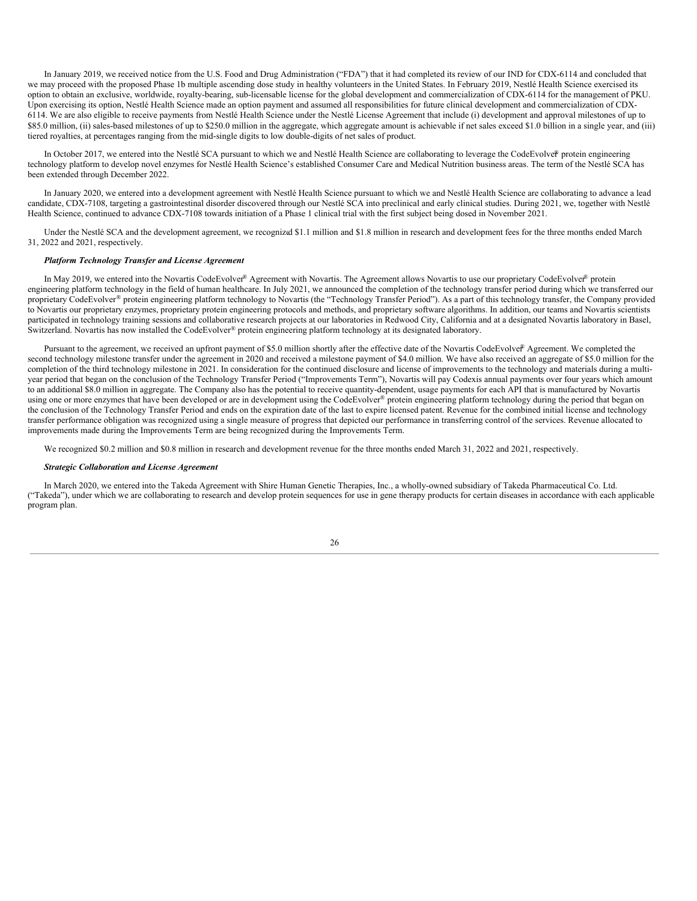In January 2019, we received notice from the U.S. Food and Drug Administration ("FDA") that it had completed its review of our IND for CDX-6114 and concluded that we may proceed with the proposed Phase 1b multiple ascending dose study in healthy volunteers in the United States. In February 2019, Nestlé Health Science exercised its option to obtain an exclusive, worldwide, royalty-bearing, sub-licensable license for the global development and commercialization of CDX-6114 for the management of PKU. Upon exercising its option, Nestlé Health Science made an option payment and assumed all responsibilities for future clinical development and commercialization of CDX-6114. We are also eligible to receive payments from Nestlé Health Science under the Nestlé License Agreement that include (i) development and approval milestones of up to \$85.0 million, (ii) sales-based milestones of up to \$250.0 million in the aggregate, which aggregate amount is achievable if net sales exceed \$1.0 billion in a single year, and (iii) tiered royalties, at percentages ranging from the mid-single digits to low double-digits of net sales of product.

In October 2017, we entered into the Nestlé SCA pursuant to which we and Nestlé Health Science are collaborating to leverage the CodeEvolver protein engineering technology platform to develop novel enzymes for Nestlé Health Science's established Consumer Care and Medical Nutrition business areas. The term of the Nestlé SCA has been extended through December 2022.

In January 2020, we entered into a development agreement with Nestlé Health Science pursuant to which we and Nestlé Health Science are collaborating to advance a lead candidate, CDX-7108, targeting a gastrointestinal disorder discovered through our Nestlé SCA into preclinical and early clinical studies. During 2021, we, together with Nestlé Health Science, continued to advance CDX-7108 towards initiation of a Phase 1 clinical trial with the first subject being dosed in November 2021.

Under the Nestlé SCA and the development agreement, we recognized \$1.1 million and \$1.8 million in research and development fees for the three months ended March 31, 2022 and 2021, respectively.

### *Platform Technology Transfer and License Agreement*

In May 2019, we entered into the Novartis CodeEvolver® Agreement with Novartis. The Agreement allows Novartis to use our proprietary CodeEvolver® protein engineering platform technology in the field of human healthcare. In July 2021, we announced the completion of the technology transfer period during which we transferred our proprietary CodeEvolver® protein engineering platform technology to Novartis (the "Technology Transfer Period"). As a part of this technology transfer, the Company provided to Novartis our proprietary enzymes, proprietary protein engineering protocols and methods, and proprietary software algorithms. In addition, our teams and Novartis scientists participated in technology training sessions and collaborative research projects at our laboratories in Redwood City, California and at a designated Novartis laboratory in Basel, Switzerland. Novartis has now installed the CodeEvolver<sup>®</sup> protein engineering platform technology at its designated laboratory.

Pursuant to the agreement, we received an upfront payment of \$5.0 million shortly after the effective date of the Novartis CodeEvolver Agreement. We completed the second technology milestone transfer under the agreement in 2020 and received a milestone payment of \$4.0 million. We have also received an aggregate of \$5.0 million for the completion of the third technology milestone in 2021. In consideration for the continued disclosure and license of improvements to the technology and materials during a multiyear period that began on the conclusion of the Technology Transfer Period ("Improvements Term"), Novartis will pay Codexis annual payments over four years which amount to an additional \$8.0 million in aggregate. The Company also has the potential to receive quantity-dependent, usage payments for each API that is manufactured by Novartis using one or more enzymes that have been developed or are in development using the CodeEvolver® protein engineering platform technology during the period that began on the conclusion of the Technology Transfer Period and ends on the expiration date of the last to expire licensed patent. Revenue for the combined initial license and technology transfer performance obligation was recognized using a single measure of progress that depicted our performance in transferring control of the services. Revenue allocated to improvements made during the Improvements Term are being recognized during the Improvements Term.

We recognized \$0.2 million and \$0.8 million in research and development revenue for the three months ended March 31, 2022 and 2021, respectively.

#### *Strategic Collaboration and License Agreement*

In March 2020, we entered into the Takeda Agreement with Shire Human Genetic Therapies, Inc., a wholly-owned subsidiary of Takeda Pharmaceutical Co. Ltd. ("Takeda"), under which we are collaborating to research and develop protein sequences for use in gene therapy products for certain diseases in accordance with each applicable program plan.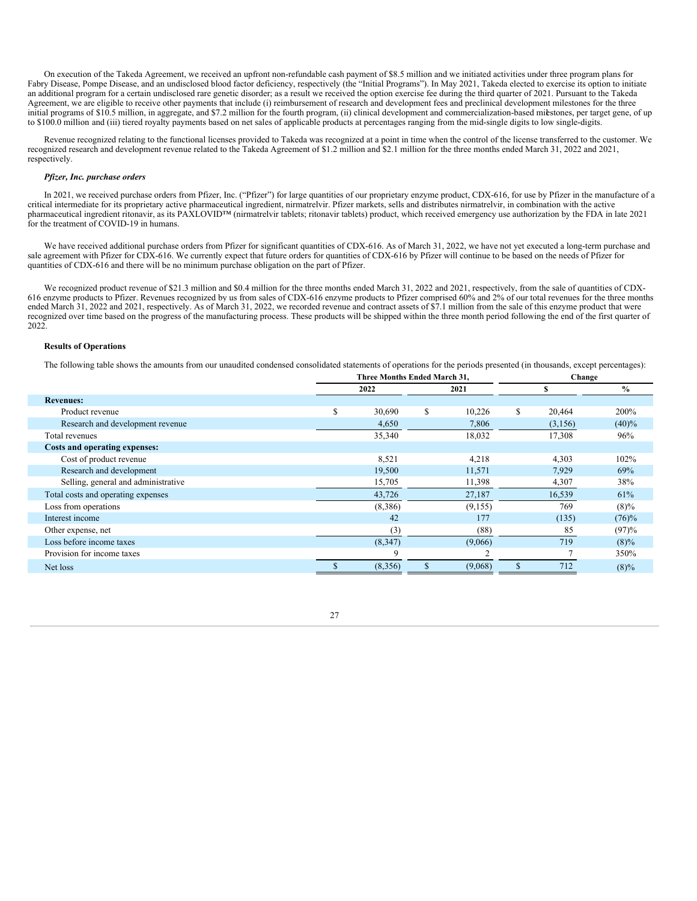On execution of the Takeda Agreement, we received an upfront non-refundable cash payment of \$8.5 million and we initiated activities under three program plans for Fabry Disease, Pompe Disease, and an undisclosed blood factor deficiency, respectively (the "Initial Programs"). In May 2021, Takeda elected to exercise its option to initiate an additional program for a certain undisclosed rare genetic disorder; as a result we received the option exercise fee during the third quarter of 2021. Pursuant to the Takeda an additional program for a certain undisclose Agreement, we are eligible to receive other payments that include (i) reimbursement of research and development fees and preclinical development milestones for the three initial programs of \$10.5 million, in aggregate, and \$7.2 million for the fourth program, (ii) clinical development and commercialization-based milestones, per target gene, of up to \$100.0 million and (iii) tiered royalty payments based on net sales of applicable products at percentages ranging from the mid-single digits to low single-digits.

Revenue recognized relating to the functional licenses provided to Takeda was recognized at a point in time when the control of the license transferred to the customer. We recognized research and development revenue related to the Takeda Agreement of \$1.2 million and \$2.1 million for the three months ended March 31, 2022 and 2021, respectively.

#### *Pfizer, Inc. purchase orders*

In 2021, we received purchase orders from Pfizer, Inc. ("Pfizer") for large quantities of our proprietary enzyme product, CDX-616, for use by Pfizer in the manufacture of a critical intermediate for its proprietary active pharmaceutical ingredient, nirmatrelvir. Pfizer markets, sells and distributes nirmatrelvir, in combination with the active pharmaceutical ingredient ritonavir, as its PAXLOVID™ (nirmatrelvir tablets; ritonavir tablets) product, which received emergency use authorization by the FDA in late 2021 for the treatment of COVID-19 in humans.

We have received additional purchase orders from Pfizer for significant quantities of CDX-616. As of March 31, 2022, we have not yet executed a long-term purchase and sale agreement with Pfizer for CDX-616. We currently expect that future orders for quantities of CDX-616 by Pfizer will continue to be based on the needs of Pfizer for quantities of CDX-616 and there will be no minimum purchase obligation on the part of Pfizer.

We recognized product revenue of \$21.3 million and \$0.4 million for the three months ended March 31, 2022 and 2021, respectively, from the sale of quantities of CDX-616 enzyme products to Pfizer. Revenues recognized by us from sales of CDX-616 enzyme products to Pfizer comprised 60% and 2% of our total revenues for the three months ended March 31, 2022 and 2021, respectively. As of March 31, 2022, we recorded revenue and contract assets of \$7.1 million from the sale of this enzyme product that were recognized over time based on the progress of the manufacturing process. These products will be shipped within the three month period following the end of the first quarter of 2022.

#### **Results of Operations**

The following table shows the amounts from our unaudited condensed consolidated statements of operations for the periods presented (in thousands, except percentages):

|                                     | Three Months Ended March 31, |          |   |         |   | Change  |          |  |  |
|-------------------------------------|------------------------------|----------|---|---------|---|---------|----------|--|--|
|                                     |                              | 2022     |   | 2021    | ъ |         | $\%$     |  |  |
| <b>Revenues:</b>                    |                              |          |   |         |   |         |          |  |  |
| Product revenue                     | S                            | 30,690   | S | 10,226  | S | 20,464  | 200%     |  |  |
| Research and development revenue    |                              | 4,650    |   | 7,806   |   | (3,156) | (40)%    |  |  |
| Total revenues                      |                              | 35,340   |   | 18,032  |   | 17,308  | 96%      |  |  |
| Costs and operating expenses:       |                              |          |   |         |   |         |          |  |  |
| Cost of product revenue             |                              | 8,521    |   | 4,218   |   | 4,303   | 102%     |  |  |
| Research and development            |                              | 19,500   |   | 11,571  |   | 7,929   | 69%      |  |  |
| Selling, general and administrative |                              | 15,705   |   | 11,398  |   | 4,307   | 38%      |  |  |
| Total costs and operating expenses  |                              | 43,726   |   | 27,187  |   | 16,539  | 61%      |  |  |
| Loss from operations                |                              | (8,386)  |   | (9,155) |   | 769     | $(8)\%$  |  |  |
| Interest income                     |                              | 42       |   | 177     |   | (135)   | $(76)\%$ |  |  |
| Other expense, net                  |                              | (3)      |   | (88)    |   | 85      | (97)%    |  |  |
| Loss before income taxes            |                              | (8, 347) |   | (9,066) |   | 719     | $(8)\%$  |  |  |
| Provision for income taxes          |                              | q        |   |         |   |         | 350%     |  |  |
| Net loss                            |                              | (8,356)  | S | (9,068) | S | 712     | $(8)\%$  |  |  |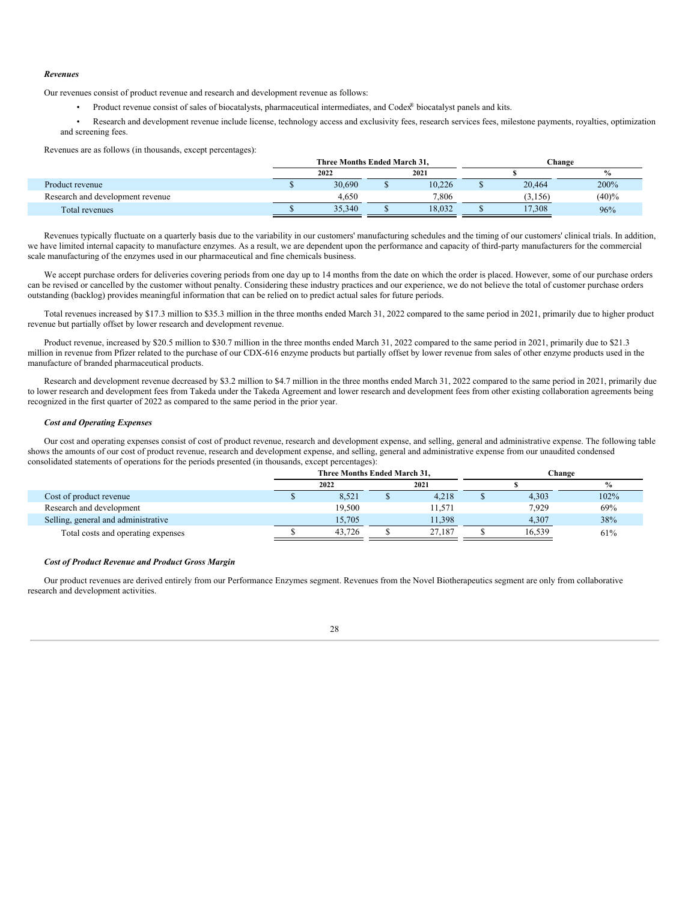### *Revenues*

Our revenues consist of product revenue and research and development revenue as follows:

- Product revenue consist of sales of biocatalysts, pharmaceutical intermediates, and Codex® biocatalyst panels and kits.
- Research and development revenue include license, technology access and exclusivity fees, research services fees, milestone payments, royalties, optimization and screening fees.

Revenues are as follows (in thousands, except percentages):

|                                  |              | Three Months Ended March 31. |  |        | Change   |               |
|----------------------------------|--------------|------------------------------|--|--------|----------|---------------|
|                                  | 2022<br>2021 |                              |  |        |          | $\frac{0}{0}$ |
| Product revenue                  |              | 30.690                       |  | 10.226 | 20,464   | 200%          |
| Research and development revenue |              | 4.650                        |  | 7.806  | (3, 156) | (40)%         |
| Total revenues                   | 35,340       |                              |  | 18.032 | 17.308   | 96%           |

Revenues typically fluctuate on a quarterly basis due to the variability in our customers' manufacturing schedules and the timing of our customers' clinical trials. In addition, we have limited internal capacity to manufacture enzymes. As a result, we are dependent upon the performance and capacity of third-party manufacturers for the commercial scale manufacturing of the enzymes used in our pharmaceutical and fine chemicals business.

We accept purchase orders for deliveries covering periods from one day up to 14 months from the date on which the order is placed. However, some of our purchase orders can be revised or cancelled by the customer without penalty. Considering these industry practices and our experience, we do not believe the total of customer purchase orders outstanding (backlog) provides meaningful information that can be relied on to predict actual sales for future periods.

Total revenues increased by \$17.3 million to \$35.3 million in the three months ended March 31, 2022 compared to the same period in 2021, primarily due to higher product revenue but partially offset by lower research and development revenue.

Product revenue, increased by \$20.5 million to \$30.7 million in the three months ended March 31, 2022 compared to the same period in 2021, primarily due to \$21.3 million in revenue from Pfizer related to the purchase of our CDX-616 enzyme products but partially offset by lower revenue from sales of other enzyme products used in the manufacture of branded pharmaceutical products.

Research and development revenue decreased by \$3.2 million to \$4.7 million in the three months ended March 31, 2022 compared to the same period in 2021, primarily due to lower research and development fees from Takeda under the Takeda Agreement and lower research and development fees from other existing collaboration agreements being recognized in the first quarter of 2022 as compared to the same period in the prior year.

#### *Cost and Operating Expenses*

Our cost and operating expenses consist of cost of product revenue, research and development expense, and selling, general and administrative expense. The following table shows the amounts of our cost of product revenue, research and development expense, and selling, general and administrative expense from our unaudited condensed consolidated statements of operations for the periods presented (in thousands, except percentages):

|                                     |              | Three Months Ended March 31. |  |        | Change |               |      |  |
|-------------------------------------|--------------|------------------------------|--|--------|--------|---------------|------|--|
|                                     | 2021<br>2022 |                              |  |        |        | $\frac{0}{0}$ |      |  |
| Cost of product revenue             |              | 8,521                        |  | 4,218  |        | 4,303         | 102% |  |
| Research and development            |              | 19.500                       |  | 11.571 |        | 7,929         | 69%  |  |
| Selling, general and administrative |              | 15.705                       |  | 11.398 |        | 4.307         | 38%  |  |
| Total costs and operating expenses  |              | 43.726                       |  | 27.187 |        | 16.539        | 61%  |  |

### *Cost of Product Revenue and Product Gross Margin*

Our product revenues are derived entirely from our Performance Enzymes segment. Revenues from the Novel Biotherapeutics segment are only from collaborative research and development activities.

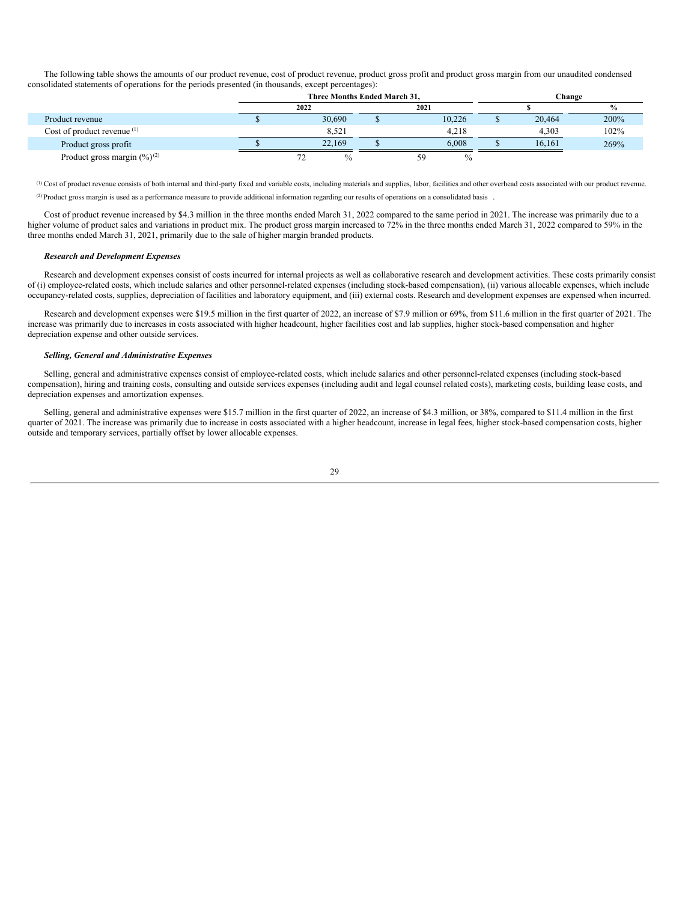The following table shows the amounts of our product revenue, cost of product revenue, product gross profit and product gross margin from our unaudited condensed consolidated statements of operations for the periods presented (in thousands, except percentages):

|                                            |      | Three Months Ended March 31. |  | Change |               |  |        |      |
|--------------------------------------------|------|------------------------------|--|--------|---------------|--|--------|------|
|                                            | 2022 |                              |  | 2021   |               |  |        |      |
| Product revenue                            |      | 30,690                       |  |        | 10.226        |  | 20,464 | 200% |
| Cost of product revenue <sup>(1)</sup>     |      | 8,521                        |  |        | 4.218         |  | 4.303  | 102% |
| Product gross profit                       |      | 22.169                       |  |        | 6.008         |  | 16.161 | 269% |
| Product gross margin $(\frac{9}{6})^{(2)}$ |      |                              |  | 59     | $\frac{0}{0}$ |  |        |      |

 $(1)$  Cost of product revenue consists of both internal and third-party fixed and variable costs, including materials and supplies, labor, facilities and other overhead costs associated with our product revenue. (2) Product gross margin is used as a performance measure to provide additional information regarding our results of operations on a consolidated basis.

Cost of product revenue increased by \$4.3 million in the three months ended March 31, 2022 compared to the same period in 2021. The increase was primarily due to a higher volume of product sales and variations in product mix. The product gross margin increased to 72% in the three months ended March 31, 2022 compared to 59% in the three months ended March 31, 2021, primarily due to the sale of higher margin branded products.

#### *Research and Development Expenses*

Research and development expenses consist of costs incurred for internal projects as well as collaborative research and development activities. These costs primarily consist of (i) employee-related costs, which include salaries and other personnel-related expenses (including stock-based compensation), (ii) various allocable expenses, which include occupancy-related costs, supplies, depreciation of facilities and laboratory equipment, and (iii) external costs. Research and development expenses are expensed when incurred.

Research and development expenses were \$19.5 million in the first quarter of 2022, an increase of \$7.9 million or 69%, from \$11.6 million in the first quarter of 2021. The increase was primarily due to increases in costs associated with higher headcount, higher facilities cost and lab supplies, higher stock-based compensation and higher depreciation expense and other outside services.

### *Selling, General and Administrative Expenses*

Selling, general and administrative expenses consist of employee-related costs, which include salaries and other personnel-related expenses (including stock-based compensation), hiring and training costs, consulting and outside services expenses (including audit and legal counsel related costs), marketing costs, building lease costs, and depreciation expenses and amortization expenses.

Selling, general and administrative expenses were \$15.7 million in the first quarter of 2022, an increase of \$4.3 million, or 38%, compared to \$11.4 million in the first quarter of 2021. The increase was primarily due to increase in costs associated with a higher headcount, increase in legal fees, higher stock-based compensation costs, higher outside and temporary services, partially offset by lower allocable expenses.

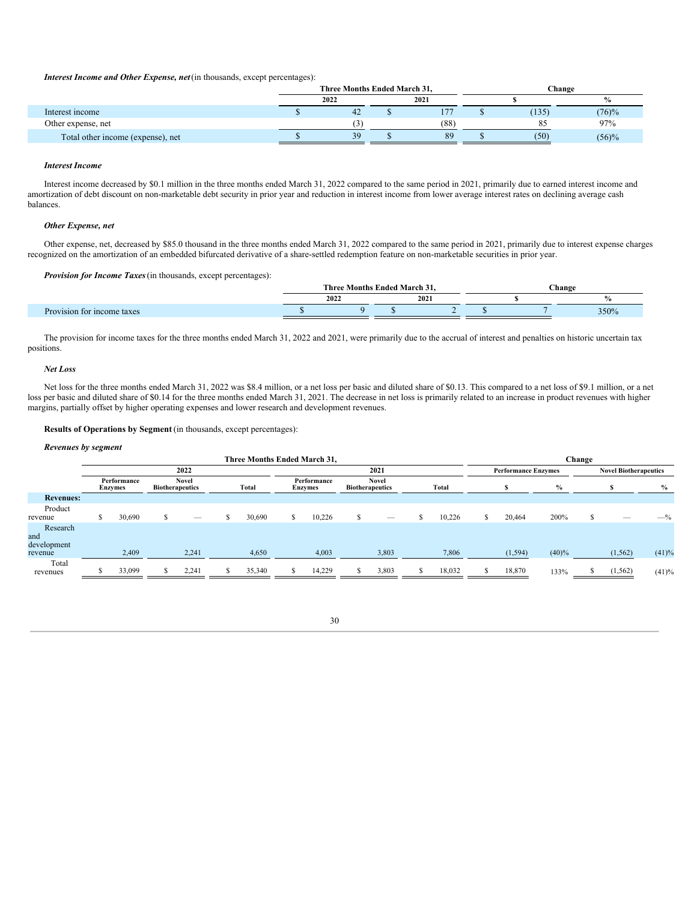*Interest Income and Other Expense, net*(in thousands, except percentages):

|                                   |              | Three Months Ended March 31. |  |      | Change |      |          |  |  |
|-----------------------------------|--------------|------------------------------|--|------|--------|------|----------|--|--|
|                                   | 2021<br>2022 |                              |  |      |        |      |          |  |  |
| Interest income                   |              | 42                           |  |      |        | 135  | $(76)\%$ |  |  |
| Other expense, net                |              |                              |  | (88) |        | 85   | 97%      |  |  |
| Total other income (expense), net |              | 30                           |  | 89   |        | (50) | $(56)\%$ |  |  |

#### *Interest Income*

Interest income decreased by \$0.1 million in the three months ended March 31, 2022 compared to the same period in 2021, primarily due to earned interest income and amortization of debt discount on non-marketable debt security in prior year and reduction in interest income from lower average interest rates on declining average cash balances.

### *Other Expense, net*

Other expense, net, decreased by \$85.0 thousand in the three months ended March 31, 2022 compared to the same period in 2021, primarily due to interest expense charges recognized on the amortization of an embedded bifurcated derivative of a share-settled redemption feature on non-marketable securities in prior year.

*Provision for Income Taxes*(in thousands, except percentages):

|                                                           | Three | <b>Months Ended March 31.</b> |      | Change |  |      |  |  |
|-----------------------------------------------------------|-------|-------------------------------|------|--------|--|------|--|--|
|                                                           | 2022  |                               | 2021 |        |  |      |  |  |
| $\mathbf{r}$<br>$\mathbf{r}$<br>tor income taxes<br>ision |       |                               |      |        |  | 350% |  |  |

The provision for income taxes for the three months ended March 31, 2022 and 2021, were primarily due to the accrual of interest and penalties on historic uncertain tax positions.

### *Net Loss*

Net loss for the three months ended March 31, 2022 was \$8.4 million, or a net loss per basic and diluted share of \$0.13. This compared to a net loss of \$9.1 million, or a net loss per basic and diluted share of \$0.14 for the three months ended March 31, 2021. The decrease in net loss is primarily related to an increase in product revenues with higher margins, partially offset by higher operating expenses and lower research and development revenues.

**Results of Operations by Segment** (in thousands, except percentages):

#### *Revenues by segment*

|                                           | Three Months Ended March 31, |                        |  |                                        |  |        |   |                               |     |                                        | Change |              |   |                            |               |  |                              |               |  |
|-------------------------------------------|------------------------------|------------------------|--|----------------------------------------|--|--------|---|-------------------------------|-----|----------------------------------------|--------|--------------|---|----------------------------|---------------|--|------------------------------|---------------|--|
|                                           |                              |                        |  | 2022                                   |  |        |   |                               |     | 2021                                   |        |              |   | <b>Performance Enzymes</b> |               |  | <b>Novel Biotherapeutics</b> |               |  |
|                                           |                              | Performance<br>Enzymes |  | <b>Novel</b><br><b>Biotherapeutics</b> |  | Total  |   | Performance<br><b>Enzymes</b> |     | <b>Novel</b><br><b>Biotherapeutics</b> |        | <b>Total</b> |   |                            | $\frac{0}{0}$ |  | э                            | $\frac{0}{0}$ |  |
| <b>Revenues:</b>                          |                              |                        |  |                                        |  |        |   |                               |     |                                        |        |              |   |                            |               |  |                              |               |  |
| Product<br>revenue                        |                              | 30,690                 |  | –                                      |  | 30,690 | S | 10,226                        | Эħ. |                                        | S      | 10,226       | S | 20,464                     | 200%          |  |                              | $-$ %         |  |
| Research<br>and<br>development<br>revenue |                              | 2,409                  |  | 2,241                                  |  | 4,650  |   | 4,003                         |     | 3,803                                  |        | 7,806        |   | (1, 594)                   | $(40)\%$      |  | (1, 562)                     | (41)%         |  |
| Total<br>revenues                         |                              | 33,099                 |  | 2,241                                  |  | 35,340 |   | 14,229                        |     | 3,803                                  |        | 18,032       |   | 18,870                     | 133%          |  | (1, 562)                     | (41)%         |  |

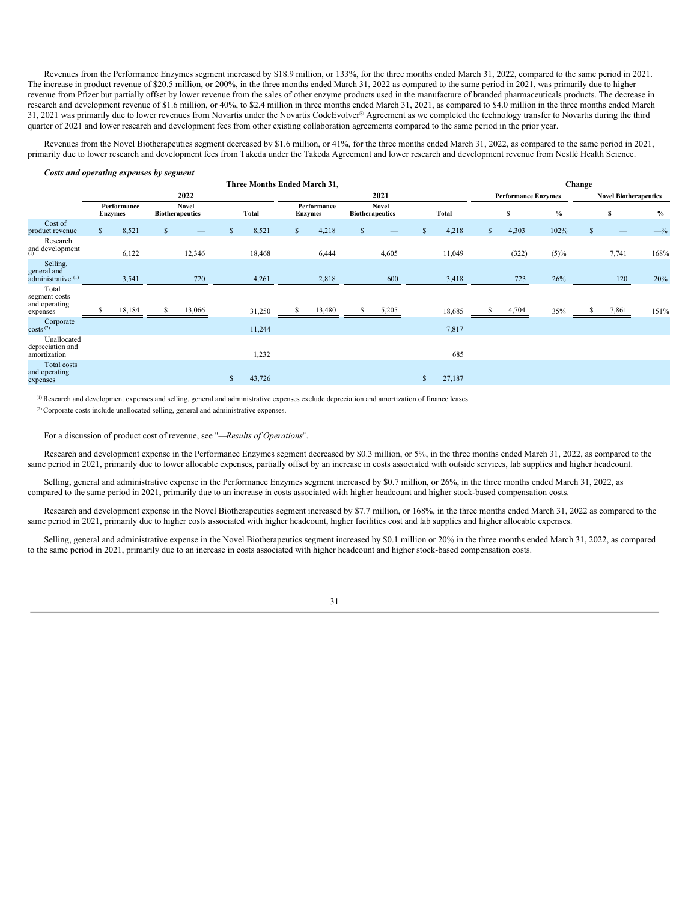Revenues from the Performance Enzymes segment increased by \$18.9 million, or 133%, for the three months ended March 31, 2022, compared to the same period in 2021. The increase in product revenue of \$20.5 million, or 200%, in the three months ended March 31, 2022 as compared to the same period in 2021, was primarily due to higher revenue from Pfizer but partially offset by lower revenue from the sales of other enzyme products used in the manufacture of branded pharmaceuticals products. The decrease in research and development revenue of \$1.6 million, or 40%, to \$2.4 million in three months ended March 31, 2021, as compared to \$4.0 million in the three months ended March 31, 2021 was primarily due to lower revenues from Novartis under the Novartis CodeEvolver® Agreement as we completed the technology transfer to Novartis during the third quarter of 2021 and lower research and development fees from other existing collaboration agreements compared to the same period in the prior year.

Revenues from the Novel Biotherapeutics segment decreased by \$1.6 million, or 41%, for the three months ended March 31, 2022, as compared to the same period in 2021, primarily due to lower research and development fees from Takeda under the Takeda Agreement and lower research and development revenue from Nestlé Health Science.

#### *Costs and operating expenses by segment*

|                                                          | Three Months Ended March 31, |                               |    |                                        |  |              |    |                               |              |                                        | Change |        |    |                            |         |               |                              |       |
|----------------------------------------------------------|------------------------------|-------------------------------|----|----------------------------------------|--|--------------|----|-------------------------------|--------------|----------------------------------------|--------|--------|----|----------------------------|---------|---------------|------------------------------|-------|
|                                                          |                              |                               |    | 2022                                   |  |              |    |                               |              | 2021                                   |        |        |    | <b>Performance Enzymes</b> |         |               | <b>Novel Biotherapeutics</b> |       |
|                                                          |                              | Performance<br><b>Enzymes</b> |    | <b>Novel</b><br><b>Biotherapeutics</b> |  | <b>Total</b> |    | Performance<br><b>Enzymes</b> |              | <b>Novel</b><br><b>Biotherapeutics</b> |        | Total  |    | S                          | $\%$    | S             |                              | $\%$  |
| Cost of<br>product revenue                               | $\mathbb{S}$                 | 8,521                         | \$ |                                        |  | 8,521        | S. | 4,218                         | $\mathbf{s}$ |                                        | S      | 4,218  | \$ | 4,303                      | 102%    | <sup>\$</sup> |                              | $-$ % |
| Research<br>and development                              |                              | 6,122                         |    | 12,346                                 |  | 18,468       |    | 6,444                         |              | 4,605                                  |        | 11,049 |    | (322)                      | $(5)\%$ |               | 7,741                        | 168%  |
| Selling,<br>general and<br>administrative <sup>(1)</sup> |                              | 3,541                         |    | 720                                    |  | 4,261        |    | 2,818                         |              | 600                                    |        | 3,418  |    | 723                        | 26%     |               | 120                          | 20%   |
| Total<br>segment costs<br>and operating<br>expenses      |                              | 18,184                        |    | 13,066                                 |  | 31,250       |    | 13,480                        | S            | 5,205                                  |        | 18,685 |    | 4,704                      | 35%     | S             | 7,861                        | 151%  |
| Corporate<br>costs <sup>(2)</sup>                        |                              |                               |    |                                        |  | 11,244       |    |                               |              |                                        |        | 7,817  |    |                            |         |               |                              |       |
| Unallocated<br>depreciation and<br>amortization          |                              |                               |    |                                        |  | 1,232        |    |                               |              |                                        |        | 685    |    |                            |         |               |                              |       |
| Total costs<br>and operating<br>expenses                 |                              |                               |    |                                        |  | 43,726       |    |                               |              |                                        |        | 27,187 |    |                            |         |               |                              |       |

 $<sup>(1)</sup>$  Research and development expenses and selling, general and administrative expenses exclude depreciation and amortization of finance leases.</sup>

<sup>(2)</sup> Corporate costs include unallocated selling, general and administrative expenses.

For a discussion of product cost of revenue, see "—*Results of Operations*".

Research and development expense in the Performance Enzymes segment decreased by \$0.3 million, or 5%, in the three months ended March 31, 2022, as compared to the same period in 2021, primarily due to lower allocable expenses, partially offset by an increase in costs associated with outside services, lab supplies and higher headcount.

Selling, general and administrative expense in the Performance Enzymes segment increased by \$0.7 million, or 26%, in the three months ended March 31, 2022, as compared to the same period in 2021, primarily due to an increase in costs associated with higher headcount and higher stock-based compensation costs.

Research and development expense in the Novel Biotherapeutics segment increased by \$7.7 million, or 168%, in the three months ended March 31, 2022 as compared to the same period in 2021, primarily due to higher costs associated with higher headcount, higher facilities cost and lab supplies and higher allocable expenses.

Selling, general and administrative expense in the Novel Biotherapeutics segment increased by \$0.1 million or 20% in the three months ended March 31, 2022, as compared to the same period in 2021, primarily due to an increase in costs associated with higher headcount and higher stock-based compensation costs.

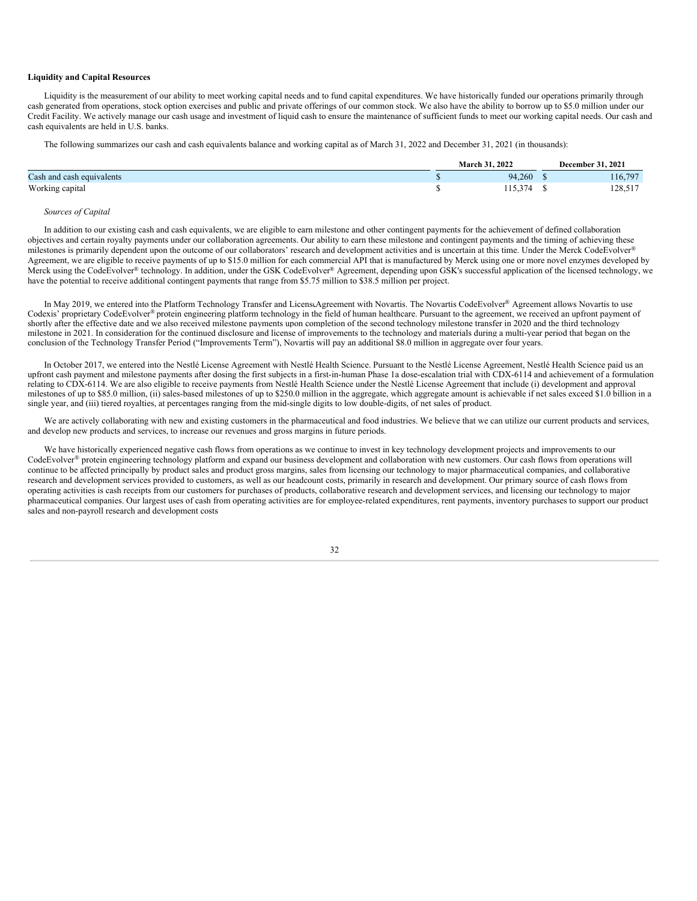#### **Liquidity and Capital Resources**

Liquidity is the measurement of our ability to meet working capital needs and to fund capital expenditures. We have historically funded our operations primarily through cash generated from operations, stock option exercises and public and private offerings of our common stock. We also have the ability to borrow up to \$5.0 million under our Credit Facility. We actively manage our cash usage and investment of liquid cash to ensure the maintenance of sufficient funds to meet our working capital needs. Our cash and cash equivalents are held in U.S. banks.

The following summarizes our cash and cash equivalents balance and working capital as of March 31, 2022 and December 31, 2021 (in thousands):

|                           | <b>March 31, 2022</b> | <b>December 31, 2021</b> |
|---------------------------|-----------------------|--------------------------|
| Cash and cash equivalents | 94.260                | 116,797                  |
| Working capital           | 15 374                | 128,517                  |

#### *Sources of Capital*

In addition to our existing cash and cash equivalents, we are eligible to earn milestone and other contingent payments for the achievement of defined collaboration objectives and certain royalty payments under our collaboration agreements. Our ability to earn these milestone and contingent payments and the timing of achieving these milestones is primarily dependent upon the outcome of our collaborators' research and development activities and is uncertain at this time. Under the Merck CodeEvolver® Agreement, we are eligible to receive payments of up to \$15.0 million for each commercial API that is manufactured by Merck using one or more novel enzymes developed by Merck using the CodeEvolver® technology. In addition, under the GSK CodeEvolver® Agreement, depending upon GSK's successful application of the licensed technology, we have the potential to receive additional contingent payments that range from \$5.75 million to \$38.5 million per project.

In May 2019, we entered into the Platform Technology Transfer and LicenscAgreement with Novartis. The Novartis CodeEvolver® Agreement allows Novartis to use Codexis' proprietary CodeEvolver® protein engineering platform technology in the field of human healthcare. Pursuant to the agreement, we received an upfront payment of shortly after the effective date and we also received milestone payments upon completion of the second technology milestone transfer in 2020 and the third technology milestone in 2021. In consideration for the continued disclosure and license of improvements to the technology and materials during a multi-year period that began on the conclusion of the Technology Transfer Period ("Improvements Term"), Novartis will pay an additional \$8.0 million in aggregate over four years.

In October 2017, we entered into the Nestlé License Agreement with Nestlé Health Science. Pursuant to the Nestlé License Agreement, Nestlé Health Science paid us an upfront cash payment and milestone payments after dosing the first subjects in a first-in-human Phase 1a dose-escalation trial with CDX-6114 and achievement of a formulation relating to CDX-6114. We are also eligible to receive payments from Nestlé Health Science under the Nestlé License Agreement that include (i) development and approval milestones of up to \$85.0 million, (ii) sales-based milestones of up to \$250.0 million in the aggregate, which aggregate amount is achievable if net sales exceed \$1.0 billion in a single year, and (iii) tiered royalties, at percentages ranging from the mid-single digits to low double-digits, of net sales of product.

We are actively collaborating with new and existing customers in the pharmaceutical and food industries. We believe that we can utilize our current products and services, and develop new products and services, to increase our revenues and gross margins in future periods.

We have historically experienced negative cash flows from operations as we continue to invest in key technology development projects and improvements to our CodeEvolver® protein engineering technology platform and expand our business development and collaboration with new customers. Our cash flows from operations will continue to be affected principally by product sales and product gross margins, sales from licensing our technology to major pharmaceutical companies, and collaborative research and development services provided to customers, as well as our headcount costs, primarily in research and development. Our primary source of cash flows from operating activities is cash receipts from our customers for purchases of products, collaborative research and development services, and licensing our technology to major pharmaceutical companies. Our largest uses of cash from operating activities are for employee-related expenditures, rent payments, inventory purchases to support our product sales and non-payroll research and development costs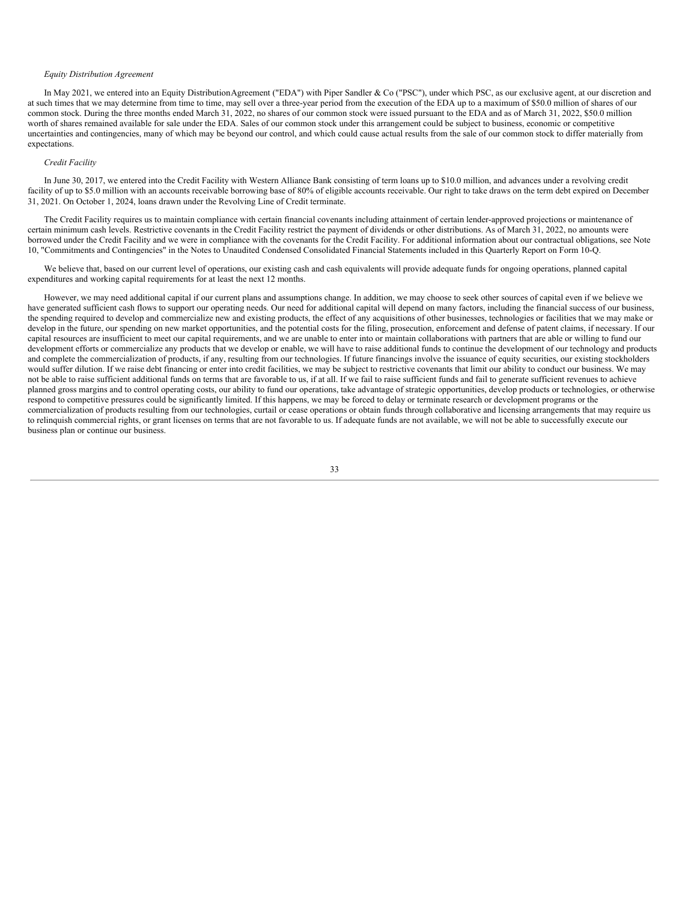### *Equity Distribution Agreement*

In May 2021, we entered into an Equity Distribution Agreement ("EDA") with Piper Sandler & Co ("PSC"), under which PSC, as our exclusive agent, at our discretion and at such times that we may determine from time to time, may sell over a three-year period from the execution of the EDA up to a maximum of \$50.0 million of shares of our common stock. During the three months ended March 31, 2022, no shares of our common stock were issued pursuant to the EDA and as of March 31, 2022, \$50.0 million worth of shares remained available for sale under the EDA. Sales of our common stock under this arrangement could be subject to business, economic or competitive uncertainties and contingencies, many of which may be beyond our control, and which could cause actual results from the sale of our common stock to differ materially from expectations.

### *Credit Facility*

In June 30, 2017, we entered into the Credit Facility with Western Alliance Bank consisting of term loans up to \$10.0 million, and advances under a revolving credit facility of up to \$5.0 million with an accounts receivable borrowing base of 80% of eligible accounts receivable. Our right to take draws on the term debt expired on December 31, 2021. On October 1, 2024, loans drawn under the Revolving Line of Credit terminate.

The Credit Facility requires us to maintain compliance with certain financial covenants including attainment of certain lender-approved projections or maintenance of certain minimum cash levels. Restrictive covenants in the Credit Facility restrict the payment of dividends or other distributions. As of March 31, 2022, no amounts were borrowed under the Credit Facility and we were in compliance with the covenants for the Credit Facility. For additional information about our contractual obligations, see Note 10, "Commitments and Contingencies" in the Notes to Unaudited Condensed Consolidated Financial Statements included in this Quarterly Report on Form 10-Q.

We believe that, based on our current level of operations, our existing cash and cash equivalents will provide adequate funds for ongoing operations, planned capital expenditures and working capital requirements for at least the next 12 months.

However, we may need additional capital if our current plans and assumptions change. In addition, we may choose to seek other sources of capital even if we believe we have generated sufficient cash flows to support our operating needs. Our need for additional capital will depend on many factors, including the financial success of our business, the spending required to develop and commercialize new and existing products, the effect of any acquisitions of other businesses, technologies or facilities that we may make or develop in the future, our spending on new market opportunities, and the potential costs for the filing, prosecution, enforcement and defense of patent claims, if necessary. If our capital resources are insufficient to meet our capital requirements, and we are unable to enter into or maintain collaborations with partners that are able or willing to fund our development efforts or commercialize any products that we develop or enable, we will have to raise additional funds to continue the development of our technology and products and complete the commercialization of products, if any, resulting from our technologies. If future financings involve the issuance of equity securities, our existing stockholders would suffer dilution. If we raise debt financing or enter into credit facilities, we may be subject to restrictive covenants that limit our ability to conduct our business. We may not be able to raise sufficient additional funds on terms that are favorable to us, if at all. If we fail to raise sufficient funds and fail to generate sufficient revenues to achieve planned gross margins and to control operating costs, our ability to fund our operations, take advantage of strategic opportunities, develop products or technologies, or otherwise respond to competitive pressures could be significantly limited. If this happens, we may be forced to delay or terminate research or development programs or the commercialization of products resulting from our technologies, curtail or cease operations or obtain funds through collaborative and licensing arrangements that may require us to relinquish commercial rights, or grant licenses on terms that are not favorable to us. If adequate funds are not available, we will not be able to successfully execute our business plan or continue our business.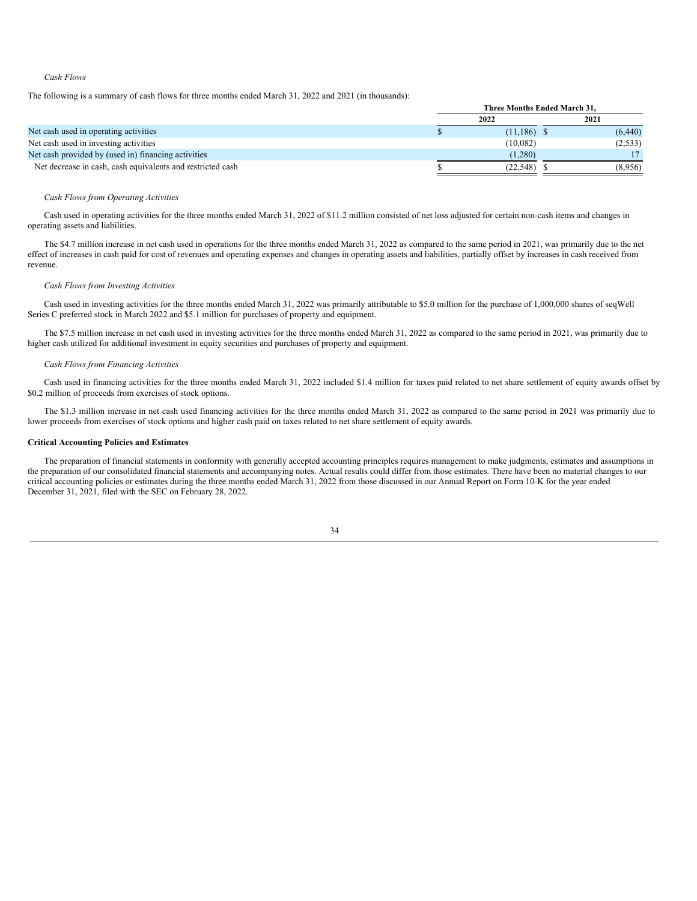#### *Cash Flows*

The following is a summary of cash flows for three months ended March 31, 2022 and 2021 (in thousands):

|                                                            | Three Months Ended March 31. |          |
|------------------------------------------------------------|------------------------------|----------|
|                                                            | 2022                         | 2021     |
| Net cash used in operating activities                      | $(11,186)$ \$                | (6, 440) |
| Net cash used in investing activities                      | (10,082)                     | (2, 533) |
| Net cash provided by (used in) financing activities        | (1.280)                      |          |
| Net decrease in cash, cash equivalents and restricted cash | (22, 548)                    | (8.956)  |

#### *Cash Flows from Operating Activities*

Cash used in operating activities for the three months ended March 31, 2022 of \$11.2 million consisted of net loss adjusted for certain non-cash items and changes in operating assets and liabilities.

The \$4.7 million increase in net cash used in operations for the three months ended March 31, 2022 as compared to the same period in 2021, was primarily due to the net effect of increases in cash paid for cost of revenues and operating expenses and changes in operating assets and liabilities, partially offset by increases in cash received from revenue.

#### *Cash Flows from Investing Activities*

Cash used in investing activities for the three months ended March 31, 2022 was primarily attributable to \$5.0 million for the purchase of 1,000,000 shares of seqWell Series C preferred stock in March 2022 and \$5.1 million for purchases of property and equipment.

The \$7.5 million increase in net cash used in investing activities for the three months ended March 31, 2022 as compared to the same period in 2021, was primarily due to higher cash utilized for additional investment in equity securities and purchases of property and equipment.

### *Cash Flows from Financing Activities*

Cash used in financing activities for the three months ended March 31, 2022 included \$1.4 million for taxes paid related to net share settlement of equity awards offset by \$0.2 million of proceeds from exercises of stock options.

The \$1.3 million increase in net cash used financing activities for the three months ended March 31, 2022 as compared to the same period in 2021 was primarily due to lower proceeds from exercises of stock options and higher cash paid on taxes related to net share settlement of equity awards.

### **Critical Accounting Policies and Estimates**

<span id="page-33-0"></span>The preparation of financial statements in conformity with generally accepted accounting principles requires management to make judgments, estimates and assumptions in the preparation of our consolidated financial statements and accompanying notes. Actual results could differ from those estimates. There have been no material changes to our critical accounting policies or estimates during the three months ended March 31, 2022 from those discussed in our Annual Report on Form 10-K for the year ended December 31, 2021, filed with the SEC on February 28, 2022.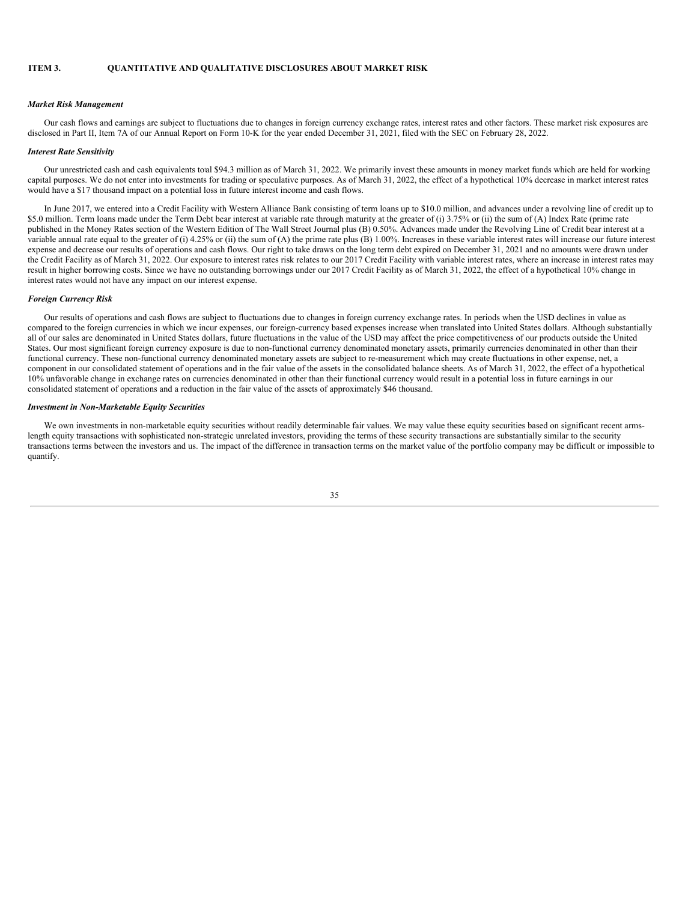### **ITEM 3. QUANTITATIVE AND QUALITATIVE DISCLOSURES ABOUT MARKET RISK**

### *Market Risk Management*

Our cash flows and earnings are subject to fluctuations due to changes in foreign currency exchange rates, interest rates and other factors. These market risk exposures are disclosed in Part II, Item 7A of our Annual Report on Form 10-K for the year ended December 31, 2021, filed with the SEC on February 28, 2022.

#### *Interest Rate Sensitivity*

Our unrestricted cash and cash equivalents total \$94.3 million as of March 31, 2022. We primarily invest these amounts in money market funds which are held for working capital purposes. We do not enter into investments for trading or speculative purposes. As of March 31, 2022, the effect of a hypothetical 10% decrease in market interest rates would have a \$17 thousand impact on a potential loss in future interest income and cash flows.

In June 2017, we entered into a Credit Facility with Western Alliance Bank consisting of term loans up to \$10.0 million, and advances under a revolving line of credit up to \$5.0 million. Term loans made under the Term Debt bear interest at variable rate through maturity at the greater of (i) 3.75% or (ii) the sum of (A) Index Rate (prime rate published in the Money Rates section of the Western Edition of The Wall Street Journal plus (B) 0.50%. Advances made under the Revolving Line of Credit bear interest at a variable annual rate equal to the greater of (i) 4.25% or (ii) the sum of (A) the prime rate plus (B) 1.00%. Increases in these variable interest rates will increase our future interest expense and decrease our results of operations and cash flows. Our right to take draws on the long term debt expired on December 31, 2021 and no amounts were drawn under the Credit Facility as of March 31, 2022. Our exposure to interest rates risk relates to our 2017 Credit Facility with variable interest rates, where an increase in interest rates may result in higher borrowing costs. Since we have no outstanding borrowings under our 2017 Credit Facility as of March 31, 2022, the effect of a hypothetical 10% change in interest rates would not have any impact on our interest expense.

### *Foreign Currency Risk*

Our results of operations and cash flows are subject to fluctuations due to changes in foreign currency exchange rates. In periods when the USD declines in value as compared to the foreign currencies in which we incur expenses, our foreign-currency based expenses increase when translated into United States dollars. Although substantially all of our sales are denominated in United States dollars, future fluctuations in the value of the USD may affect the price competitiveness of our products outside the United States. Our most significant foreign currency exposure is due to non-functional currency denominated monetary assets, primarily currencies denominated in other than their functional currency. These non-functional currency denominated monetary assets are subject to re-measurement which may create fluctuations in other expense, net, a component in our consolidated statement of operations and in the fair value of the assets in the consolidated balance sheets. As of March 31, 2022, the effect of a hypothetical 10% unfavorable change in exchange rates on currencies denominated in other than their functional currency would result in a potential loss in future earnings in our consolidated statement of operations and a reduction in the fair value of the assets of approximately \$46 thousand.

#### *Investment in Non-Marketable Equity Securities*

<span id="page-34-0"></span>We own investments in non-marketable equity securities without readily determinable fair values. We may value these equity securities based on significant recent armslength equity transactions with sophisticated non-strategic unrelated investors, providing the terms of these security transactions are substantially similar to the security transactions terms between the investors and us. The impact of the difference in transaction terms on the market value of the portfolio company may be difficult or impossible to quantify.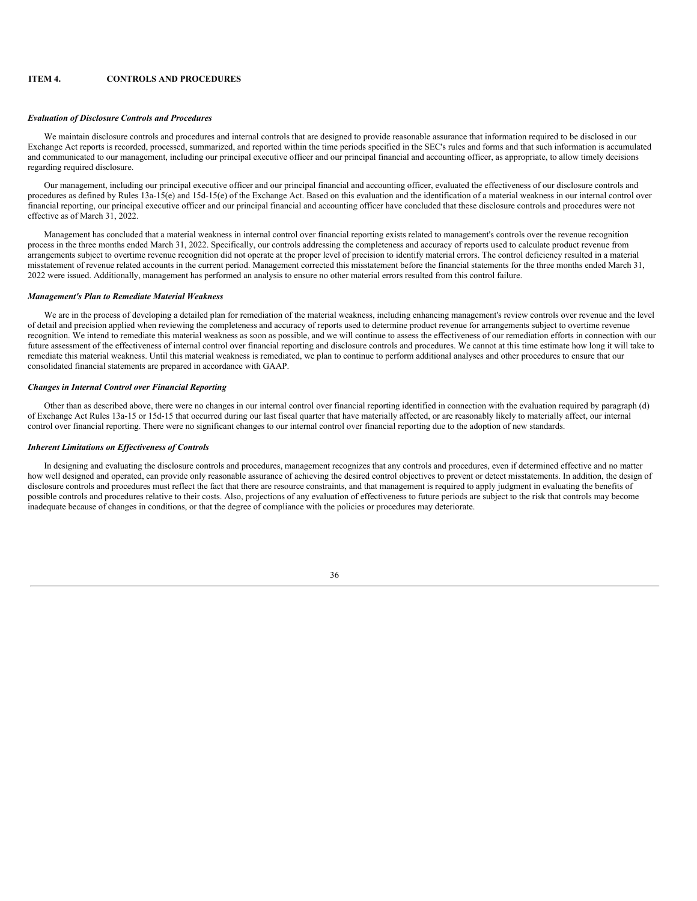### **ITEM 4. CONTROLS AND PROCEDURES**

#### *Evaluation of Disclosure Controls and Procedures*

We maintain disclosure controls and procedures and internal controls that are designed to provide reasonable assurance that information required to be disclosed in our Exchange Act reports is recorded, processed, summarized, and reported within the time periods specified in the SEC's rules and forms and that such information is accumulated and communicated to our management, including our principal executive officer and our principal financial and accounting officer, as appropriate, to allow timely decisions regarding required disclosure.

Our management, including our principal executive officer and our principal financial and accounting officer, evaluated the effectiveness of our disclosure controls and procedures as defined by Rules 13a-15(e) and 15d-15(e) of the Exchange Act. Based on this evaluation and the identification of a material weakness in our internal control over financial reporting, our principal executive officer and our principal financial and accounting officer have concluded that these disclosure controls and procedures were not effective as of March 31, 2022.

Management has concluded that a material weakness in internal control over financial reporting exists related to management's controls over the revenue recognition process in the three months ended March 31, 2022. Specifically, our controls addressing the completeness and accuracy of reports used to calculate product revenue from arrangements subject to overtime revenue recognition did not operate at the proper level of precision to identify material errors. The control deficiency resulted in a material misstatement of revenue related accounts in the current period. Management corrected this misstatement before the financial statements for the three months ended March 31, 2022 were issued. Additionally, management has performed an analysis to ensure no other material errors resulted from this control failure.

#### *Management's Plan to Remediate Material Weakness*

We are in the process of developing a detailed plan for remediation of the material weakness, including enhancing management's review controls over revenue and the level of detail and precision applied when reviewing the completeness and accuracy of reports used to determine product revenue for arrangements subject to overtime revenue recognition. We intend to remediate this material weakness as soon as possible, and we will continue to assess the effectiveness of our remediation efforts in connection with our future assessment of the effectiveness of internal control over financial reporting and disclosure controls and procedures. We cannot at this time estimate how long it will take to remediate this material weakness. Until this material weakness is remediated, we plan to continue to perform additional analyses and other procedures to ensure that our consolidated financial statements are prepared in accordance with GAAP.

### *Changes in Internal Control over Financial Reporting*

Other than as described above, there were no changes in our internal control over financial reporting identified in connection with the evaluation required by paragraph (d) of Exchange Act Rules 13a-15 or 15d-15 that occurred during our last fiscal quarter that have materially affected, or are reasonably likely to materially affect, our internal control over financial reporting. There were no significant changes to our internal control over financial reporting due to the adoption of new standards.

#### *Inherent Limitations on Ef ectiveness of Controls*

<span id="page-35-0"></span>In designing and evaluating the disclosure controls and procedures, management recognizes that any controls and procedures, even if determined effective and no matter how well designed and operated, can provide only reasonable assurance of achieving the desired control objectives to prevent or detect misstatements. In addition, the design of disclosure controls and procedures must reflect the fact that there are resource constraints, and that management is required to apply judgment in evaluating the benefits of possible controls and procedures relative to their costs. Also, projections of any evaluation of effectiveness to future periods are subject to the risk that controls may become inadequate because of changes in conditions, or that the degree of compliance with the policies or procedures may deteriorate.

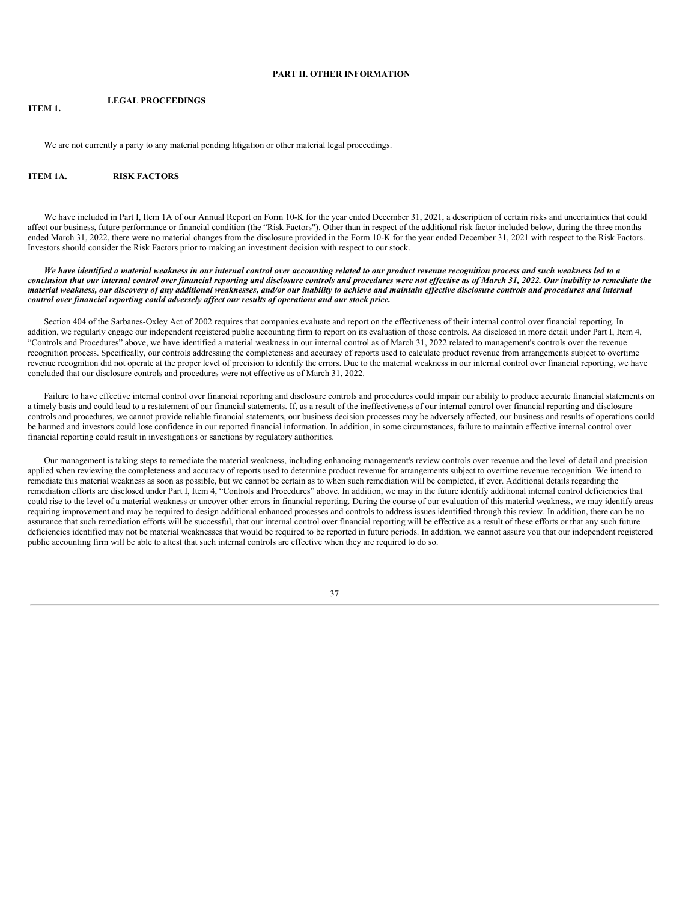### **PART II. OTHER INFORMATION**

#### <span id="page-36-0"></span>**ITEM 1. LEGAL PROCEEDINGS**

We are not currently a party to any material pending litigation or other material legal proceedings.

#### <span id="page-36-1"></span>**ITEM 1A. RISK FACTORS**

We have included in Part I, Item 1A of our Annual Report on Form 10-K for the year ended December 31, 2021, a description of certain risks and uncertainties that could affect our business, future performance or financial condition (the "Risk Factors"). Other than in respect of the additional risk factor included below, during the three months ended March 31, 2022, there were no material changes from the disclosure provided in the Form 10-K for the year ended December 31, 2021 with respect to the Risk Factors. Investors should consider the Risk Factors prior to making an investment decision with respect to our stock.

We have identified a material weakness in our internal control over accounting related to our product revenue recognition process and such weakness led to a conclusion that our internal control over financial reporting and disclosure controls and procedures were not effective as of March 31, 2022. Our inability to remediate the material weakness, our discovery of any additional weaknesses, and/or our inability to achieve and maintain effective disclosure controls and procedures and internal *control over financial reporting could adversely af ect our results of operations and our stock price.*

Section 404 of the Sarbanes-Oxley Act of 2002 requires that companies evaluate and report on the effectiveness of their internal control over financial reporting. In addition, we regularly engage our independent registered public accounting firm to report on its evaluation of those controls. As disclosed in more detail under Part I, Item 4, "Controls and Procedures" above, we have identified a material weakness in our internal control as of March 31, 2022 related to management's controls over the revenue recognition process. Specifically, our controls addressing the completeness and accuracy of reports used to calculate product revenue from arrangements subject to overtime revenue recognition did not operate at the proper level of precision to identify the errors. Due to the material weakness in our internal control over financial reporting, we have concluded that our disclosure controls and procedures were not effective as of March 31, 2022.

Failure to have effective internal control over financial reporting and disclosure controls and procedures could impair our ability to produce accurate financial statements on a timely basis and could lead to a restatement of our financial statements. If, as a result of the ineffectiveness of our internal control over financial reporting and disclosure controls and procedures, we cannot provide reliable financial statements, our business decision processes may be adversely affected, our business and results of operations could be harmed and investors could lose confidence in our reported financial information. In addition, in some circumstances, failure to maintain effective internal control over financial reporting could result in investigations or sanctions by regulatory authorities.

Our management is taking steps to remediate the material weakness, including enhancing management's review controls over revenue and the level of detail and precision applied when reviewing the completeness and accuracy of reports used to determine product revenue for arrangements subject to overtime revenue recognition. We intend to remediate this material weakness as soon as possible, but we cannot be certain as to when such remediation will be completed, if ever. Additional details regarding the remediation efforts are disclosed under Part I, Item 4, "Controls and Procedures" above. In addition, we may in the future identify additional internal control deficiencies that could rise to the level of a material weakness or uncover other errors in financial reporting. During the course of our evaluation of this material weakness, we may identify areas requiring improvement and may be required to design additional enhanced processes and controls to address issues identified through this review. In addition, there can be no assurance that such remediation efforts will be successful, that our internal control over financial reporting will be effective as a result of these efforts or that any such future deficiencies identified may not be material weaknesses that would be required to be reported in future periods. In addition, we cannot assure you that our independent registered public accounting firm will be able to attest that such internal controls are effective when they are required to do so.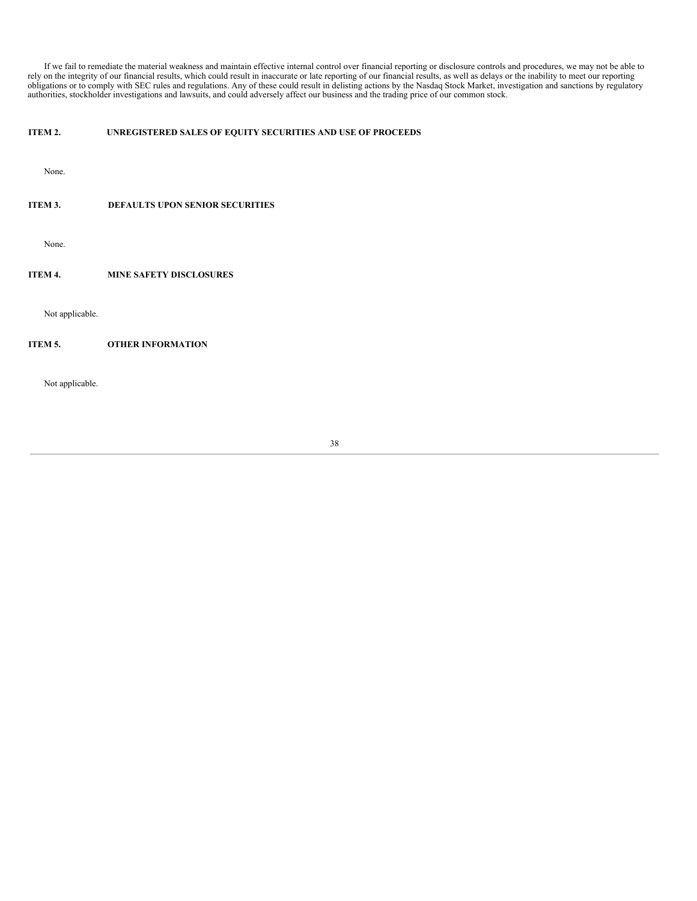If we fail to remediate the material weakness and maintain effective internal control over financial reporting or disclosure controls and procedures, we may not be able to rely on the integrity of our financial results, which could result in inaccurate or late reporting of our financial results, as well as delays or the inability to meet our reporting obligations or to comply with SEC rules and regulations. Any of these could result in delisting actions by the Nasdaq Stock Market, investigation and sanctions by regulatory authorities, stockholder investigations and lawsuits, and could adversely affect our business and the trading price of our common stock.

# <span id="page-37-0"></span>**ITEM 2. UNREGISTERED SALES OF EQUITY SECURITIES AND USE OF PROCEEDS**

None.

## <span id="page-37-1"></span>**ITEM 3. DEFAULTS UPON SENIOR SECURITIES**

None.

## <span id="page-37-2"></span>**ITEM 4. MINE SAFETY DISCLOSURES**

Not applicable.

### <span id="page-37-3"></span>**ITEM 5. OTHER INFORMATION**

<span id="page-37-4"></span>Not applicable.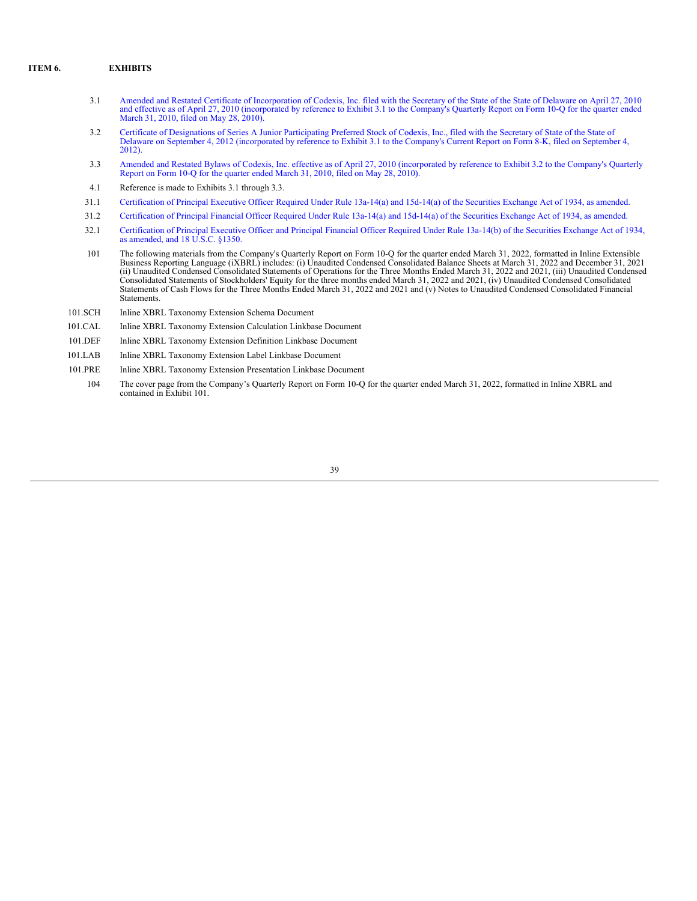## **ITEM 6. EXHIBITS**

- 3.1 Amended and Restated Certificate of [Incorporation](http://www.sec.gov/Archives/edgar/data/1200375/000095013010000138/dex31.htm) of Codexis, Inc. filed with the Secretary of the State of the State of Delaware on April 27, 2010 and effective as of April 27, 2010 (incorporated by reference to Exhib March 31, 2010, filed on May 28, 2010).
- 3.2 Certificate of Designations of Series A Junior Participating Preferred Stock of Codexis, Inc., filed with the Secretary of State of the State of Delaware on September 4, 2012 [\(incorporated](http://www.sec.gov/Archives/edgar/data/1200375/000119312512378221/d405085dex31.htm) by reference to Exhibit 3.1 t 2012).
- 3.3 Amended and Restated Bylaws of Codexis, Inc. effective as of April 27, 2010 [\(incorporated](http://www.sec.gov/Archives/edgar/data/1200375/000095013010000138/dex32.htm) by reference to Exhibit 3.2 to the Company's Quarterly Report on Form 10-Q for the quarter ended March 31, 2010, filed on May 28, 2010).
- 4.1 Reference is made to Exhibits 3.1 through 3.3.
- 31.1 [Certification](#page-40-0) of Principal Executive Officer Required Under Rule 13a-14(a) and 15d-14(a) of the Securities Exchange Act of 1934, as amended.
- 31.2 [Certification](#page-41-0) of Principal Financial Officer Required Under Rule 13a-14(a) and 15d-14(a) of the Securities Exchange Act of 1934, as amended.
- 32.1 [Certification](#page-42-0) of Principal Executive Officer and Principal Financial Officer Required Under Rule 13a-14(b) of the Securities Exchange Act of 1934, as amended, and 18 U.S.C. §1350.
- 101 The following materials from the Company's Quarterly Report on Form 10-Q for the quarter ended March 31, 2022, formatted in Inline Extensible<br>Business Reporting Language (iXBRL) includes: (i) Unaudited Condensed Consol (ii) Unaudited Condensed Consolidated Statements of Operations for the Three Months Ended March 31, 2022 and 2021, (iii) Unaudited Condensed<br>Consolidated Statements of Stockholders' Equity for the three months ended March Statements of Cash Flows for the Three Months Ended March 31, 2022 and 2021 and (v) Notes to Unaudited Condensed Consolidated Financial **Statements**
- 101.SCH Inline XBRL Taxonomy Extension Schema Document
- 101.CAL Inline XBRL Taxonomy Extension Calculation Linkbase Document
- 101.DEF Inline XBRL Taxonomy Extension Definition Linkbase Document
- 101.LAB Inline XBRL Taxonomy Extension Label Linkbase Document
- <span id="page-38-0"></span>101.PRE Inline XBRL Taxonomy Extension Presentation Linkbase Document
	- 104 The cover page from the Company's Quarterly Report on Form 10-Q for the quarter ended March 31, 2022, formatted in Inline XBRL and contained in Exhibit 101.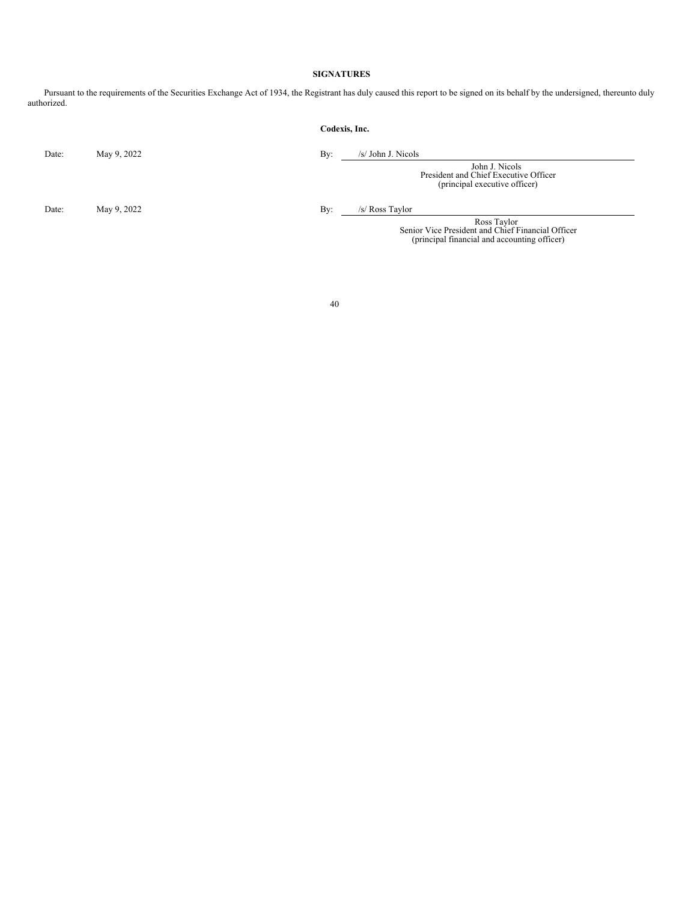# **SIGNATURES**

Pursuant to the requirements of the Securities Exchange Act of 1934, the Registrant has duly caused this report to be signed on its behalf by the undersigned, thereunto duly authorized.

|       |             | Codexis, Inc.                                                                                                    |  |
|-------|-------------|------------------------------------------------------------------------------------------------------------------|--|
| Date: | May 9, 2022 | /s/ John J. Nicols<br>By:                                                                                        |  |
|       |             | John J. Nicols<br>President and Chief Executive Officer<br>(principal executive officer)                         |  |
| Date: | May 9, 2022 | By:<br>/s/ Ross Taylor                                                                                           |  |
|       |             | Ross Taylor<br>Senior Vice President and Chief Financial Officer<br>(principal financial and accounting officer) |  |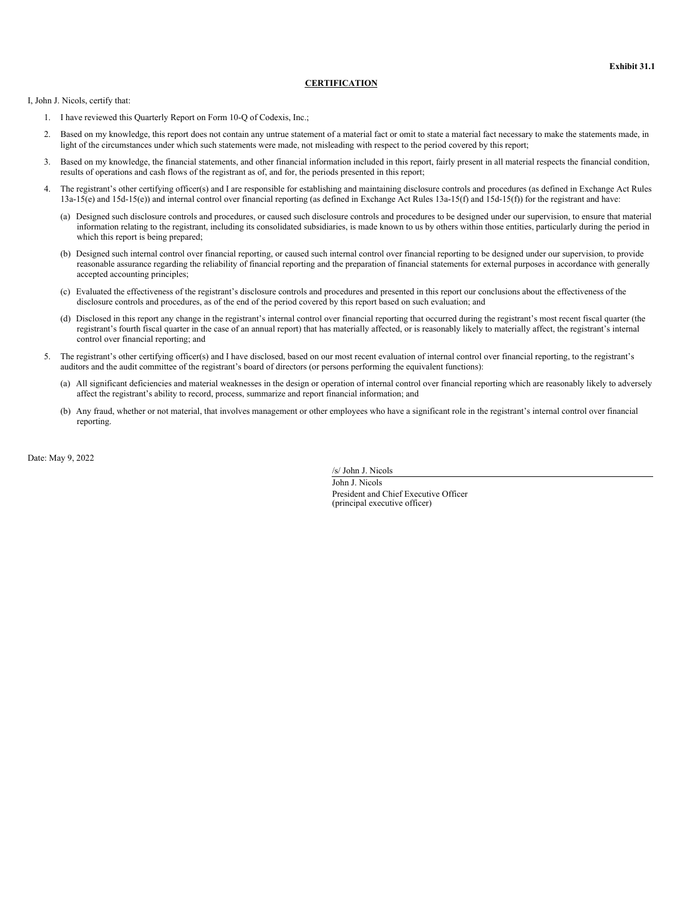### **CERTIFICATION**

<span id="page-40-0"></span>I, John J. Nicols, certify that:

- 1. I have reviewed this Quarterly Report on Form 10-Q of Codexis, Inc.;
- 2. Based on my knowledge, this report does not contain any untrue statement of a material fact or omit to state a material fact necessary to make the statements made, in light of the circumstances under which such statements were made, not misleading with respect to the period covered by this report;
- 3. Based on my knowledge, the financial statements, and other financial information included in this report, fairly present in all material respects the financial condition, results of operations and cash flows of the registrant as of, and for, the periods presented in this report;
- The registrant's other certifying officer(s) and I are responsible for establishing and maintaining disclosure controls and procedures (as defined in Exchange Act Rules 13a-15(e) and 15d-15(e)) and internal control over financial reporting (as defined in Exchange Act Rules 13a-15(f) and 15d-15(f)) for the registrant and have:
	- (a) Designed such disclosure controls and procedures, or caused such disclosure controls and procedures to be designed under our supervision, to ensure that material information relating to the registrant, including its consolidated subsidiaries, is made known to us by others within those entities, particularly during the period in which this report is being prepared;
	- (b) Designed such internal control over financial reporting, or caused such internal control over financial reporting to be designed under our supervision, to provide reasonable assurance regarding the reliability of financial reporting and the preparation of financial statements for external purposes in accordance with generally accepted accounting principles;
	- (c) Evaluated the effectiveness of the registrant's disclosure controls and procedures and presented in this report our conclusions about the effectiveness of the disclosure controls and procedures, as of the end of the period covered by this report based on such evaluation; and
	- (d) Disclosed in this report any change in the registrant's internal control over financial reporting that occurred during the registrant's most recent fiscal quarter (the registrant's fourth fiscal quarter in the case of an annual report) that has materially affected, or is reasonably likely to materially affect, the registrant's internal control over financial reporting; and
- 5. The registrant's other certifying officer(s) and I have disclosed, based on our most recent evaluation of internal control over financial reporting, to the registrant's auditors and the audit committee of the registrant's board of directors (or persons performing the equivalent functions):
	- (a) All significant deficiencies and material weaknesses in the design or operation of internal control over financial reporting which are reasonably likely to adversely affect the registrant's ability to record, process, summarize and report financial information; and
	- (b) Any fraud, whether or not material, that involves management or other employees who have a significant role in the registrant's internal control over financial reporting.

Date: May 9, 2022

/s/ John J. Nicols

John J. Nicols President and Chief Executive Officer (principal executive officer)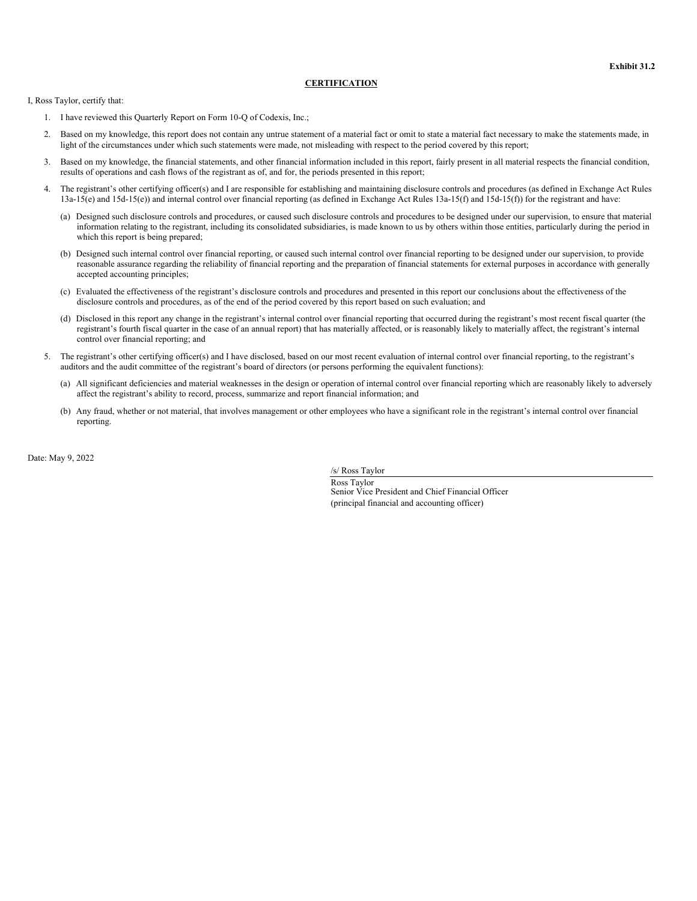### **CERTIFICATION**

<span id="page-41-0"></span>I, Ross Taylor, certify that:

- 1. I have reviewed this Quarterly Report on Form 10-Q of Codexis, Inc.;
- 2. Based on my knowledge, this report does not contain any untrue statement of a material fact or omit to state a material fact necessary to make the statements made, in light of the circumstances under which such statements were made, not misleading with respect to the period covered by this report;
- 3. Based on my knowledge, the financial statements, and other financial information included in this report, fairly present in all material respects the financial condition, results of operations and cash flows of the registrant as of, and for, the periods presented in this report;
- The registrant's other certifying officer(s) and I are responsible for establishing and maintaining disclosure controls and procedures (as defined in Exchange Act Rules 13a-15(e) and 15d-15(e)) and internal control over financial reporting (as defined in Exchange Act Rules 13a-15(f) and 15d-15(f)) for the registrant and have:
	- (a) Designed such disclosure controls and procedures, or caused such disclosure controls and procedures to be designed under our supervision, to ensure that material information relating to the registrant, including its consolidated subsidiaries, is made known to us by others within those entities, particularly during the period in which this report is being prepared;
	- (b) Designed such internal control over financial reporting, or caused such internal control over financial reporting to be designed under our supervision, to provide reasonable assurance regarding the reliability of financial reporting and the preparation of financial statements for external purposes in accordance with generally accepted accounting principles;
	- (c) Evaluated the effectiveness of the registrant's disclosure controls and procedures and presented in this report our conclusions about the effectiveness of the disclosure controls and procedures, as of the end of the period covered by this report based on such evaluation; and
	- (d) Disclosed in this report any change in the registrant's internal control over financial reporting that occurred during the registrant's most recent fiscal quarter (the registrant's fourth fiscal quarter in the case of an annual report) that has materially affected, or is reasonably likely to materially affect, the registrant's internal control over financial reporting; and
- 5. The registrant's other certifying officer(s) and I have disclosed, based on our most recent evaluation of internal control over financial reporting, to the registrant's auditors and the audit committee of the registrant's board of directors (or persons performing the equivalent functions):
	- (a) All significant deficiencies and material weaknesses in the design or operation of internal control over financial reporting which are reasonably likely to adversely affect the registrant's ability to record, process, summarize and report financial information; and
	- (b) Any fraud, whether or not material, that involves management or other employees who have a significant role in the registrant's internal control over financial reporting.

Date: May 9, 2022

/s/ Ross Taylor

Ross Taylor Senior Vice President and Chief Financial Officer (principal financial and accounting officer)